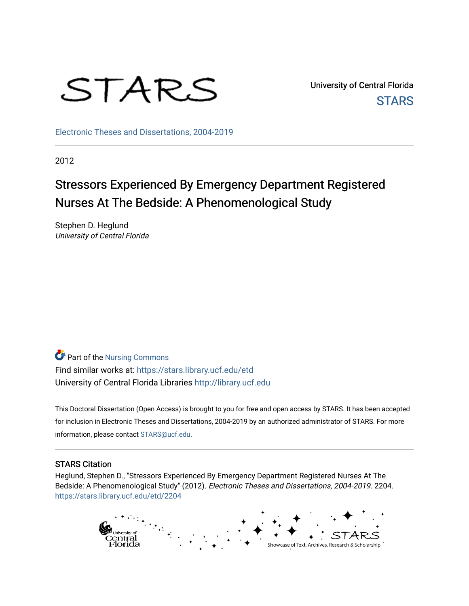

University of Central Florida **STARS** 

[Electronic Theses and Dissertations, 2004-2019](https://stars.library.ucf.edu/etd) 

2012

# Stressors Experienced By Emergency Department Registered Nurses At The Bedside: A Phenomenological Study

Stephen D. Heglund University of Central Florida

**Part of the Nursing Commons** Find similar works at: <https://stars.library.ucf.edu/etd> University of Central Florida Libraries [http://library.ucf.edu](http://library.ucf.edu/) 

This Doctoral Dissertation (Open Access) is brought to you for free and open access by STARS. It has been accepted for inclusion in Electronic Theses and Dissertations, 2004-2019 by an authorized administrator of STARS. For more information, please contact [STARS@ucf.edu.](mailto:STARS@ucf.edu)

#### STARS Citation

Heglund, Stephen D., "Stressors Experienced By Emergency Department Registered Nurses At The Bedside: A Phenomenological Study" (2012). Electronic Theses and Dissertations, 2004-2019. 2204. [https://stars.library.ucf.edu/etd/2204](https://stars.library.ucf.edu/etd/2204?utm_source=stars.library.ucf.edu%2Fetd%2F2204&utm_medium=PDF&utm_campaign=PDFCoverPages) 

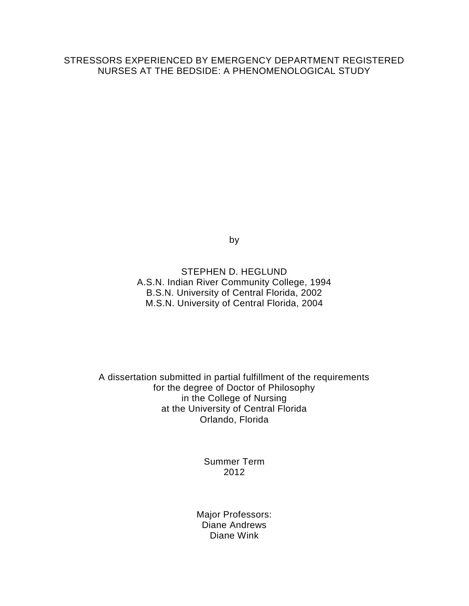# STRESSORS EXPERIENCED BY EMERGENCY DEPARTMENT REGISTERED NURSES AT THE BEDSIDE: A PHENOMENOLOGICAL STUDY

by

STEPHEN D. HEGLUND A.S.N. Indian River Community College, 1994 B.S.N. University of Central Florida, 2002 M.S.N. University of Central Florida, 2004

A dissertation submitted in partial fulfillment of the requirements for the degree of Doctor of Philosophy in the College of Nursing at the University of Central Florida Orlando, Florida

> Summer Term 2012

Major Professors: Diane Andrews Diane Wink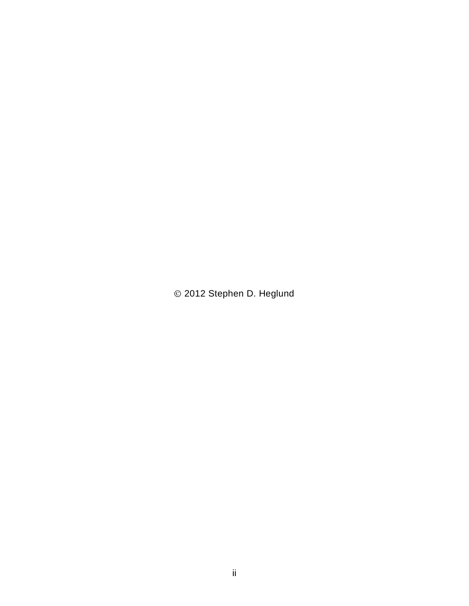2012 Stephen D. Heglund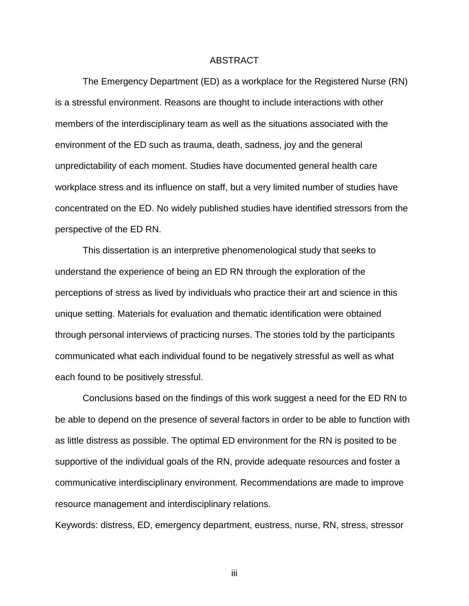#### ABSTRACT

The Emergency Department (ED) as a workplace for the Registered Nurse (RN) is a stressful environment. Reasons are thought to include interactions with other members of the interdisciplinary team as well as the situations associated with the environment of the ED such as trauma, death, sadness, joy and the general unpredictability of each moment. Studies have documented general health care workplace stress and its influence on staff, but a very limited number of studies have concentrated on the ED. No widely published studies have identified stressors from the perspective of the ED RN.

This dissertation is an interpretive phenomenological study that seeks to understand the experience of being an ED RN through the exploration of the perceptions of stress as lived by individuals who practice their art and science in this unique setting. Materials for evaluation and thematic identification were obtained through personal interviews of practicing nurses. The stories told by the participants communicated what each individual found to be negatively stressful as well as what each found to be positively stressful.

Conclusions based on the findings of this work suggest a need for the ED RN to be able to depend on the presence of several factors in order to be able to function with as little distress as possible. The optimal ED environment for the RN is posited to be supportive of the individual goals of the RN, provide adequate resources and foster a communicative interdisciplinary environment. Recommendations are made to improve resource management and interdisciplinary relations.

Keywords: distress, ED, emergency department, eustress, nurse, RN, stress, stressor

iii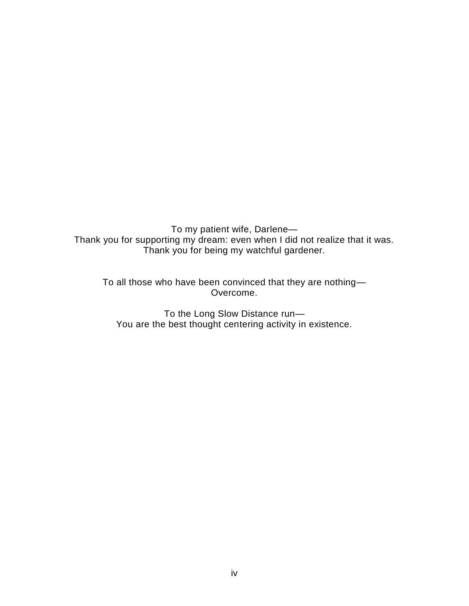To my patient wife, Darlene— Thank you for supporting my dream: even when I did not realize that it was. Thank you for being my watchful gardener.

To all those who have been convinced that they are nothing— Overcome.

To the Long Slow Distance run— You are the best thought centering activity in existence.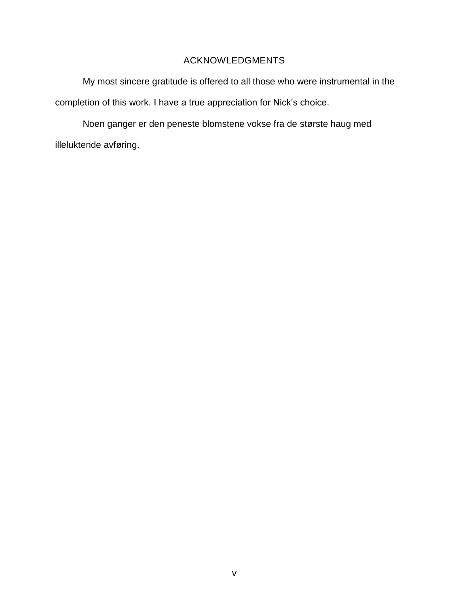# ACKNOWLEDGMENTS

My most sincere gratitude is offered to all those who were instrumental in the completion of this work. I have a true appreciation for Nick's choice.

Noen ganger er den peneste blomstene vokse fra de største haug med illeluktende avføring.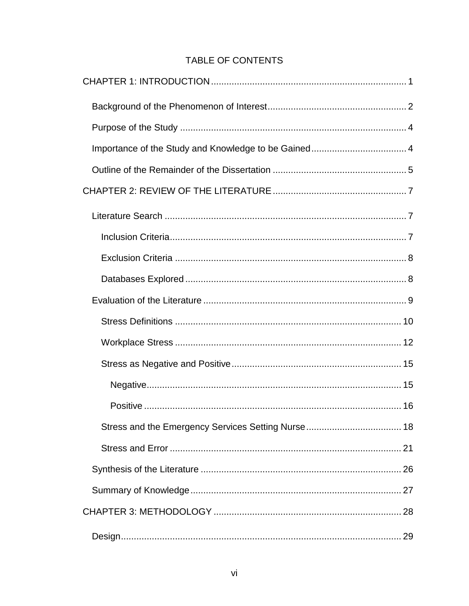# TABLE OF CONTENTS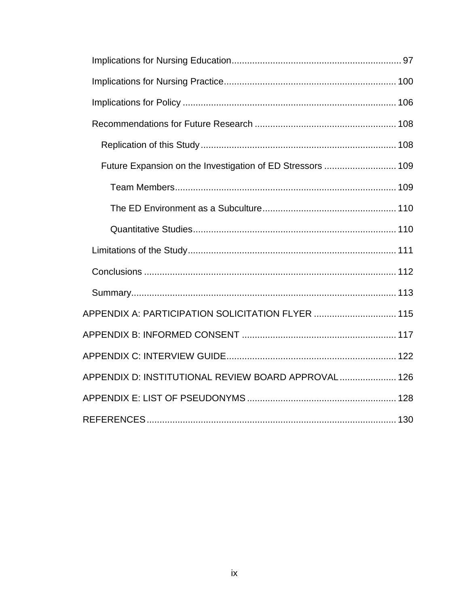| Future Expansion on the Investigation of ED Stressors  109 |  |
|------------------------------------------------------------|--|
|                                                            |  |
|                                                            |  |
|                                                            |  |
|                                                            |  |
|                                                            |  |
|                                                            |  |
| APPENDIX A: PARTICIPATION SOLICITATION FLYER  115          |  |
|                                                            |  |
|                                                            |  |
| APPENDIX D: INSTITUTIONAL REVIEW BOARD APPROVAL 126        |  |
|                                                            |  |
|                                                            |  |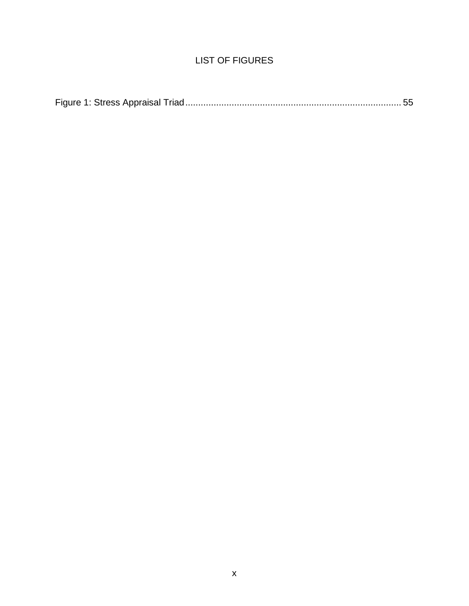# LIST OF FIGURES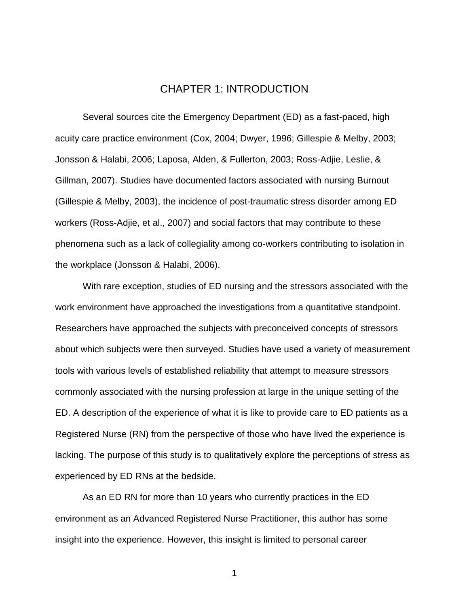# CHAPTER 1: INTRODUCTION

<span id="page-11-0"></span>Several sources cite the Emergency Department (ED) as a fast-paced, high acuity care practice environment (Cox, 2004; Dwyer, 1996; Gillespie & Melby, 2003; Jonsson & Halabi, 2006; Laposa, Alden, & Fullerton, 2003; Ross-Adjie, Leslie, & Gillman, 2007). Studies have documented factors associated with nursing Burnout (Gillespie & Melby, 2003), the incidence of post-traumatic stress disorder among ED workers (Ross-Adjie, et al., 2007) and social factors that may contribute to these phenomena such as a lack of collegiality among co-workers contributing to isolation in the workplace (Jonsson & Halabi, 2006).

With rare exception, studies of ED nursing and the stressors associated with the work environment have approached the investigations from a quantitative standpoint. Researchers have approached the subjects with preconceived concepts of stressors about which subjects were then surveyed. Studies have used a variety of measurement tools with various levels of established reliability that attempt to measure stressors commonly associated with the nursing profession at large in the unique setting of the ED. A description of the experience of what it is like to provide care to ED patients as a Registered Nurse (RN) from the perspective of those who have lived the experience is lacking. The purpose of this study is to qualitatively explore the perceptions of stress as experienced by ED RNs at the bedside.

As an ED RN for more than 10 years who currently practices in the ED environment as an Advanced Registered Nurse Practitioner, this author has some insight into the experience. However, this insight is limited to personal career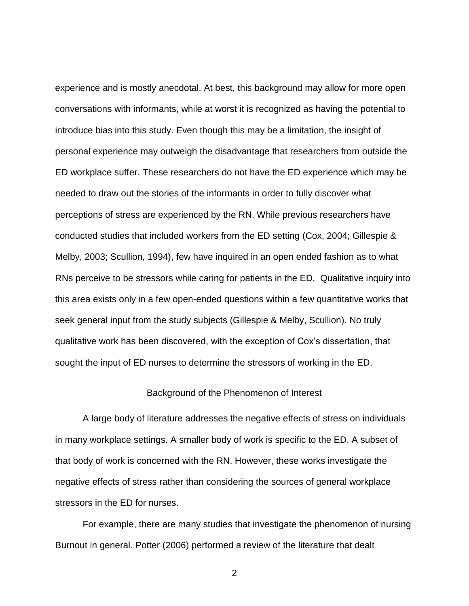experience and is mostly anecdotal. At best, this background may allow for more open conversations with informants, while at worst it is recognized as having the potential to introduce bias into this study. Even though this may be a limitation, the insight of personal experience may outweigh the disadvantage that researchers from outside the ED workplace suffer. These researchers do not have the ED experience which may be needed to draw out the stories of the informants in order to fully discover what perceptions of stress are experienced by the RN. While previous researchers have conducted studies that included workers from the ED setting (Cox, 2004; Gillespie & Melby, 2003; Scullion, 1994), few have inquired in an open ended fashion as to what RNs perceive to be stressors while caring for patients in the ED. Qualitative inquiry into this area exists only in a few open-ended questions within a few quantitative works that seek general input from the study subjects (Gillespie & Melby, Scullion). No truly qualitative work has been discovered, with the exception of Cox's dissertation, that sought the input of ED nurses to determine the stressors of working in the ED.

# Background of the Phenomenon of Interest

<span id="page-12-0"></span>A large body of literature addresses the negative effects of stress on individuals in many workplace settings. A smaller body of work is specific to the ED. A subset of that body of work is concerned with the RN. However, these works investigate the negative effects of stress rather than considering the sources of general workplace stressors in the ED for nurses.

For example, there are many studies that investigate the phenomenon of nursing Burnout in general. Potter (2006) performed a review of the literature that dealt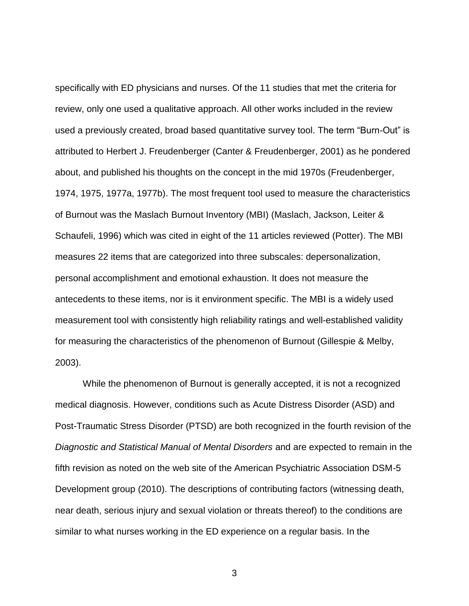specifically with ED physicians and nurses. Of the 11 studies that met the criteria for review, only one used a qualitative approach. All other works included in the review used a previously created, broad based quantitative survey tool. The term "Burn-Out" is attributed to Herbert J. Freudenberger (Canter & Freudenberger, 2001) as he pondered about, and published his thoughts on the concept in the mid 1970s (Freudenberger, 1974, 1975, 1977a, 1977b). The most frequent tool used to measure the characteristics of Burnout was the Maslach Burnout Inventory (MBI) (Maslach, Jackson, Leiter & Schaufeli, 1996) which was cited in eight of the 11 articles reviewed (Potter). The MBI measures 22 items that are categorized into three subscales: depersonalization, personal accomplishment and emotional exhaustion. It does not measure the antecedents to these items, nor is it environment specific. The MBI is a widely used measurement tool with consistently high reliability ratings and well-established validity for measuring the characteristics of the phenomenon of Burnout (Gillespie & Melby, 2003).

While the phenomenon of Burnout is generally accepted, it is not a recognized medical diagnosis. However, conditions such as Acute Distress Disorder (ASD) and Post-Traumatic Stress Disorder (PTSD) are both recognized in the fourth revision of the *Diagnostic and Statistical Manual of Mental Disorders* and are expected to remain in the fifth revision as noted on the web site of the American Psychiatric Association DSM-5 Development group (2010). The descriptions of contributing factors (witnessing death, near death, serious injury and sexual violation or threats thereof) to the conditions are similar to what nurses working in the ED experience on a regular basis. In the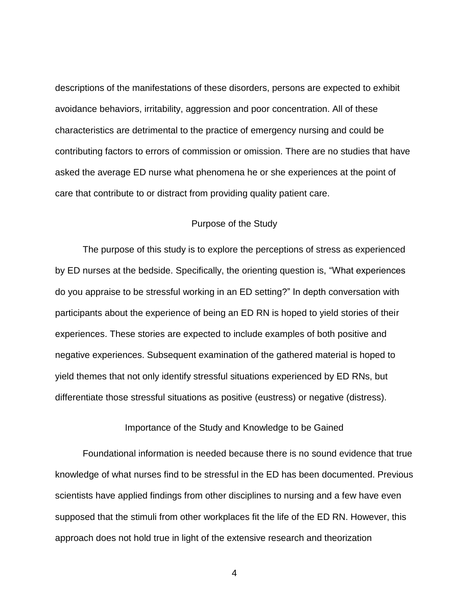descriptions of the manifestations of these disorders, persons are expected to exhibit avoidance behaviors, irritability, aggression and poor concentration. All of these characteristics are detrimental to the practice of emergency nursing and could be contributing factors to errors of commission or omission. There are no studies that have asked the average ED nurse what phenomena he or she experiences at the point of care that contribute to or distract from providing quality patient care.

# Purpose of the Study

<span id="page-14-0"></span>The purpose of this study is to explore the perceptions of stress as experienced by ED nurses at the bedside. Specifically, the orienting question is, "What experiences do you appraise to be stressful working in an ED setting?" In depth conversation with participants about the experience of being an ED RN is hoped to yield stories of their experiences. These stories are expected to include examples of both positive and negative experiences. Subsequent examination of the gathered material is hoped to yield themes that not only identify stressful situations experienced by ED RNs, but differentiate those stressful situations as positive (eustress) or negative (distress).

Importance of the Study and Knowledge to be Gained

<span id="page-14-1"></span>Foundational information is needed because there is no sound evidence that true knowledge of what nurses find to be stressful in the ED has been documented. Previous scientists have applied findings from other disciplines to nursing and a few have even supposed that the stimuli from other workplaces fit the life of the ED RN. However, this approach does not hold true in light of the extensive research and theorization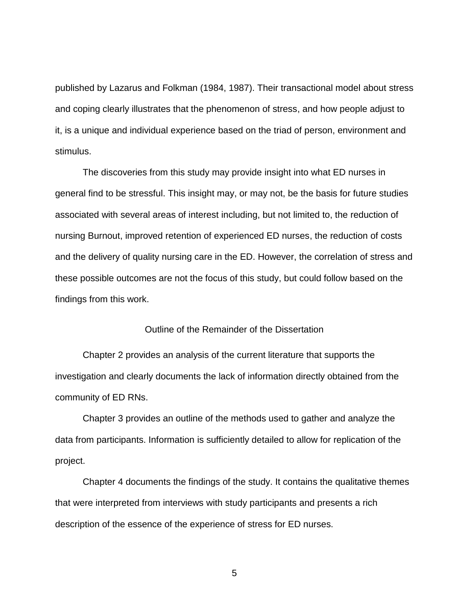published by Lazarus and Folkman (1984, 1987). Their transactional model about stress and coping clearly illustrates that the phenomenon of stress, and how people adjust to it, is a unique and individual experience based on the triad of person, environment and stimulus.

The discoveries from this study may provide insight into what ED nurses in general find to be stressful. This insight may, or may not, be the basis for future studies associated with several areas of interest including, but not limited to, the reduction of nursing Burnout, improved retention of experienced ED nurses, the reduction of costs and the delivery of quality nursing care in the ED. However, the correlation of stress and these possible outcomes are not the focus of this study, but could follow based on the findings from this work.

# Outline of the Remainder of the Dissertation

<span id="page-15-0"></span>Chapter 2 provides an analysis of the current literature that supports the investigation and clearly documents the lack of information directly obtained from the community of ED RNs.

Chapter 3 provides an outline of the methods used to gather and analyze the data from participants. Information is sufficiently detailed to allow for replication of the project.

Chapter 4 documents the findings of the study. It contains the qualitative themes that were interpreted from interviews with study participants and presents a rich description of the essence of the experience of stress for ED nurses.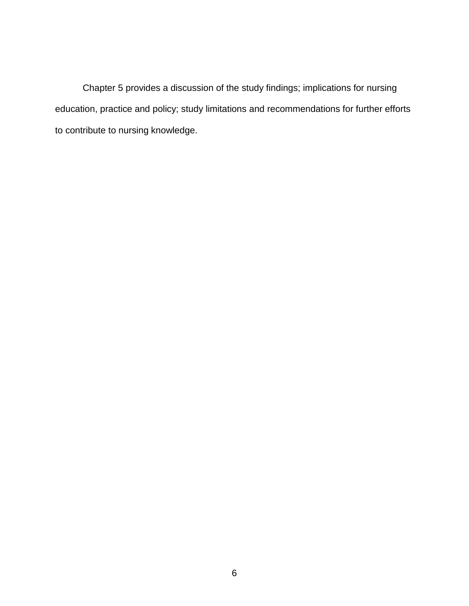Chapter 5 provides a discussion of the study findings; implications for nursing education, practice and policy; study limitations and recommendations for further efforts to contribute to nursing knowledge.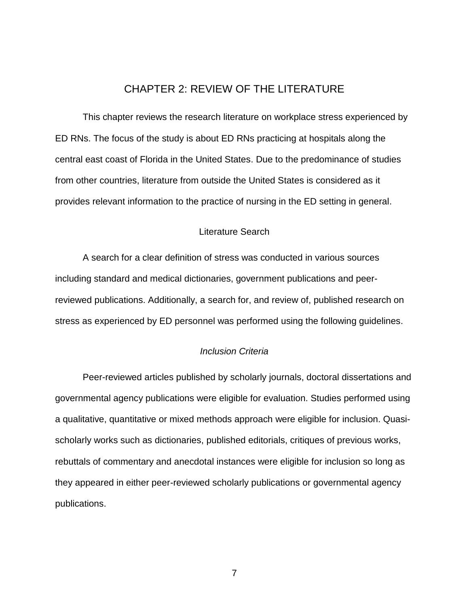# CHAPTER 2: REVIEW OF THE LITERATURE

<span id="page-17-0"></span>This chapter reviews the research literature on workplace stress experienced by ED RNs. The focus of the study is about ED RNs practicing at hospitals along the central east coast of Florida in the United States. Due to the predominance of studies from other countries, literature from outside the United States is considered as it provides relevant information to the practice of nursing in the ED setting in general.

# Literature Search

<span id="page-17-1"></span>A search for a clear definition of stress was conducted in various sources including standard and medical dictionaries, government publications and peerreviewed publications. Additionally, a search for, and review of, published research on stress as experienced by ED personnel was performed using the following guidelines.

#### *Inclusion Criteria*

<span id="page-17-2"></span>Peer-reviewed articles published by scholarly journals, doctoral dissertations and governmental agency publications were eligible for evaluation. Studies performed using a qualitative, quantitative or mixed methods approach were eligible for inclusion. Quasischolarly works such as dictionaries, published editorials, critiques of previous works, rebuttals of commentary and anecdotal instances were eligible for inclusion so long as they appeared in either peer-reviewed scholarly publications or governmental agency publications.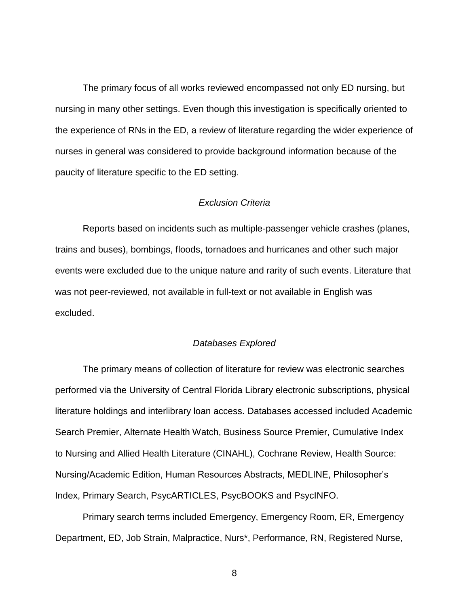The primary focus of all works reviewed encompassed not only ED nursing, but nursing in many other settings. Even though this investigation is specifically oriented to the experience of RNs in the ED, a review of literature regarding the wider experience of nurses in general was considered to provide background information because of the paucity of literature specific to the ED setting.

### *Exclusion Criteria*

<span id="page-18-0"></span>Reports based on incidents such as multiple-passenger vehicle crashes (planes, trains and buses), bombings, floods, tornadoes and hurricanes and other such major events were excluded due to the unique nature and rarity of such events. Literature that was not peer-reviewed, not available in full-text or not available in English was excluded.

#### *Databases Explored*

<span id="page-18-1"></span>The primary means of collection of literature for review was electronic searches performed via the University of Central Florida Library electronic subscriptions, physical literature holdings and interlibrary loan access. Databases accessed included Academic Search Premier, Alternate Health Watch, Business Source Premier, Cumulative Index to Nursing and Allied Health Literature (CINAHL), Cochrane Review, Health Source: Nursing/Academic Edition, Human Resources Abstracts, MEDLINE, Philosopher's Index, Primary Search, PsycARTICLES, PsycBOOKS and PsycINFO.

Primary search terms included Emergency, Emergency Room, ER, Emergency Department, ED, Job Strain, Malpractice, Nurs\*, Performance, RN, Registered Nurse,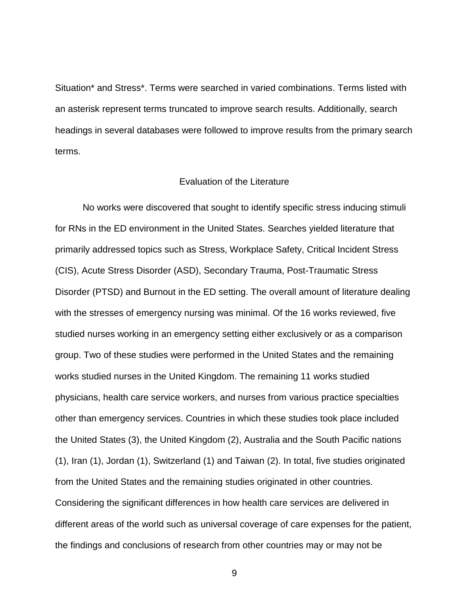Situation\* and Stress\*. Terms were searched in varied combinations. Terms listed with an asterisk represent terms truncated to improve search results. Additionally, search headings in several databases were followed to improve results from the primary search terms.

### Evaluation of the Literature

<span id="page-19-0"></span>No works were discovered that sought to identify specific stress inducing stimuli for RNs in the ED environment in the United States. Searches yielded literature that primarily addressed topics such as Stress, Workplace Safety, Critical Incident Stress (CIS), Acute Stress Disorder (ASD), Secondary Trauma, Post-Traumatic Stress Disorder (PTSD) and Burnout in the ED setting. The overall amount of literature dealing with the stresses of emergency nursing was minimal. Of the 16 works reviewed, five studied nurses working in an emergency setting either exclusively or as a comparison group. Two of these studies were performed in the United States and the remaining works studied nurses in the United Kingdom. The remaining 11 works studied physicians, health care service workers, and nurses from various practice specialties other than emergency services. Countries in which these studies took place included the United States (3), the United Kingdom (2), Australia and the South Pacific nations (1), Iran (1), Jordan (1), Switzerland (1) and Taiwan (2). In total, five studies originated from the United States and the remaining studies originated in other countries. Considering the significant differences in how health care services are delivered in different areas of the world such as universal coverage of care expenses for the patient, the findings and conclusions of research from other countries may or may not be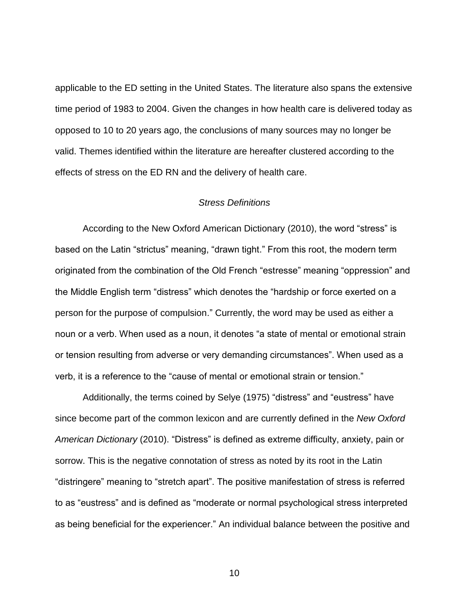applicable to the ED setting in the United States. The literature also spans the extensive time period of 1983 to 2004. Given the changes in how health care is delivered today as opposed to 10 to 20 years ago, the conclusions of many sources may no longer be valid. Themes identified within the literature are hereafter clustered according to the effects of stress on the ED RN and the delivery of health care.

### *Stress Definitions*

<span id="page-20-0"></span>According to the New Oxford American Dictionary (2010), the word "stress" is based on the Latin "strictus" meaning, "drawn tight." From this root, the modern term originated from the combination of the Old French "estresse" meaning "oppression" and the Middle English term "distress" which denotes the "hardship or force exerted on a person for the purpose of compulsion." Currently, the word may be used as either a noun or a verb. When used as a noun, it denotes "a state of mental or emotional strain or tension resulting from adverse or very demanding circumstances". When used as a verb, it is a reference to the "cause of mental or emotional strain or tension."

Additionally, the terms coined by Selye (1975) "distress" and "eustress" have since become part of the common lexicon and are currently defined in the *New Oxford American Dictionary* (2010). "Distress" is defined as extreme difficulty, anxiety, pain or sorrow. This is the negative connotation of stress as noted by its root in the Latin "distringere" meaning to "stretch apart". The positive manifestation of stress is referred to as "eustress" and is defined as "moderate or normal psychological stress interpreted as being beneficial for the experiencer." An individual balance between the positive and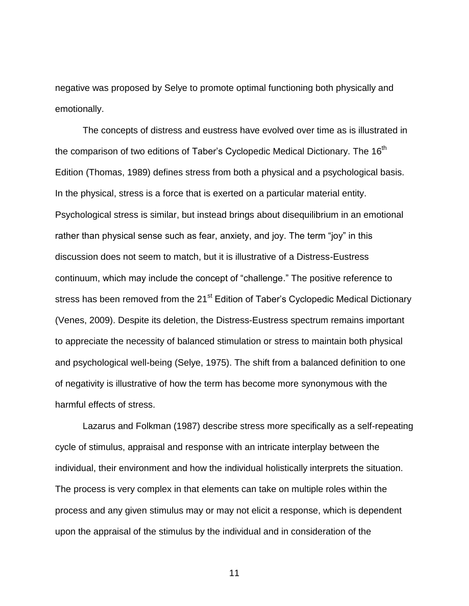negative was proposed by Selye to promote optimal functioning both physically and emotionally.

The concepts of distress and eustress have evolved over time as is illustrated in the comparison of two editions of Taber's Cyclopedic Medical Dictionary. The 16<sup>th</sup> Edition (Thomas, 1989) defines stress from both a physical and a psychological basis. In the physical, stress is a force that is exerted on a particular material entity. Psychological stress is similar, but instead brings about disequilibrium in an emotional rather than physical sense such as fear, anxiety, and joy. The term "joy" in this discussion does not seem to match, but it is illustrative of a Distress-Eustress continuum, which may include the concept of "challenge." The positive reference to stress has been removed from the 21<sup>st</sup> Edition of Taber's Cyclopedic Medical Dictionary (Venes, 2009). Despite its deletion, the Distress-Eustress spectrum remains important to appreciate the necessity of balanced stimulation or stress to maintain both physical and psychological well-being (Selye, 1975). The shift from a balanced definition to one of negativity is illustrative of how the term has become more synonymous with the harmful effects of stress.

Lazarus and Folkman (1987) describe stress more specifically as a self-repeating cycle of stimulus, appraisal and response with an intricate interplay between the individual, their environment and how the individual holistically interprets the situation. The process is very complex in that elements can take on multiple roles within the process and any given stimulus may or may not elicit a response, which is dependent upon the appraisal of the stimulus by the individual and in consideration of the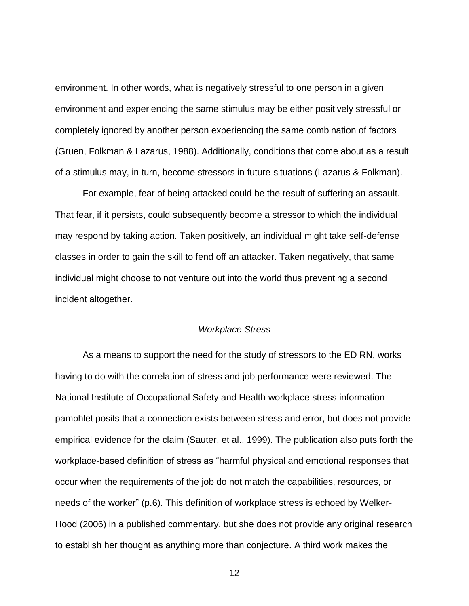environment. In other words, what is negatively stressful to one person in a given environment and experiencing the same stimulus may be either positively stressful or completely ignored by another person experiencing the same combination of factors (Gruen, Folkman & Lazarus, 1988). Additionally, conditions that come about as a result of a stimulus may, in turn, become stressors in future situations (Lazarus & Folkman).

For example, fear of being attacked could be the result of suffering an assault. That fear, if it persists, could subsequently become a stressor to which the individual may respond by taking action. Taken positively, an individual might take self-defense classes in order to gain the skill to fend off an attacker. Taken negatively, that same individual might choose to not venture out into the world thus preventing a second incident altogether.

#### *Workplace Stress*

<span id="page-22-0"></span>As a means to support the need for the study of stressors to the ED RN, works having to do with the correlation of stress and job performance were reviewed. The National Institute of Occupational Safety and Health workplace stress information pamphlet posits that a connection exists between stress and error, but does not provide empirical evidence for the claim (Sauter, et al., 1999). The publication also puts forth the workplace-based definition of stress as "harmful physical and emotional responses that occur when the requirements of the job do not match the capabilities, resources, or needs of the worker" (p.6). This definition of workplace stress is echoed by Welker-Hood (2006) in a published commentary, but she does not provide any original research to establish her thought as anything more than conjecture. A third work makes the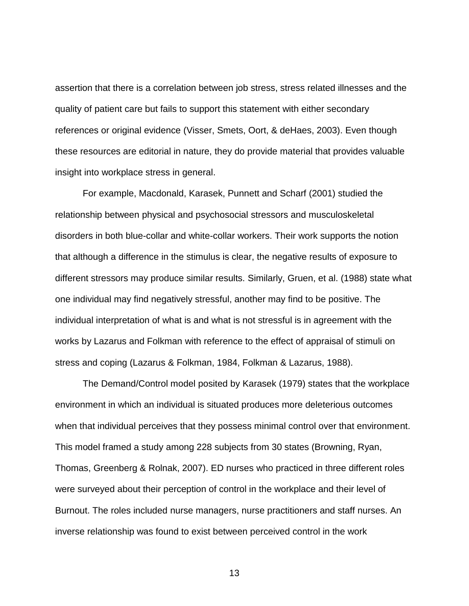assertion that there is a correlation between job stress, stress related illnesses and the quality of patient care but fails to support this statement with either secondary references or original evidence (Visser, Smets, Oort, & deHaes, 2003). Even though these resources are editorial in nature, they do provide material that provides valuable insight into workplace stress in general.

For example, Macdonald, Karasek, Punnett and Scharf (2001) studied the relationship between physical and psychosocial stressors and musculoskeletal disorders in both blue-collar and white-collar workers. Their work supports the notion that although a difference in the stimulus is clear, the negative results of exposure to different stressors may produce similar results. Similarly, Gruen, et al. (1988) state what one individual may find negatively stressful, another may find to be positive. The individual interpretation of what is and what is not stressful is in agreement with the works by Lazarus and Folkman with reference to the effect of appraisal of stimuli on stress and coping (Lazarus & Folkman, 1984, Folkman & Lazarus, 1988).

The Demand/Control model posited by Karasek (1979) states that the workplace environment in which an individual is situated produces more deleterious outcomes when that individual perceives that they possess minimal control over that environment. This model framed a study among 228 subjects from 30 states (Browning, Ryan, Thomas, Greenberg & Rolnak, 2007). ED nurses who practiced in three different roles were surveyed about their perception of control in the workplace and their level of Burnout. The roles included nurse managers, nurse practitioners and staff nurses. An inverse relationship was found to exist between perceived control in the work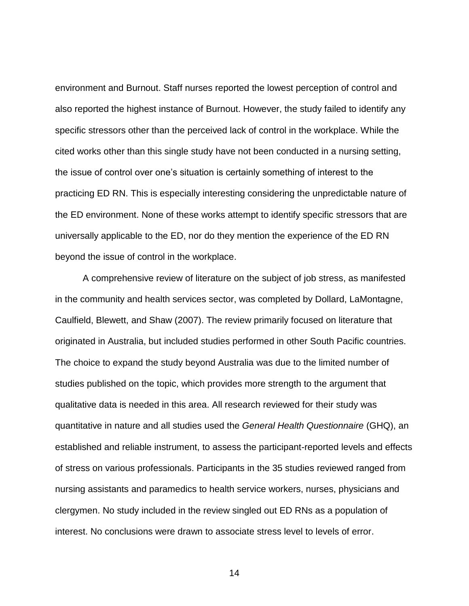environment and Burnout. Staff nurses reported the lowest perception of control and also reported the highest instance of Burnout. However, the study failed to identify any specific stressors other than the perceived lack of control in the workplace. While the cited works other than this single study have not been conducted in a nursing setting, the issue of control over one's situation is certainly something of interest to the practicing ED RN. This is especially interesting considering the unpredictable nature of the ED environment. None of these works attempt to identify specific stressors that are universally applicable to the ED, nor do they mention the experience of the ED RN beyond the issue of control in the workplace.

A comprehensive review of literature on the subject of job stress, as manifested in the community and health services sector, was completed by Dollard, LaMontagne, Caulfield, Blewett, and Shaw (2007). The review primarily focused on literature that originated in Australia, but included studies performed in other South Pacific countries. The choice to expand the study beyond Australia was due to the limited number of studies published on the topic, which provides more strength to the argument that qualitative data is needed in this area. All research reviewed for their study was quantitative in nature and all studies used the *General Health Questionnaire* (GHQ), an established and reliable instrument, to assess the participant-reported levels and effects of stress on various professionals. Participants in the 35 studies reviewed ranged from nursing assistants and paramedics to health service workers, nurses, physicians and clergymen. No study included in the review singled out ED RNs as a population of interest. No conclusions were drawn to associate stress level to levels of error.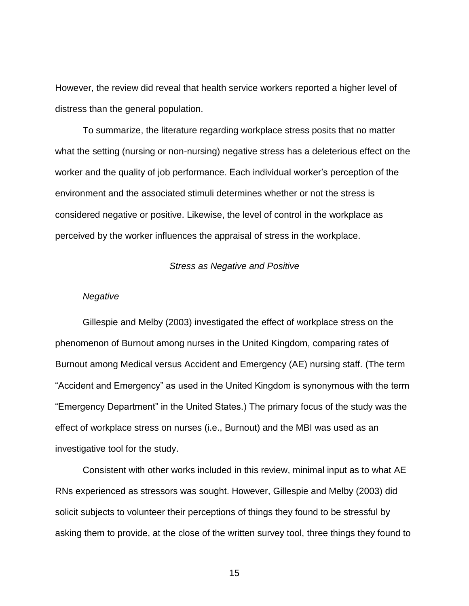However, the review did reveal that health service workers reported a higher level of distress than the general population.

To summarize, the literature regarding workplace stress posits that no matter what the setting (nursing or non-nursing) negative stress has a deleterious effect on the worker and the quality of job performance. Each individual worker's perception of the environment and the associated stimuli determines whether or not the stress is considered negative or positive. Likewise, the level of control in the workplace as perceived by the worker influences the appraisal of stress in the workplace.

#### *Stress as Negative and Positive*

#### <span id="page-25-1"></span><span id="page-25-0"></span>*Negative*

Gillespie and Melby (2003) investigated the effect of workplace stress on the phenomenon of Burnout among nurses in the United Kingdom, comparing rates of Burnout among Medical versus Accident and Emergency (AE) nursing staff. (The term "Accident and Emergency" as used in the United Kingdom is synonymous with the term "Emergency Department" in the United States.) The primary focus of the study was the effect of workplace stress on nurses (i.e., Burnout) and the MBI was used as an investigative tool for the study.

Consistent with other works included in this review, minimal input as to what AE RNs experienced as stressors was sought. However, Gillespie and Melby (2003) did solicit subjects to volunteer their perceptions of things they found to be stressful by asking them to provide, at the close of the written survey tool, three things they found to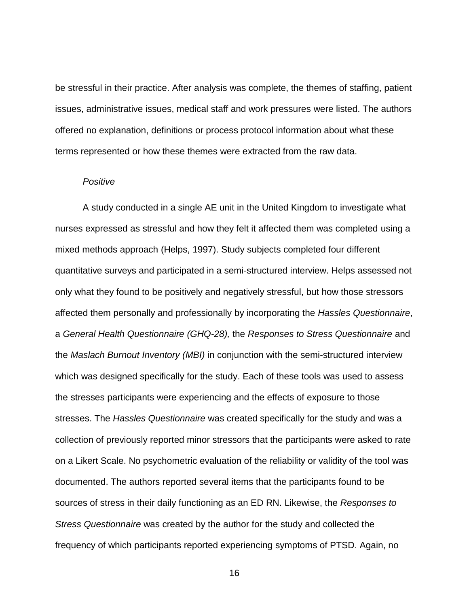be stressful in their practice. After analysis was complete, the themes of staffing, patient issues, administrative issues, medical staff and work pressures were listed. The authors offered no explanation, definitions or process protocol information about what these terms represented or how these themes were extracted from the raw data.

### <span id="page-26-0"></span>*Positive*

A study conducted in a single AE unit in the United Kingdom to investigate what nurses expressed as stressful and how they felt it affected them was completed using a mixed methods approach (Helps, 1997). Study subjects completed four different quantitative surveys and participated in a semi-structured interview. Helps assessed not only what they found to be positively and negatively stressful, but how those stressors affected them personally and professionally by incorporating the *Hassles Questionnaire*, a *General Health Questionnaire (GHQ-28),* the *Responses to Stress Questionnaire* and the *Maslach Burnout Inventory (MBI)* in conjunction with the semi-structured interview which was designed specifically for the study. Each of these tools was used to assess the stresses participants were experiencing and the effects of exposure to those stresses. The *Hassles Questionnaire* was created specifically for the study and was a collection of previously reported minor stressors that the participants were asked to rate on a Likert Scale. No psychometric evaluation of the reliability or validity of the tool was documented. The authors reported several items that the participants found to be sources of stress in their daily functioning as an ED RN. Likewise, the *Responses to Stress Questionnaire* was created by the author for the study and collected the frequency of which participants reported experiencing symptoms of PTSD. Again, no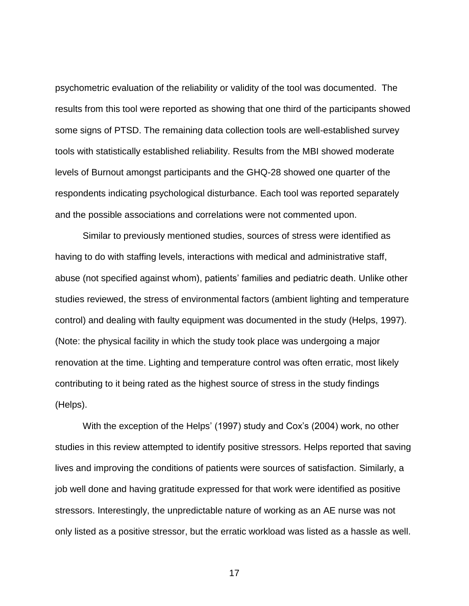psychometric evaluation of the reliability or validity of the tool was documented. The results from this tool were reported as showing that one third of the participants showed some signs of PTSD. The remaining data collection tools are well-established survey tools with statistically established reliability. Results from the MBI showed moderate levels of Burnout amongst participants and the GHQ-28 showed one quarter of the respondents indicating psychological disturbance. Each tool was reported separately and the possible associations and correlations were not commented upon.

Similar to previously mentioned studies, sources of stress were identified as having to do with staffing levels, interactions with medical and administrative staff, abuse (not specified against whom), patients' families and pediatric death. Unlike other studies reviewed, the stress of environmental factors (ambient lighting and temperature control) and dealing with faulty equipment was documented in the study (Helps, 1997). (Note: the physical facility in which the study took place was undergoing a major renovation at the time. Lighting and temperature control was often erratic, most likely contributing to it being rated as the highest source of stress in the study findings (Helps).

With the exception of the Helps' (1997) study and Cox's (2004) work, no other studies in this review attempted to identify positive stressors. Helps reported that saving lives and improving the conditions of patients were sources of satisfaction. Similarly, a job well done and having gratitude expressed for that work were identified as positive stressors. Interestingly, the unpredictable nature of working as an AE nurse was not only listed as a positive stressor, but the erratic workload was listed as a hassle as well.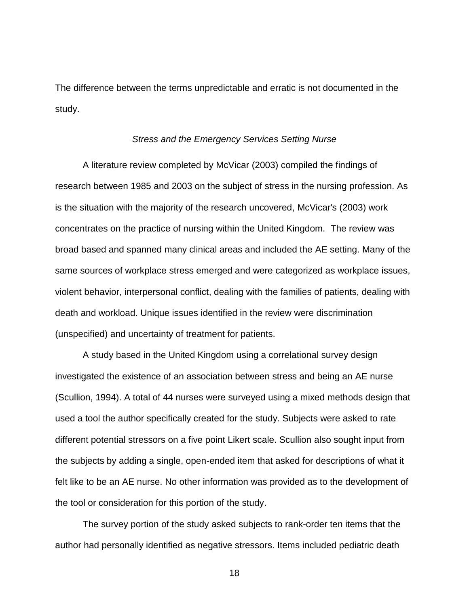The difference between the terms unpredictable and erratic is not documented in the study.

#### *Stress and the Emergency Services Setting Nurse*

<span id="page-28-0"></span>A literature review completed by McVicar (2003) compiled the findings of research between 1985 and 2003 on the subject of stress in the nursing profession. As is the situation with the majority of the research uncovered, McVicar's (2003) work concentrates on the practice of nursing within the United Kingdom. The review was broad based and spanned many clinical areas and included the AE setting. Many of the same sources of workplace stress emerged and were categorized as workplace issues, violent behavior, interpersonal conflict, dealing with the families of patients, dealing with death and workload. Unique issues identified in the review were discrimination (unspecified) and uncertainty of treatment for patients.

A study based in the United Kingdom using a correlational survey design investigated the existence of an association between stress and being an AE nurse (Scullion, 1994). A total of 44 nurses were surveyed using a mixed methods design that used a tool the author specifically created for the study. Subjects were asked to rate different potential stressors on a five point Likert scale. Scullion also sought input from the subjects by adding a single, open-ended item that asked for descriptions of what it felt like to be an AE nurse. No other information was provided as to the development of the tool or consideration for this portion of the study.

The survey portion of the study asked subjects to rank-order ten items that the author had personally identified as negative stressors. Items included pediatric death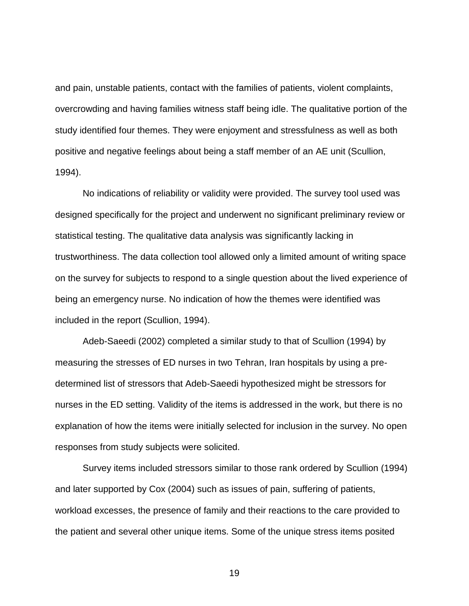and pain, unstable patients, contact with the families of patients, violent complaints, overcrowding and having families witness staff being idle. The qualitative portion of the study identified four themes. They were enjoyment and stressfulness as well as both positive and negative feelings about being a staff member of an AE unit (Scullion, 1994).

No indications of reliability or validity were provided. The survey tool used was designed specifically for the project and underwent no significant preliminary review or statistical testing. The qualitative data analysis was significantly lacking in trustworthiness. The data collection tool allowed only a limited amount of writing space on the survey for subjects to respond to a single question about the lived experience of being an emergency nurse. No indication of how the themes were identified was included in the report (Scullion, 1994).

Adeb-Saeedi (2002) completed a similar study to that of Scullion (1994) by measuring the stresses of ED nurses in two Tehran, Iran hospitals by using a predetermined list of stressors that Adeb-Saeedi hypothesized might be stressors for nurses in the ED setting. Validity of the items is addressed in the work, but there is no explanation of how the items were initially selected for inclusion in the survey. No open responses from study subjects were solicited.

Survey items included stressors similar to those rank ordered by Scullion (1994) and later supported by Cox (2004) such as issues of pain, suffering of patients, workload excesses, the presence of family and their reactions to the care provided to the patient and several other unique items. Some of the unique stress items posited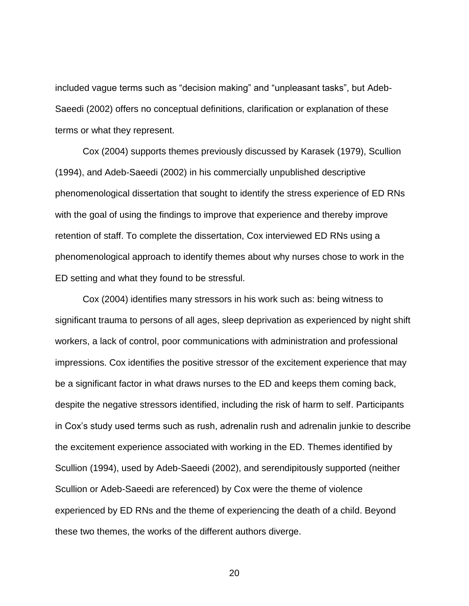included vague terms such as "decision making" and "unpleasant tasks", but Adeb-Saeedi (2002) offers no conceptual definitions, clarification or explanation of these terms or what they represent.

Cox (2004) supports themes previously discussed by Karasek (1979), Scullion (1994), and Adeb-Saeedi (2002) in his commercially unpublished descriptive phenomenological dissertation that sought to identify the stress experience of ED RNs with the goal of using the findings to improve that experience and thereby improve retention of staff. To complete the dissertation, Cox interviewed ED RNs using a phenomenological approach to identify themes about why nurses chose to work in the ED setting and what they found to be stressful.

Cox (2004) identifies many stressors in his work such as: being witness to significant trauma to persons of all ages, sleep deprivation as experienced by night shift workers, a lack of control, poor communications with administration and professional impressions. Cox identifies the positive stressor of the excitement experience that may be a significant factor in what draws nurses to the ED and keeps them coming back, despite the negative stressors identified, including the risk of harm to self. Participants in Cox's study used terms such as rush, adrenalin rush and adrenalin junkie to describe the excitement experience associated with working in the ED. Themes identified by Scullion (1994), used by Adeb-Saeedi (2002), and serendipitously supported (neither Scullion or Adeb-Saeedi are referenced) by Cox were the theme of violence experienced by ED RNs and the theme of experiencing the death of a child. Beyond these two themes, the works of the different authors diverge.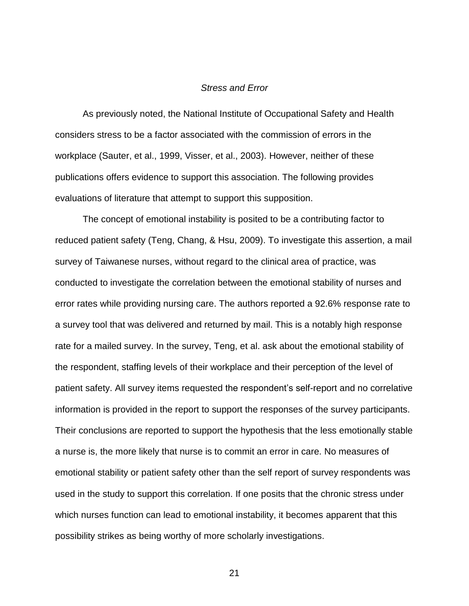#### *Stress and Error*

<span id="page-31-0"></span>As previously noted, the National Institute of Occupational Safety and Health considers stress to be a factor associated with the commission of errors in the workplace (Sauter, et al., 1999, Visser, et al., 2003). However, neither of these publications offers evidence to support this association. The following provides evaluations of literature that attempt to support this supposition.

The concept of emotional instability is posited to be a contributing factor to reduced patient safety (Teng, Chang, & Hsu, 2009). To investigate this assertion, a mail survey of Taiwanese nurses, without regard to the clinical area of practice, was conducted to investigate the correlation between the emotional stability of nurses and error rates while providing nursing care. The authors reported a 92.6% response rate to a survey tool that was delivered and returned by mail. This is a notably high response rate for a mailed survey. In the survey, Teng, et al. ask about the emotional stability of the respondent, staffing levels of their workplace and their perception of the level of patient safety. All survey items requested the respondent's self-report and no correlative information is provided in the report to support the responses of the survey participants. Their conclusions are reported to support the hypothesis that the less emotionally stable a nurse is, the more likely that nurse is to commit an error in care. No measures of emotional stability or patient safety other than the self report of survey respondents was used in the study to support this correlation. If one posits that the chronic stress under which nurses function can lead to emotional instability, it becomes apparent that this possibility strikes as being worthy of more scholarly investigations.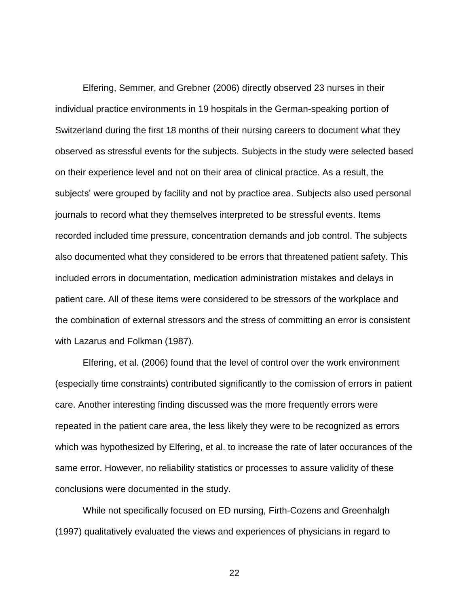Elfering, Semmer, and Grebner (2006) directly observed 23 nurses in their individual practice environments in 19 hospitals in the German-speaking portion of Switzerland during the first 18 months of their nursing careers to document what they observed as stressful events for the subjects. Subjects in the study were selected based on their experience level and not on their area of clinical practice. As a result, the subjects' were grouped by facility and not by practice area. Subjects also used personal journals to record what they themselves interpreted to be stressful events. Items recorded included time pressure, concentration demands and job control. The subjects also documented what they considered to be errors that threatened patient safety. This included errors in documentation, medication administration mistakes and delays in patient care. All of these items were considered to be stressors of the workplace and the combination of external stressors and the stress of committing an error is consistent with Lazarus and Folkman (1987).

Elfering, et al. (2006) found that the level of control over the work environment (especially time constraints) contributed significantly to the comission of errors in patient care. Another interesting finding discussed was the more frequently errors were repeated in the patient care area, the less likely they were to be recognized as errors which was hypothesized by Elfering, et al. to increase the rate of later occurances of the same error. However, no reliability statistics or processes to assure validity of these conclusions were documented in the study.

While not specifically focused on ED nursing, Firth-Cozens and Greenhalgh (1997) qualitatively evaluated the views and experiences of physicians in regard to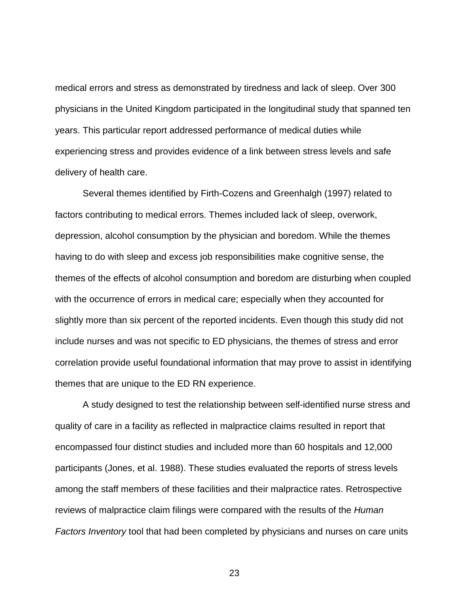medical errors and stress as demonstrated by tiredness and lack of sleep. Over 300 physicians in the United Kingdom participated in the longitudinal study that spanned ten years. This particular report addressed performance of medical duties while experiencing stress and provides evidence of a link between stress levels and safe delivery of health care.

Several themes identified by Firth-Cozens and Greenhalgh (1997) related to factors contributing to medical errors. Themes included lack of sleep, overwork, depression, alcohol consumption by the physician and boredom. While the themes having to do with sleep and excess job responsibilities make cognitive sense, the themes of the effects of alcohol consumption and boredom are disturbing when coupled with the occurrence of errors in medical care; especially when they accounted for slightly more than six percent of the reported incidents. Even though this study did not include nurses and was not specific to ED physicians, the themes of stress and error correlation provide useful foundational information that may prove to assist in identifying themes that are unique to the ED RN experience.

A study designed to test the relationship between self-identified nurse stress and quality of care in a facility as reflected in malpractice claims resulted in report that encompassed four distinct studies and included more than 60 hospitals and 12,000 participants (Jones, et al. 1988). These studies evaluated the reports of stress levels among the staff members of these facilities and their malpractice rates. Retrospective reviews of malpractice claim filings were compared with the results of the *Human Factors Inventory* tool that had been completed by physicians and nurses on care units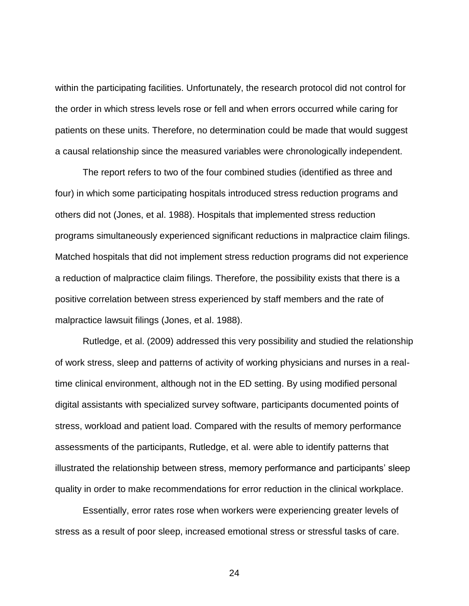within the participating facilities. Unfortunately, the research protocol did not control for the order in which stress levels rose or fell and when errors occurred while caring for patients on these units. Therefore, no determination could be made that would suggest a causal relationship since the measured variables were chronologically independent.

The report refers to two of the four combined studies (identified as three and four) in which some participating hospitals introduced stress reduction programs and others did not (Jones, et al. 1988). Hospitals that implemented stress reduction programs simultaneously experienced significant reductions in malpractice claim filings. Matched hospitals that did not implement stress reduction programs did not experience a reduction of malpractice claim filings. Therefore, the possibility exists that there is a positive correlation between stress experienced by staff members and the rate of malpractice lawsuit filings (Jones, et al. 1988).

Rutledge, et al. (2009) addressed this very possibility and studied the relationship of work stress, sleep and patterns of activity of working physicians and nurses in a realtime clinical environment, although not in the ED setting. By using modified personal digital assistants with specialized survey software, participants documented points of stress, workload and patient load. Compared with the results of memory performance assessments of the participants, Rutledge, et al. were able to identify patterns that illustrated the relationship between stress, memory performance and participants' sleep quality in order to make recommendations for error reduction in the clinical workplace.

Essentially, error rates rose when workers were experiencing greater levels of stress as a result of poor sleep, increased emotional stress or stressful tasks of care.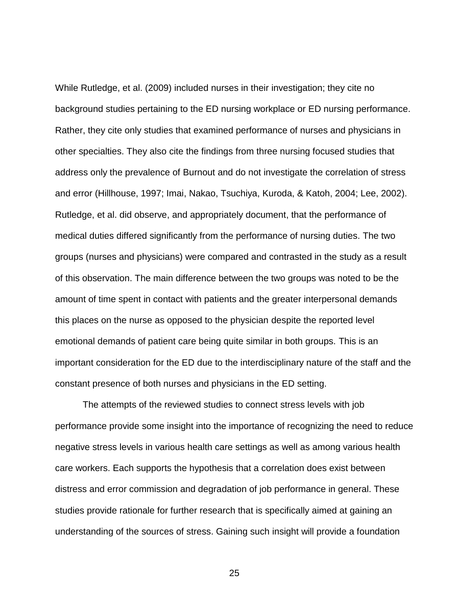While Rutledge, et al. (2009) included nurses in their investigation; they cite no background studies pertaining to the ED nursing workplace or ED nursing performance. Rather, they cite only studies that examined performance of nurses and physicians in other specialties. They also cite the findings from three nursing focused studies that address only the prevalence of Burnout and do not investigate the correlation of stress and error (Hillhouse, 1997; Imai, Nakao, Tsuchiya, Kuroda, & Katoh, 2004; Lee, 2002). Rutledge, et al. did observe, and appropriately document, that the performance of medical duties differed significantly from the performance of nursing duties. The two groups (nurses and physicians) were compared and contrasted in the study as a result of this observation. The main difference between the two groups was noted to be the amount of time spent in contact with patients and the greater interpersonal demands this places on the nurse as opposed to the physician despite the reported level emotional demands of patient care being quite similar in both groups. This is an important consideration for the ED due to the interdisciplinary nature of the staff and the constant presence of both nurses and physicians in the ED setting.

The attempts of the reviewed studies to connect stress levels with job performance provide some insight into the importance of recognizing the need to reduce negative stress levels in various health care settings as well as among various health care workers. Each supports the hypothesis that a correlation does exist between distress and error commission and degradation of job performance in general. These studies provide rationale for further research that is specifically aimed at gaining an understanding of the sources of stress. Gaining such insight will provide a foundation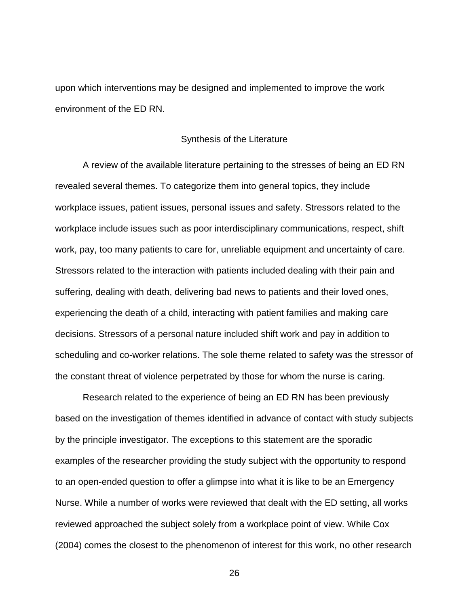upon which interventions may be designed and implemented to improve the work environment of the ED RN.

#### Synthesis of the Literature

A review of the available literature pertaining to the stresses of being an ED RN revealed several themes. To categorize them into general topics, they include workplace issues, patient issues, personal issues and safety. Stressors related to the workplace include issues such as poor interdisciplinary communications, respect, shift work, pay, too many patients to care for, unreliable equipment and uncertainty of care. Stressors related to the interaction with patients included dealing with their pain and suffering, dealing with death, delivering bad news to patients and their loved ones, experiencing the death of a child, interacting with patient families and making care decisions. Stressors of a personal nature included shift work and pay in addition to scheduling and co-worker relations. The sole theme related to safety was the stressor of the constant threat of violence perpetrated by those for whom the nurse is caring.

Research related to the experience of being an ED RN has been previously based on the investigation of themes identified in advance of contact with study subjects by the principle investigator. The exceptions to this statement are the sporadic examples of the researcher providing the study subject with the opportunity to respond to an open-ended question to offer a glimpse into what it is like to be an Emergency Nurse. While a number of works were reviewed that dealt with the ED setting, all works reviewed approached the subject solely from a workplace point of view. While Cox (2004) comes the closest to the phenomenon of interest for this work, no other research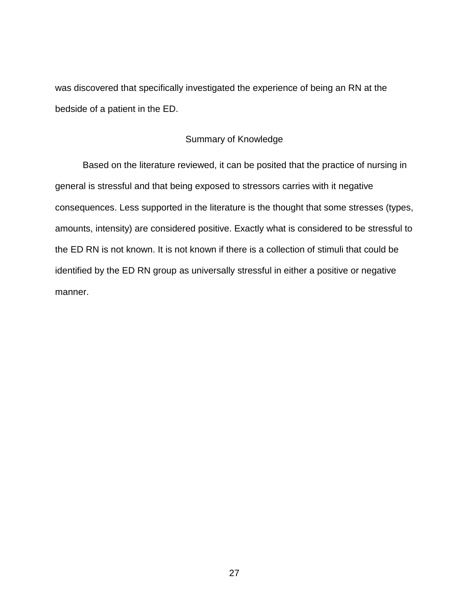was discovered that specifically investigated the experience of being an RN at the bedside of a patient in the ED.

### Summary of Knowledge

Based on the literature reviewed, it can be posited that the practice of nursing in general is stressful and that being exposed to stressors carries with it negative consequences. Less supported in the literature is the thought that some stresses (types, amounts, intensity) are considered positive. Exactly what is considered to be stressful to the ED RN is not known. It is not known if there is a collection of stimuli that could be identified by the ED RN group as universally stressful in either a positive or negative manner.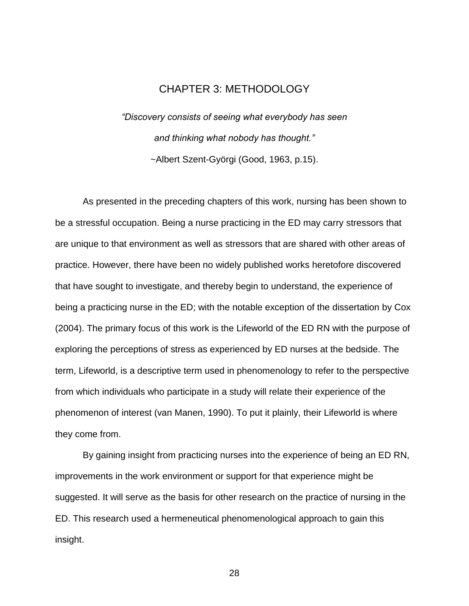# CHAPTER 3: METHODOLOGY

*"Discovery consists of seeing what everybody has seen and thinking what nobody has thought."* ~Albert Szent-Györgi (Good, 1963, p.15).

As presented in the preceding chapters of this work, nursing has been shown to be a stressful occupation. Being a nurse practicing in the ED may carry stressors that are unique to that environment as well as stressors that are shared with other areas of practice. However, there have been no widely published works heretofore discovered that have sought to investigate, and thereby begin to understand, the experience of being a practicing nurse in the ED; with the notable exception of the dissertation by Cox (2004). The primary focus of this work is the Lifeworld of the ED RN with the purpose of exploring the perceptions of stress as experienced by ED nurses at the bedside. The term, Lifeworld, is a descriptive term used in phenomenology to refer to the perspective from which individuals who participate in a study will relate their experience of the phenomenon of interest (van Manen, 1990). To put it plainly, their Lifeworld is where they come from.

By gaining insight from practicing nurses into the experience of being an ED RN, improvements in the work environment or support for that experience might be suggested. It will serve as the basis for other research on the practice of nursing in the ED. This research used a hermeneutical phenomenological approach to gain this insight.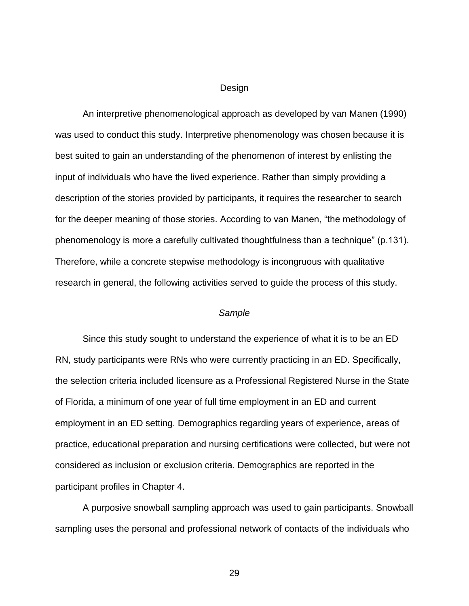#### Design

An interpretive phenomenological approach as developed by van Manen (1990) was used to conduct this study. Interpretive phenomenology was chosen because it is best suited to gain an understanding of the phenomenon of interest by enlisting the input of individuals who have the lived experience. Rather than simply providing a description of the stories provided by participants, it requires the researcher to search for the deeper meaning of those stories. According to van Manen, "the methodology of phenomenology is more a carefully cultivated thoughtfulness than a technique" (p.131). Therefore, while a concrete stepwise methodology is incongruous with qualitative research in general, the following activities served to guide the process of this study.

#### *Sample*

Since this study sought to understand the experience of what it is to be an ED RN, study participants were RNs who were currently practicing in an ED. Specifically, the selection criteria included licensure as a Professional Registered Nurse in the State of Florida, a minimum of one year of full time employment in an ED and current employment in an ED setting. Demographics regarding years of experience, areas of practice, educational preparation and nursing certifications were collected, but were not considered as inclusion or exclusion criteria. Demographics are reported in the participant profiles in Chapter 4.

A purposive snowball sampling approach was used to gain participants. Snowball sampling uses the personal and professional network of contacts of the individuals who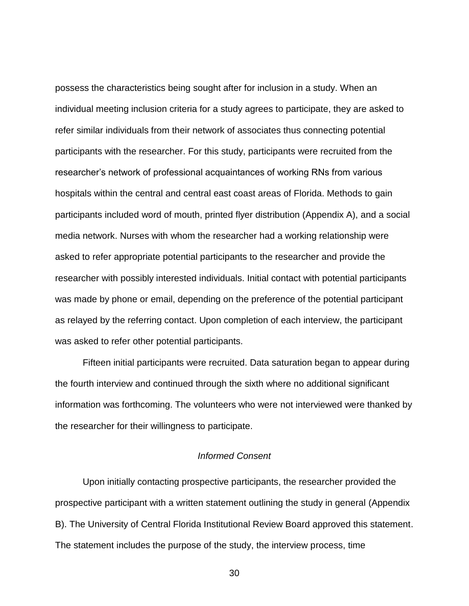possess the characteristics being sought after for inclusion in a study. When an individual meeting inclusion criteria for a study agrees to participate, they are asked to refer similar individuals from their network of associates thus connecting potential participants with the researcher. For this study, participants were recruited from the researcher's network of professional acquaintances of working RNs from various hospitals within the central and central east coast areas of Florida. Methods to gain participants included word of mouth, printed flyer distribution (Appendix A), and a social media network. Nurses with whom the researcher had a working relationship were asked to refer appropriate potential participants to the researcher and provide the researcher with possibly interested individuals. Initial contact with potential participants was made by phone or email, depending on the preference of the potential participant as relayed by the referring contact. Upon completion of each interview, the participant was asked to refer other potential participants.

Fifteen initial participants were recruited. Data saturation began to appear during the fourth interview and continued through the sixth where no additional significant information was forthcoming. The volunteers who were not interviewed were thanked by the researcher for their willingness to participate.

## *Informed Consent*

Upon initially contacting prospective participants, the researcher provided the prospective participant with a written statement outlining the study in general (Appendix B). The University of Central Florida Institutional Review Board approved this statement. The statement includes the purpose of the study, the interview process, time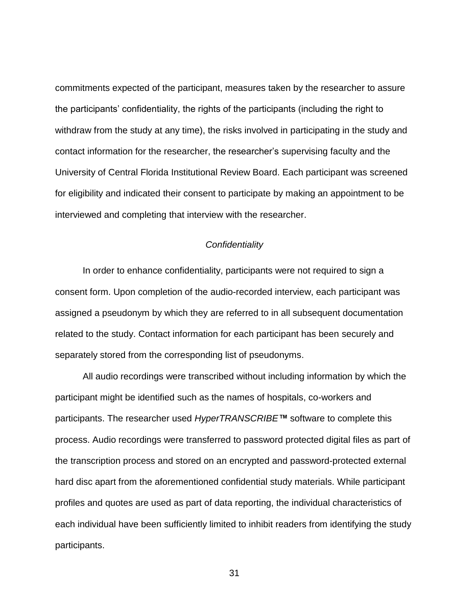commitments expected of the participant, measures taken by the researcher to assure the participants' confidentiality, the rights of the participants (including the right to withdraw from the study at any time), the risks involved in participating in the study and contact information for the researcher, the researcher's supervising faculty and the University of Central Florida Institutional Review Board. Each participant was screened for eligibility and indicated their consent to participate by making an appointment to be interviewed and completing that interview with the researcher.

### *Confidentiality*

In order to enhance confidentiality, participants were not required to sign a consent form. Upon completion of the audio-recorded interview, each participant was assigned a pseudonym by which they are referred to in all subsequent documentation related to the study. Contact information for each participant has been securely and separately stored from the corresponding list of pseudonyms.

All audio recordings were transcribed without including information by which the participant might be identified such as the names of hospitals, co-workers and participants. The researcher used *HyperTRANSCRIBE™* software to complete this process. Audio recordings were transferred to password protected digital files as part of the transcription process and stored on an encrypted and password-protected external hard disc apart from the aforementioned confidential study materials. While participant profiles and quotes are used as part of data reporting, the individual characteristics of each individual have been sufficiently limited to inhibit readers from identifying the study participants.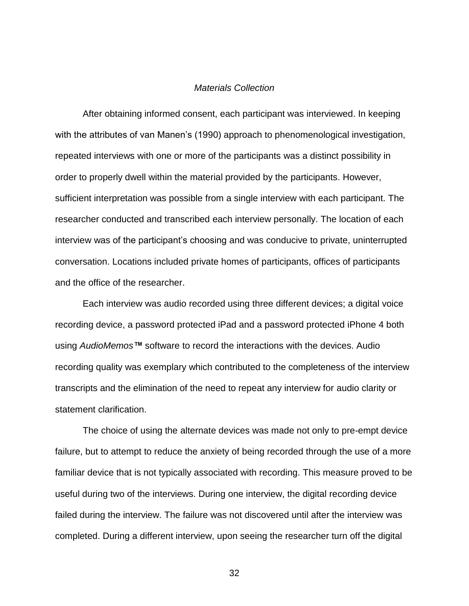### *Materials Collection*

After obtaining informed consent, each participant was interviewed. In keeping with the attributes of van Manen's (1990) approach to phenomenological investigation, repeated interviews with one or more of the participants was a distinct possibility in order to properly dwell within the material provided by the participants. However, sufficient interpretation was possible from a single interview with each participant. The researcher conducted and transcribed each interview personally. The location of each interview was of the participant's choosing and was conducive to private, uninterrupted conversation. Locations included private homes of participants, offices of participants and the office of the researcher.

Each interview was audio recorded using three different devices; a digital voice recording device, a password protected iPad and a password protected iPhone 4 both using *AudioMemos™* software to record the interactions with the devices. Audio recording quality was exemplary which contributed to the completeness of the interview transcripts and the elimination of the need to repeat any interview for audio clarity or statement clarification.

The choice of using the alternate devices was made not only to pre-empt device failure, but to attempt to reduce the anxiety of being recorded through the use of a more familiar device that is not typically associated with recording. This measure proved to be useful during two of the interviews. During one interview, the digital recording device failed during the interview. The failure was not discovered until after the interview was completed. During a different interview, upon seeing the researcher turn off the digital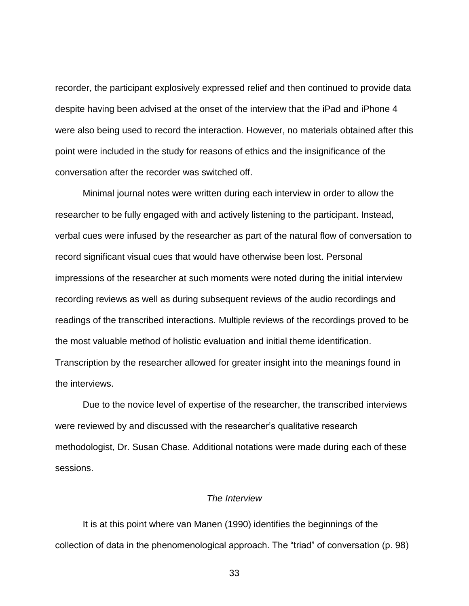recorder, the participant explosively expressed relief and then continued to provide data despite having been advised at the onset of the interview that the iPad and iPhone 4 were also being used to record the interaction. However, no materials obtained after this point were included in the study for reasons of ethics and the insignificance of the conversation after the recorder was switched off.

Minimal journal notes were written during each interview in order to allow the researcher to be fully engaged with and actively listening to the participant. Instead, verbal cues were infused by the researcher as part of the natural flow of conversation to record significant visual cues that would have otherwise been lost. Personal impressions of the researcher at such moments were noted during the initial interview recording reviews as well as during subsequent reviews of the audio recordings and readings of the transcribed interactions. Multiple reviews of the recordings proved to be the most valuable method of holistic evaluation and initial theme identification. Transcription by the researcher allowed for greater insight into the meanings found in the interviews.

Due to the novice level of expertise of the researcher, the transcribed interviews were reviewed by and discussed with the researcher's qualitative research methodologist, Dr. Susan Chase. Additional notations were made during each of these sessions.

### *The Interview*

It is at this point where van Manen (1990) identifies the beginnings of the collection of data in the phenomenological approach. The "triad" of conversation (p. 98)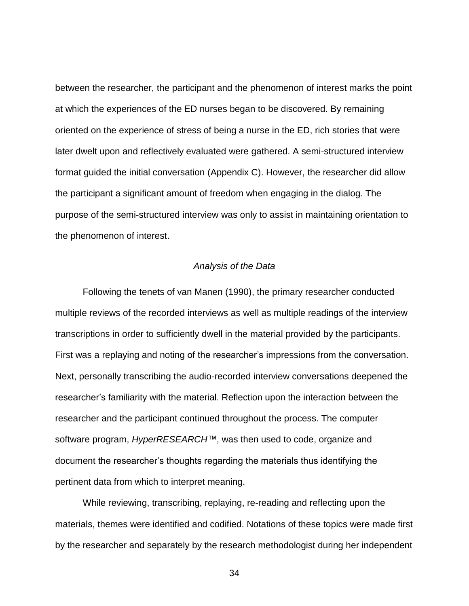between the researcher, the participant and the phenomenon of interest marks the point at which the experiences of the ED nurses began to be discovered. By remaining oriented on the experience of stress of being a nurse in the ED, rich stories that were later dwelt upon and reflectively evaluated were gathered. A semi-structured interview format guided the initial conversation (Appendix C). However, the researcher did allow the participant a significant amount of freedom when engaging in the dialog. The purpose of the semi-structured interview was only to assist in maintaining orientation to the phenomenon of interest.

### *Analysis of the Data*

Following the tenets of van Manen (1990), the primary researcher conducted multiple reviews of the recorded interviews as well as multiple readings of the interview transcriptions in order to sufficiently dwell in the material provided by the participants. First was a replaying and noting of the researcher's impressions from the conversation. Next, personally transcribing the audio-recorded interview conversations deepened the researcher's familiarity with the material. Reflection upon the interaction between the researcher and the participant continued throughout the process. The computer software program, *HyperRESEARCH™*, was then used to code, organize and document the researcher's thoughts regarding the materials thus identifying the pertinent data from which to interpret meaning.

While reviewing, transcribing, replaying, re-reading and reflecting upon the materials, themes were identified and codified. Notations of these topics were made first by the researcher and separately by the research methodologist during her independent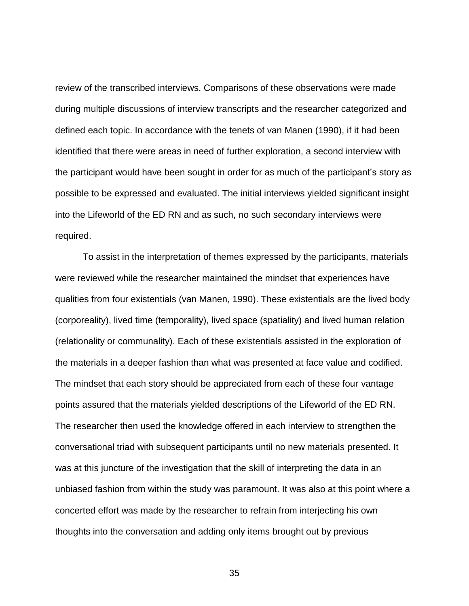review of the transcribed interviews. Comparisons of these observations were made during multiple discussions of interview transcripts and the researcher categorized and defined each topic. In accordance with the tenets of van Manen (1990), if it had been identified that there were areas in need of further exploration, a second interview with the participant would have been sought in order for as much of the participant's story as possible to be expressed and evaluated. The initial interviews yielded significant insight into the Lifeworld of the ED RN and as such, no such secondary interviews were required.

To assist in the interpretation of themes expressed by the participants, materials were reviewed while the researcher maintained the mindset that experiences have qualities from four existentials (van Manen, 1990). These existentials are the lived body (corporeality), lived time (temporality), lived space (spatiality) and lived human relation (relationality or communality). Each of these existentials assisted in the exploration of the materials in a deeper fashion than what was presented at face value and codified. The mindset that each story should be appreciated from each of these four vantage points assured that the materials yielded descriptions of the Lifeworld of the ED RN. The researcher then used the knowledge offered in each interview to strengthen the conversational triad with subsequent participants until no new materials presented. It was at this juncture of the investigation that the skill of interpreting the data in an unbiased fashion from within the study was paramount. It was also at this point where a concerted effort was made by the researcher to refrain from interjecting his own thoughts into the conversation and adding only items brought out by previous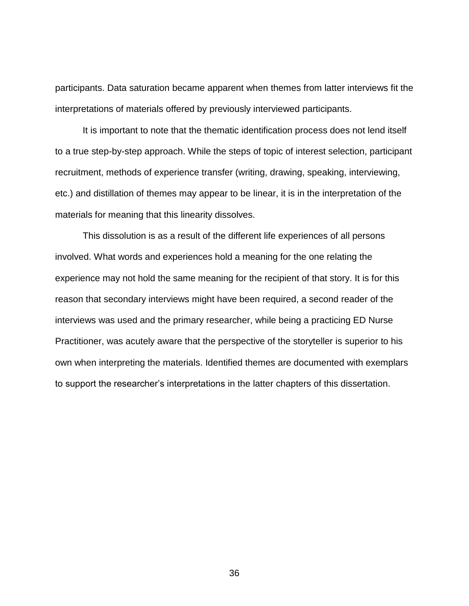participants. Data saturation became apparent when themes from latter interviews fit the interpretations of materials offered by previously interviewed participants.

It is important to note that the thematic identification process does not lend itself to a true step-by-step approach. While the steps of topic of interest selection, participant recruitment, methods of experience transfer (writing, drawing, speaking, interviewing, etc.) and distillation of themes may appear to be linear, it is in the interpretation of the materials for meaning that this linearity dissolves.

This dissolution is as a result of the different life experiences of all persons involved. What words and experiences hold a meaning for the one relating the experience may not hold the same meaning for the recipient of that story. It is for this reason that secondary interviews might have been required, a second reader of the interviews was used and the primary researcher, while being a practicing ED Nurse Practitioner, was acutely aware that the perspective of the storyteller is superior to his own when interpreting the materials. Identified themes are documented with exemplars to support the researcher's interpretations in the latter chapters of this dissertation.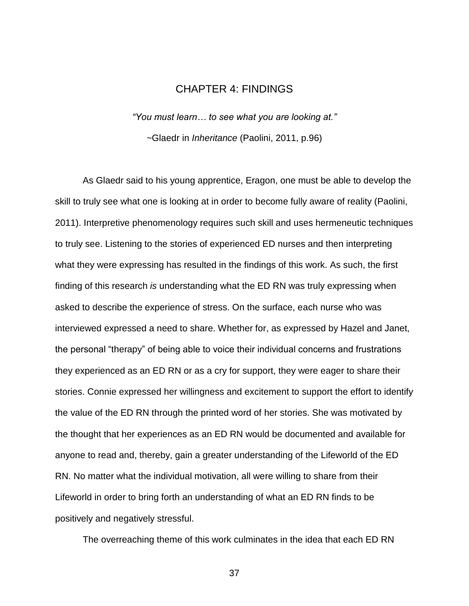## CHAPTER 4: FINDINGS

*"You must learn… to see what you are looking at." ~*Glaedr in *Inheritance* (Paolini, 2011, p.96)

As Glaedr said to his young apprentice, Eragon, one must be able to develop the skill to truly see what one is looking at in order to become fully aware of reality (Paolini, 2011). Interpretive phenomenology requires such skill and uses hermeneutic techniques to truly see. Listening to the stories of experienced ED nurses and then interpreting what they were expressing has resulted in the findings of this work. As such, the first finding of this research *is* understanding what the ED RN was truly expressing when asked to describe the experience of stress. On the surface, each nurse who was interviewed expressed a need to share. Whether for, as expressed by Hazel and Janet, the personal "therapy" of being able to voice their individual concerns and frustrations they experienced as an ED RN or as a cry for support, they were eager to share their stories. Connie expressed her willingness and excitement to support the effort to identify the value of the ED RN through the printed word of her stories. She was motivated by the thought that her experiences as an ED RN would be documented and available for anyone to read and, thereby, gain a greater understanding of the Lifeworld of the ED RN. No matter what the individual motivation, all were willing to share from their Lifeworld in order to bring forth an understanding of what an ED RN finds to be positively and negatively stressful.

The overreaching theme of this work culminates in the idea that each ED RN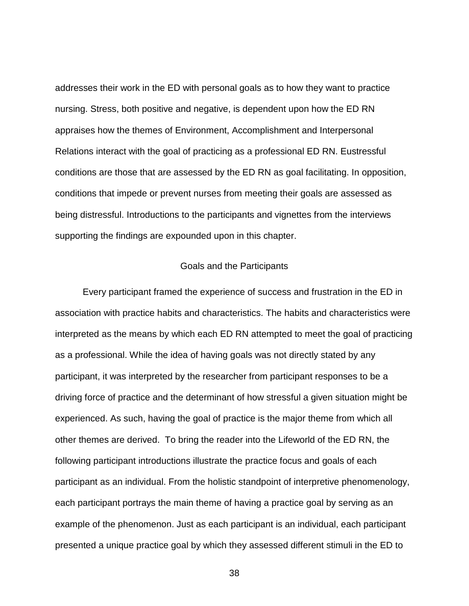addresses their work in the ED with personal goals as to how they want to practice nursing. Stress, both positive and negative, is dependent upon how the ED RN appraises how the themes of Environment, Accomplishment and Interpersonal Relations interact with the goal of practicing as a professional ED RN. Eustressful conditions are those that are assessed by the ED RN as goal facilitating. In opposition, conditions that impede or prevent nurses from meeting their goals are assessed as being distressful. Introductions to the participants and vignettes from the interviews supporting the findings are expounded upon in this chapter.

### Goals and the Participants

Every participant framed the experience of success and frustration in the ED in association with practice habits and characteristics. The habits and characteristics were interpreted as the means by which each ED RN attempted to meet the goal of practicing as a professional. While the idea of having goals was not directly stated by any participant, it was interpreted by the researcher from participant responses to be a driving force of practice and the determinant of how stressful a given situation might be experienced. As such, having the goal of practice is the major theme from which all other themes are derived. To bring the reader into the Lifeworld of the ED RN, the following participant introductions illustrate the practice focus and goals of each participant as an individual. From the holistic standpoint of interpretive phenomenology, each participant portrays the main theme of having a practice goal by serving as an example of the phenomenon. Just as each participant is an individual, each participant presented a unique practice goal by which they assessed different stimuli in the ED to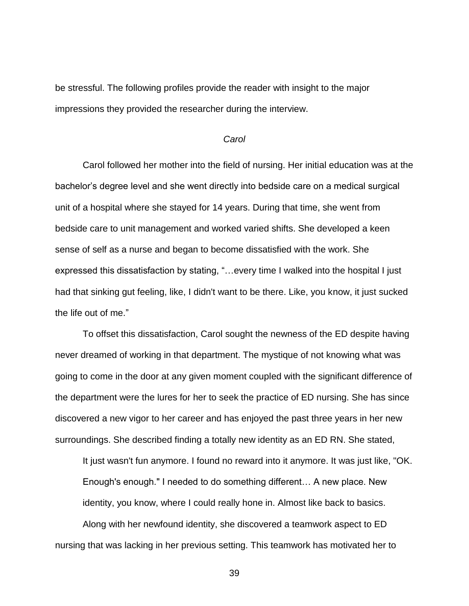be stressful. The following profiles provide the reader with insight to the major impressions they provided the researcher during the interview.

#### *Carol*

Carol followed her mother into the field of nursing. Her initial education was at the bachelor's degree level and she went directly into bedside care on a medical surgical unit of a hospital where she stayed for 14 years. During that time, she went from bedside care to unit management and worked varied shifts. She developed a keen sense of self as a nurse and began to become dissatisfied with the work. She expressed this dissatisfaction by stating, "…every time I walked into the hospital I just had that sinking gut feeling, like, I didn't want to be there. Like, you know, it just sucked the life out of me."

To offset this dissatisfaction, Carol sought the newness of the ED despite having never dreamed of working in that department. The mystique of not knowing what was going to come in the door at any given moment coupled with the significant difference of the department were the lures for her to seek the practice of ED nursing. She has since discovered a new vigor to her career and has enjoyed the past three years in her new surroundings. She described finding a totally new identity as an ED RN. She stated,

It just wasn't fun anymore. I found no reward into it anymore. It was just like, "OK. Enough's enough." I needed to do something different… A new place. New identity, you know, where I could really hone in. Almost like back to basics. Along with her newfound identity, she discovered a teamwork aspect to ED nursing that was lacking in her previous setting. This teamwork has motivated her to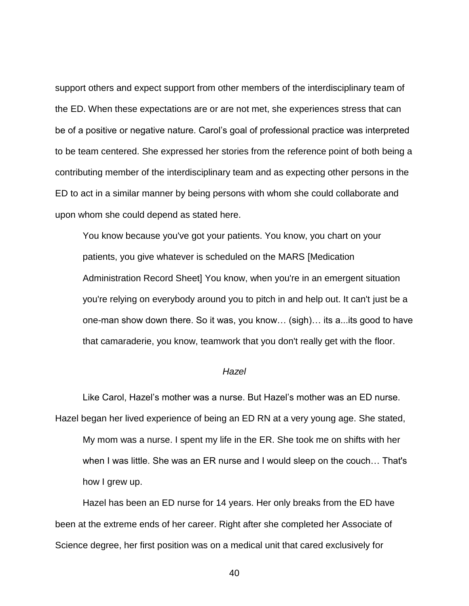support others and expect support from other members of the interdisciplinary team of the ED. When these expectations are or are not met, she experiences stress that can be of a positive or negative nature. Carol's goal of professional practice was interpreted to be team centered. She expressed her stories from the reference point of both being a contributing member of the interdisciplinary team and as expecting other persons in the ED to act in a similar manner by being persons with whom she could collaborate and upon whom she could depend as stated here.

You know because you've got your patients. You know, you chart on your patients, you give whatever is scheduled on the MARS [Medication Administration Record Sheet] You know, when you're in an emergent situation you're relying on everybody around you to pitch in and help out. It can't just be a one-man show down there. So it was, you know… (sigh)… its a...its good to have that camaraderie, you know, teamwork that you don't really get with the floor.

### *Hazel*

Like Carol, Hazel's mother was a nurse. But Hazel's mother was an ED nurse. Hazel began her lived experience of being an ED RN at a very young age. She stated, My mom was a nurse. I spent my life in the ER. She took me on shifts with her when I was little. She was an ER nurse and I would sleep on the couch… That's how I grew up.

Hazel has been an ED nurse for 14 years. Her only breaks from the ED have been at the extreme ends of her career. Right after she completed her Associate of Science degree, her first position was on a medical unit that cared exclusively for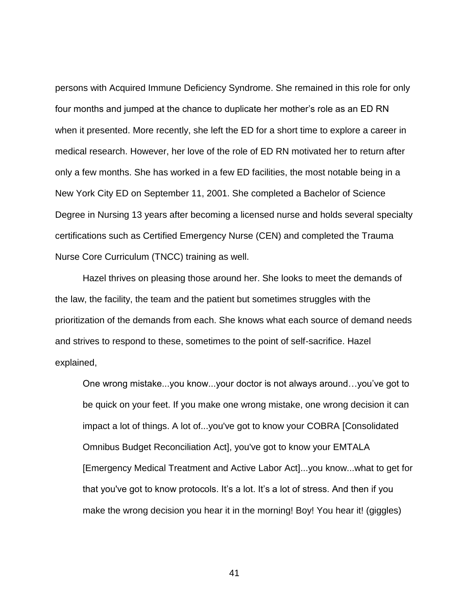persons with Acquired Immune Deficiency Syndrome. She remained in this role for only four months and jumped at the chance to duplicate her mother's role as an ED RN when it presented. More recently, she left the ED for a short time to explore a career in medical research. However, her love of the role of ED RN motivated her to return after only a few months. She has worked in a few ED facilities, the most notable being in a New York City ED on September 11, 2001. She completed a Bachelor of Science Degree in Nursing 13 years after becoming a licensed nurse and holds several specialty certifications such as Certified Emergency Nurse (CEN) and completed the Trauma Nurse Core Curriculum (TNCC) training as well.

Hazel thrives on pleasing those around her. She looks to meet the demands of the law, the facility, the team and the patient but sometimes struggles with the prioritization of the demands from each. She knows what each source of demand needs and strives to respond to these, sometimes to the point of self-sacrifice. Hazel explained,

One wrong mistake...you know...your doctor is not always around…you've got to be quick on your feet. If you make one wrong mistake, one wrong decision it can impact a lot of things. A lot of...you've got to know your COBRA [Consolidated Omnibus Budget Reconciliation Act], you've got to know your EMTALA [Emergency Medical Treatment and Active Labor Act]...you know...what to get for that you've got to know protocols. It's a lot. It's a lot of stress. And then if you make the wrong decision you hear it in the morning! Boy! You hear it! (giggles)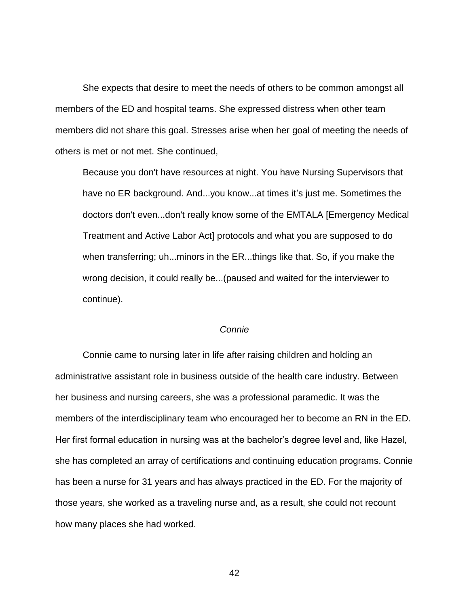She expects that desire to meet the needs of others to be common amongst all members of the ED and hospital teams. She expressed distress when other team members did not share this goal. Stresses arise when her goal of meeting the needs of others is met or not met. She continued,

Because you don't have resources at night. You have Nursing Supervisors that have no ER background. And...you know...at times it's just me. Sometimes the doctors don't even...don't really know some of the EMTALA [Emergency Medical Treatment and Active Labor Act] protocols and what you are supposed to do when transferring; uh...minors in the ER...things like that. So, if you make the wrong decision, it could really be...(paused and waited for the interviewer to continue).

### *Connie*

Connie came to nursing later in life after raising children and holding an administrative assistant role in business outside of the health care industry. Between her business and nursing careers, she was a professional paramedic. It was the members of the interdisciplinary team who encouraged her to become an RN in the ED. Her first formal education in nursing was at the bachelor's degree level and, like Hazel, she has completed an array of certifications and continuing education programs. Connie has been a nurse for 31 years and has always practiced in the ED. For the majority of those years, she worked as a traveling nurse and, as a result, she could not recount how many places she had worked.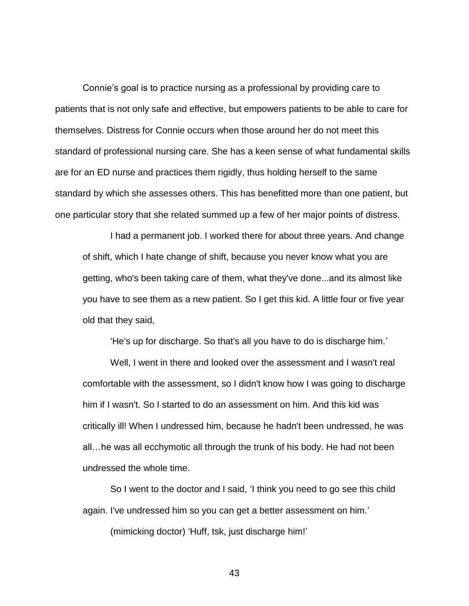Connie's goal is to practice nursing as a professional by providing care to patients that is not only safe and effective, but empowers patients to be able to care for themselves. Distress for Connie occurs when those around her do not meet this standard of professional nursing care. She has a keen sense of what fundamental skills are for an ED nurse and practices them rigidly, thus holding herself to the same standard by which she assesses others. This has benefitted more than one patient, but one particular story that she related summed up a few of her major points of distress.

I had a permanent job. I worked there for about three years. And change of shift, which I hate change of shift, because you never know what you are getting, who's been taking care of them, what they've done...and its almost like you have to see them as a new patient. So I get this kid. A little four or five year old that they said,

'He's up for discharge. So that's all you have to do is discharge him.'

Well, I went in there and looked over the assessment and I wasn't real comfortable with the assessment, so I didn't know how I was going to discharge him if I wasn't. So I started to do an assessment on him. And this kid was critically ill! When I undressed him, because he hadn't been undressed, he was all…he was all ecchymotic all through the trunk of his body. He had not been undressed the whole time.

So I went to the doctor and I said, 'I think you need to go see this child again. I've undressed him so you can get a better assessment on him.'

(mimicking doctor) 'Huff, tsk, just discharge him!'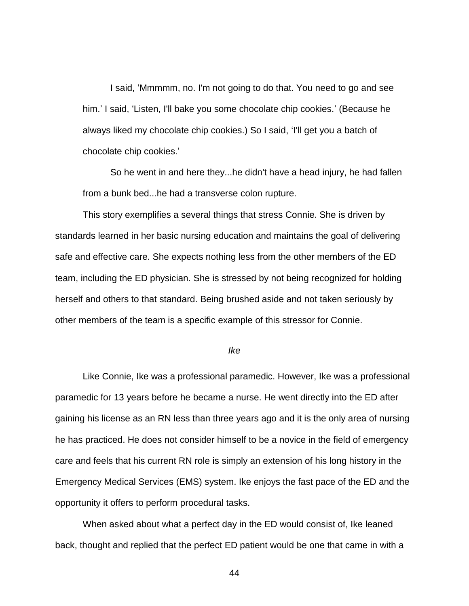I said, 'Mmmmm, no. I'm not going to do that. You need to go and see him.' I said, 'Listen, I'll bake you some chocolate chip cookies.' (Because he always liked my chocolate chip cookies.) So I said, 'I'll get you a batch of chocolate chip cookies.'

So he went in and here they...he didn't have a head injury, he had fallen from a bunk bed...he had a transverse colon rupture.

This story exemplifies a several things that stress Connie. She is driven by standards learned in her basic nursing education and maintains the goal of delivering safe and effective care. She expects nothing less from the other members of the ED team, including the ED physician. She is stressed by not being recognized for holding herself and others to that standard. Being brushed aside and not taken seriously by other members of the team is a specific example of this stressor for Connie.

### *Ike*

Like Connie, Ike was a professional paramedic. However, Ike was a professional paramedic for 13 years before he became a nurse. He went directly into the ED after gaining his license as an RN less than three years ago and it is the only area of nursing he has practiced. He does not consider himself to be a novice in the field of emergency care and feels that his current RN role is simply an extension of his long history in the Emergency Medical Services (EMS) system. Ike enjoys the fast pace of the ED and the opportunity it offers to perform procedural tasks.

When asked about what a perfect day in the ED would consist of, Ike leaned back, thought and replied that the perfect ED patient would be one that came in with a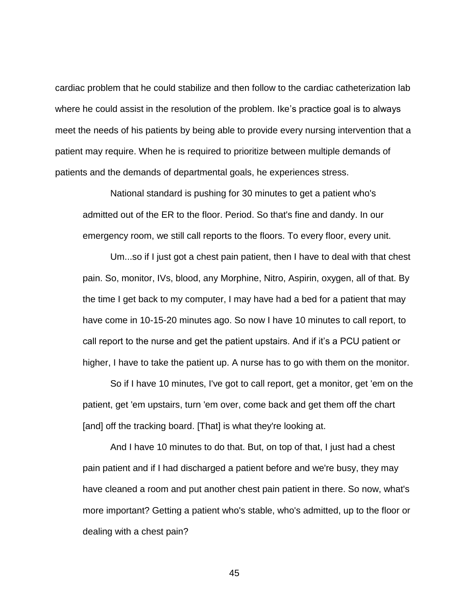cardiac problem that he could stabilize and then follow to the cardiac catheterization lab where he could assist in the resolution of the problem. Ike's practice goal is to always meet the needs of his patients by being able to provide every nursing intervention that a patient may require. When he is required to prioritize between multiple demands of patients and the demands of departmental goals, he experiences stress.

National standard is pushing for 30 minutes to get a patient who's admitted out of the ER to the floor. Period. So that's fine and dandy. In our emergency room, we still call reports to the floors. To every floor, every unit.

Um...so if I just got a chest pain patient, then I have to deal with that chest pain. So, monitor, IVs, blood, any Morphine, Nitro, Aspirin, oxygen, all of that. By the time I get back to my computer, I may have had a bed for a patient that may have come in 10-15-20 minutes ago. So now I have 10 minutes to call report, to call report to the nurse and get the patient upstairs. And if it's a PCU patient or higher, I have to take the patient up. A nurse has to go with them on the monitor.

So if I have 10 minutes, I've got to call report, get a monitor, get 'em on the patient, get 'em upstairs, turn 'em over, come back and get them off the chart [and] off the tracking board. [That] is what they're looking at.

And I have 10 minutes to do that. But, on top of that, I just had a chest pain patient and if I had discharged a patient before and we're busy, they may have cleaned a room and put another chest pain patient in there. So now, what's more important? Getting a patient who's stable, who's admitted, up to the floor or dealing with a chest pain?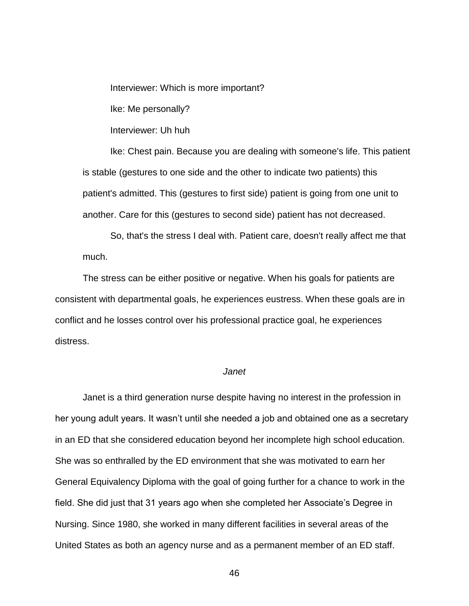Interviewer: Which is more important?

Ike: Me personally?

Interviewer: Uh huh

Ike: Chest pain. Because you are dealing with someone's life. This patient is stable (gestures to one side and the other to indicate two patients) this patient's admitted. This (gestures to first side) patient is going from one unit to another. Care for this (gestures to second side) patient has not decreased.

So, that's the stress I deal with. Patient care, doesn't really affect me that much.

The stress can be either positive or negative. When his goals for patients are consistent with departmental goals, he experiences eustress. When these goals are in conflict and he losses control over his professional practice goal, he experiences distress.

### *Janet*

Janet is a third generation nurse despite having no interest in the profession in her young adult years. It wasn't until she needed a job and obtained one as a secretary in an ED that she considered education beyond her incomplete high school education. She was so enthralled by the ED environment that she was motivated to earn her General Equivalency Diploma with the goal of going further for a chance to work in the field. She did just that 31 years ago when she completed her Associate's Degree in Nursing. Since 1980, she worked in many different facilities in several areas of the United States as both an agency nurse and as a permanent member of an ED staff.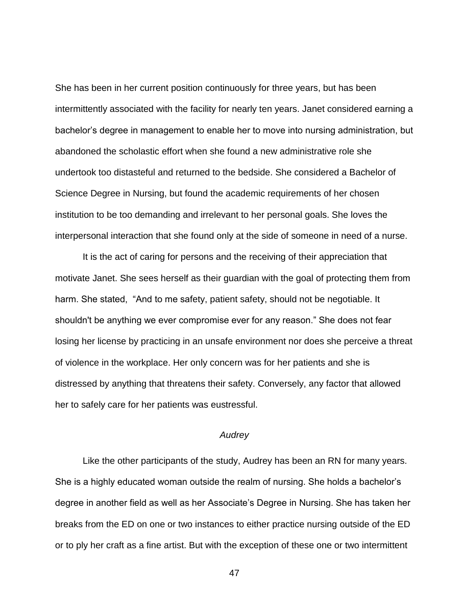She has been in her current position continuously for three years, but has been intermittently associated with the facility for nearly ten years. Janet considered earning a bachelor's degree in management to enable her to move into nursing administration, but abandoned the scholastic effort when she found a new administrative role she undertook too distasteful and returned to the bedside. She considered a Bachelor of Science Degree in Nursing, but found the academic requirements of her chosen institution to be too demanding and irrelevant to her personal goals. She loves the interpersonal interaction that she found only at the side of someone in need of a nurse.

It is the act of caring for persons and the receiving of their appreciation that motivate Janet. She sees herself as their guardian with the goal of protecting them from harm. She stated, "And to me safety, patient safety, should not be negotiable. It shouldn't be anything we ever compromise ever for any reason." She does not fear losing her license by practicing in an unsafe environment nor does she perceive a threat of violence in the workplace. Her only concern was for her patients and she is distressed by anything that threatens their safety. Conversely, any factor that allowed her to safely care for her patients was eustressful.

### *Audrey*

Like the other participants of the study, Audrey has been an RN for many years. She is a highly educated woman outside the realm of nursing. She holds a bachelor's degree in another field as well as her Associate's Degree in Nursing. She has taken her breaks from the ED on one or two instances to either practice nursing outside of the ED or to ply her craft as a fine artist. But with the exception of these one or two intermittent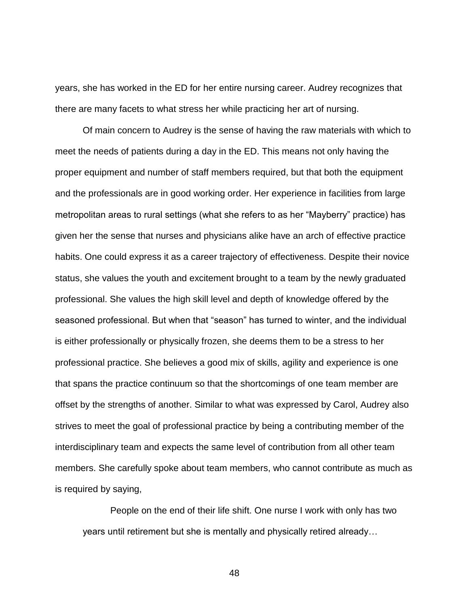years, she has worked in the ED for her entire nursing career. Audrey recognizes that there are many facets to what stress her while practicing her art of nursing.

Of main concern to Audrey is the sense of having the raw materials with which to meet the needs of patients during a day in the ED. This means not only having the proper equipment and number of staff members required, but that both the equipment and the professionals are in good working order. Her experience in facilities from large metropolitan areas to rural settings (what she refers to as her "Mayberry" practice) has given her the sense that nurses and physicians alike have an arch of effective practice habits. One could express it as a career trajectory of effectiveness. Despite their novice status, she values the youth and excitement brought to a team by the newly graduated professional. She values the high skill level and depth of knowledge offered by the seasoned professional. But when that "season" has turned to winter, and the individual is either professionally or physically frozen, she deems them to be a stress to her professional practice. She believes a good mix of skills, agility and experience is one that spans the practice continuum so that the shortcomings of one team member are offset by the strengths of another. Similar to what was expressed by Carol, Audrey also strives to meet the goal of professional practice by being a contributing member of the interdisciplinary team and expects the same level of contribution from all other team members. She carefully spoke about team members, who cannot contribute as much as is required by saying,

People on the end of their life shift. One nurse I work with only has two years until retirement but she is mentally and physically retired already…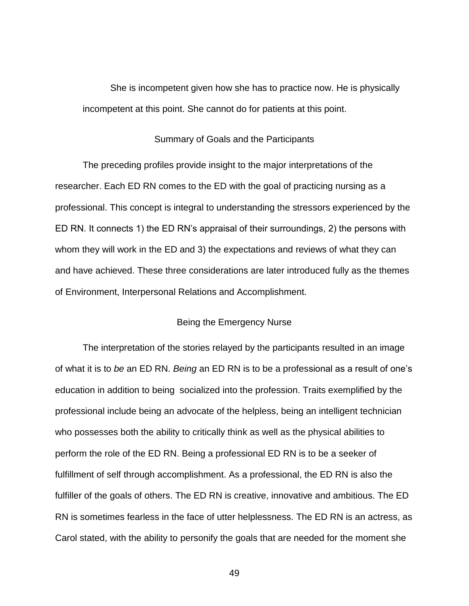She is incompetent given how she has to practice now. He is physically incompetent at this point. She cannot do for patients at this point.

### Summary of Goals and the Participants

The preceding profiles provide insight to the major interpretations of the researcher. Each ED RN comes to the ED with the goal of practicing nursing as a professional. This concept is integral to understanding the stressors experienced by the ED RN. It connects 1) the ED RN's appraisal of their surroundings, 2) the persons with whom they will work in the ED and 3) the expectations and reviews of what they can and have achieved. These three considerations are later introduced fully as the themes of Environment, Interpersonal Relations and Accomplishment.

#### Being the Emergency Nurse

The interpretation of the stories relayed by the participants resulted in an image of what it is to *be* an ED RN. *Being* an ED RN is to be a professional as a result of one's education in addition to being socialized into the profession. Traits exemplified by the professional include being an advocate of the helpless, being an intelligent technician who possesses both the ability to critically think as well as the physical abilities to perform the role of the ED RN. Being a professional ED RN is to be a seeker of fulfillment of self through accomplishment. As a professional, the ED RN is also the fulfiller of the goals of others. The ED RN is creative, innovative and ambitious. The ED RN is sometimes fearless in the face of utter helplessness. The ED RN is an actress, as Carol stated, with the ability to personify the goals that are needed for the moment she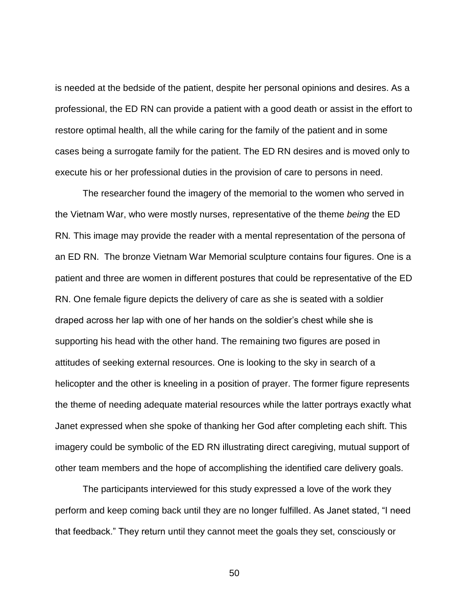is needed at the bedside of the patient, despite her personal opinions and desires. As a professional, the ED RN can provide a patient with a good death or assist in the effort to restore optimal health, all the while caring for the family of the patient and in some cases being a surrogate family for the patient. The ED RN desires and is moved only to execute his or her professional duties in the provision of care to persons in need.

The researcher found the imagery of the memorial to the women who served in the Vietnam War, who were mostly nurses, representative of the theme *being* the ED RN*.* This image may provide the reader with a mental representation of the persona of an ED RN. The bronze Vietnam War Memorial sculpture contains four figures. One is a patient and three are women in different postures that could be representative of the ED RN. One female figure depicts the delivery of care as she is seated with a soldier draped across her lap with one of her hands on the soldier's chest while she is supporting his head with the other hand. The remaining two figures are posed in attitudes of seeking external resources. One is looking to the sky in search of a helicopter and the other is kneeling in a position of prayer. The former figure represents the theme of needing adequate material resources while the latter portrays exactly what Janet expressed when she spoke of thanking her God after completing each shift. This imagery could be symbolic of the ED RN illustrating direct caregiving, mutual support of other team members and the hope of accomplishing the identified care delivery goals.

The participants interviewed for this study expressed a love of the work they perform and keep coming back until they are no longer fulfilled. As Janet stated, "I need that feedback." They return until they cannot meet the goals they set, consciously or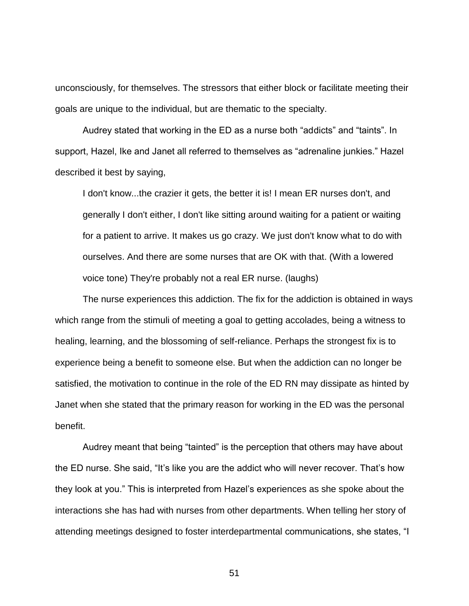unconsciously, for themselves. The stressors that either block or facilitate meeting their goals are unique to the individual, but are thematic to the specialty.

Audrey stated that working in the ED as a nurse both "addicts" and "taints". In support, Hazel, Ike and Janet all referred to themselves as "adrenaline junkies." Hazel described it best by saying,

I don't know...the crazier it gets, the better it is! I mean ER nurses don't, and generally I don't either, I don't like sitting around waiting for a patient or waiting for a patient to arrive. It makes us go crazy. We just don't know what to do with ourselves. And there are some nurses that are OK with that. (With a lowered voice tone) They're probably not a real ER nurse. (laughs)

The nurse experiences this addiction. The fix for the addiction is obtained in ways which range from the stimuli of meeting a goal to getting accolades, being a witness to healing, learning, and the blossoming of self-reliance. Perhaps the strongest fix is to experience being a benefit to someone else. But when the addiction can no longer be satisfied, the motivation to continue in the role of the ED RN may dissipate as hinted by Janet when she stated that the primary reason for working in the ED was the personal benefit.

Audrey meant that being "tainted" is the perception that others may have about the ED nurse. She said, "It's like you are the addict who will never recover. That's how they look at you." This is interpreted from Hazel's experiences as she spoke about the interactions she has had with nurses from other departments. When telling her story of attending meetings designed to foster interdepartmental communications, she states, "I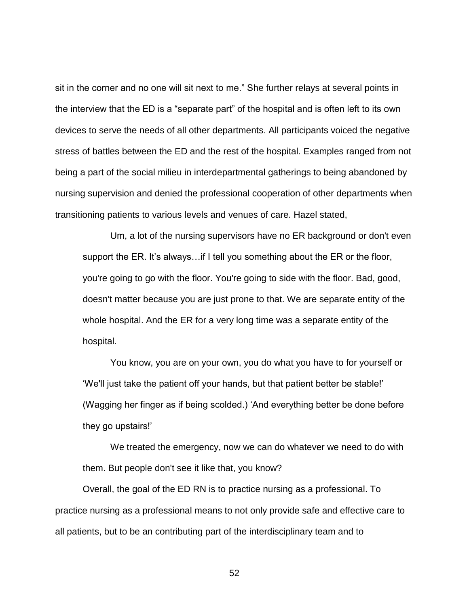sit in the corner and no one will sit next to me." She further relays at several points in the interview that the ED is a "separate part" of the hospital and is often left to its own devices to serve the needs of all other departments. All participants voiced the negative stress of battles between the ED and the rest of the hospital. Examples ranged from not being a part of the social milieu in interdepartmental gatherings to being abandoned by nursing supervision and denied the professional cooperation of other departments when transitioning patients to various levels and venues of care. Hazel stated,

Um, a lot of the nursing supervisors have no ER background or don't even support the ER. It's always…if I tell you something about the ER or the floor, you're going to go with the floor. You're going to side with the floor. Bad, good, doesn't matter because you are just prone to that. We are separate entity of the whole hospital. And the ER for a very long time was a separate entity of the hospital.

You know, you are on your own, you do what you have to for yourself or 'We'll just take the patient off your hands, but that patient better be stable!' (Wagging her finger as if being scolded.) 'And everything better be done before they go upstairs!'

We treated the emergency, now we can do whatever we need to do with them. But people don't see it like that, you know?

Overall, the goal of the ED RN is to practice nursing as a professional. To practice nursing as a professional means to not only provide safe and effective care to all patients, but to be an contributing part of the interdisciplinary team and to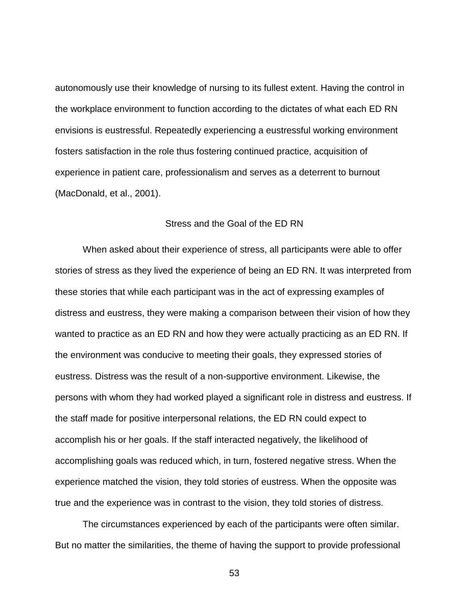autonomously use their knowledge of nursing to its fullest extent. Having the control in the workplace environment to function according to the dictates of what each ED RN envisions is eustressful. Repeatedly experiencing a eustressful working environment fosters satisfaction in the role thus fostering continued practice, acquisition of experience in patient care, professionalism and serves as a deterrent to burnout (MacDonald, et al., 2001).

### Stress and the Goal of the ED RN

When asked about their experience of stress, all participants were able to offer stories of stress as they lived the experience of being an ED RN. It was interpreted from these stories that while each participant was in the act of expressing examples of distress and eustress, they were making a comparison between their vision of how they wanted to practice as an ED RN and how they were actually practicing as an ED RN. If the environment was conducive to meeting their goals, they expressed stories of eustress. Distress was the result of a non-supportive environment. Likewise, the persons with whom they had worked played a significant role in distress and eustress. If the staff made for positive interpersonal relations, the ED RN could expect to accomplish his or her goals. If the staff interacted negatively, the likelihood of accomplishing goals was reduced which, in turn, fostered negative stress. When the experience matched the vision, they told stories of eustress. When the opposite was true and the experience was in contrast to the vision, they told stories of distress.

The circumstances experienced by each of the participants were often similar. But no matter the similarities, the theme of having the support to provide professional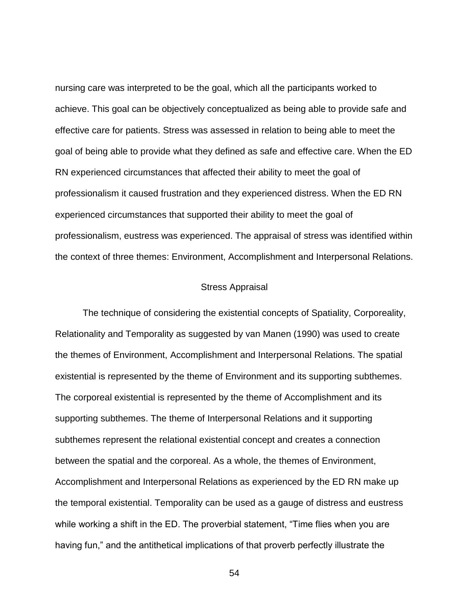nursing care was interpreted to be the goal, which all the participants worked to achieve. This goal can be objectively conceptualized as being able to provide safe and effective care for patients. Stress was assessed in relation to being able to meet the goal of being able to provide what they defined as safe and effective care. When the ED RN experienced circumstances that affected their ability to meet the goal of professionalism it caused frustration and they experienced distress. When the ED RN experienced circumstances that supported their ability to meet the goal of professionalism, eustress was experienced. The appraisal of stress was identified within the context of three themes: Environment, Accomplishment and Interpersonal Relations.

### Stress Appraisal

The technique of considering the existential concepts of Spatiality, Corporeality, Relationality and Temporality as suggested by van Manen (1990) was used to create the themes of Environment, Accomplishment and Interpersonal Relations. The spatial existential is represented by the theme of Environment and its supporting subthemes. The corporeal existential is represented by the theme of Accomplishment and its supporting subthemes. The theme of Interpersonal Relations and it supporting subthemes represent the relational existential concept and creates a connection between the spatial and the corporeal. As a whole, the themes of Environment, Accomplishment and Interpersonal Relations as experienced by the ED RN make up the temporal existential. Temporality can be used as a gauge of distress and eustress while working a shift in the ED. The proverbial statement, "Time flies when you are having fun," and the antithetical implications of that proverb perfectly illustrate the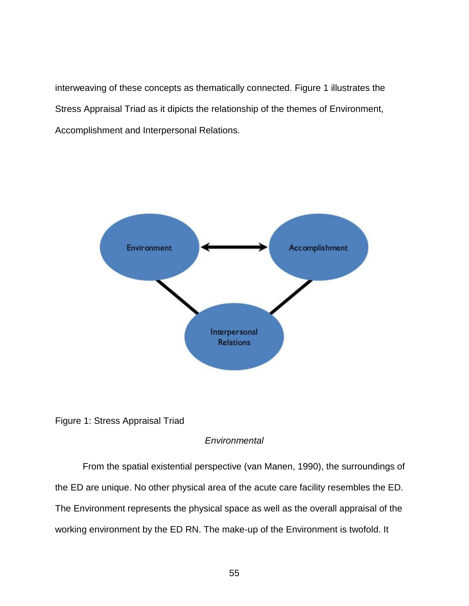interweaving of these concepts as thematically connected. Figure 1 illustrates the Stress Appraisal Triad as it dipicts the relationship of the themes of Environment, Accomplishment and Interpersonal Relations.





### *Environmental*

From the spatial existential perspective (van Manen, 1990), the surroundings of the ED are unique. No other physical area of the acute care facility resembles the ED. The Environment represents the physical space as well as the overall appraisal of the working environment by the ED RN. The make-up of the Environment is twofold. It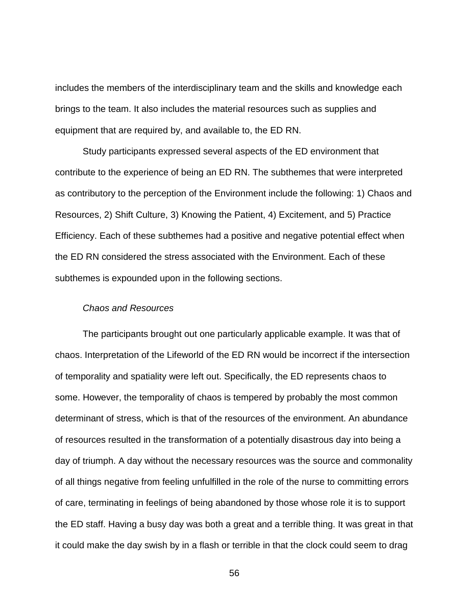includes the members of the interdisciplinary team and the skills and knowledge each brings to the team. It also includes the material resources such as supplies and equipment that are required by, and available to, the ED RN.

Study participants expressed several aspects of the ED environment that contribute to the experience of being an ED RN. The subthemes that were interpreted as contributory to the perception of the Environment include the following: 1) Chaos and Resources, 2) Shift Culture, 3) Knowing the Patient, 4) Excitement, and 5) Practice Efficiency. Each of these subthemes had a positive and negative potential effect when the ED RN considered the stress associated with the Environment. Each of these subthemes is expounded upon in the following sections.

### *Chaos and Resources*

The participants brought out one particularly applicable example. It was that of chaos. Interpretation of the Lifeworld of the ED RN would be incorrect if the intersection of temporality and spatiality were left out. Specifically, the ED represents chaos to some. However, the temporality of chaos is tempered by probably the most common determinant of stress, which is that of the resources of the environment. An abundance of resources resulted in the transformation of a potentially disastrous day into being a day of triumph. A day without the necessary resources was the source and commonality of all things negative from feeling unfulfilled in the role of the nurse to committing errors of care, terminating in feelings of being abandoned by those whose role it is to support the ED staff. Having a busy day was both a great and a terrible thing. It was great in that it could make the day swish by in a flash or terrible in that the clock could seem to drag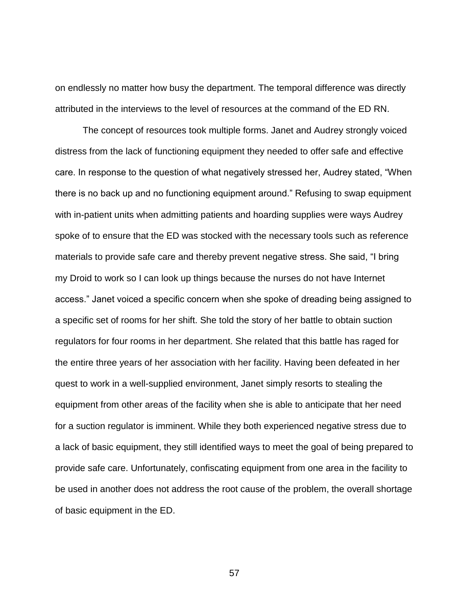on endlessly no matter how busy the department. The temporal difference was directly attributed in the interviews to the level of resources at the command of the ED RN.

The concept of resources took multiple forms. Janet and Audrey strongly voiced distress from the lack of functioning equipment they needed to offer safe and effective care. In response to the question of what negatively stressed her, Audrey stated, "When there is no back up and no functioning equipment around." Refusing to swap equipment with in-patient units when admitting patients and hoarding supplies were ways Audrey spoke of to ensure that the ED was stocked with the necessary tools such as reference materials to provide safe care and thereby prevent negative stress. She said, "I bring my Droid to work so I can look up things because the nurses do not have Internet access." Janet voiced a specific concern when she spoke of dreading being assigned to a specific set of rooms for her shift. She told the story of her battle to obtain suction regulators for four rooms in her department. She related that this battle has raged for the entire three years of her association with her facility. Having been defeated in her quest to work in a well-supplied environment, Janet simply resorts to stealing the equipment from other areas of the facility when she is able to anticipate that her need for a suction regulator is imminent. While they both experienced negative stress due to a lack of basic equipment, they still identified ways to meet the goal of being prepared to provide safe care. Unfortunately, confiscating equipment from one area in the facility to be used in another does not address the root cause of the problem, the overall shortage of basic equipment in the ED.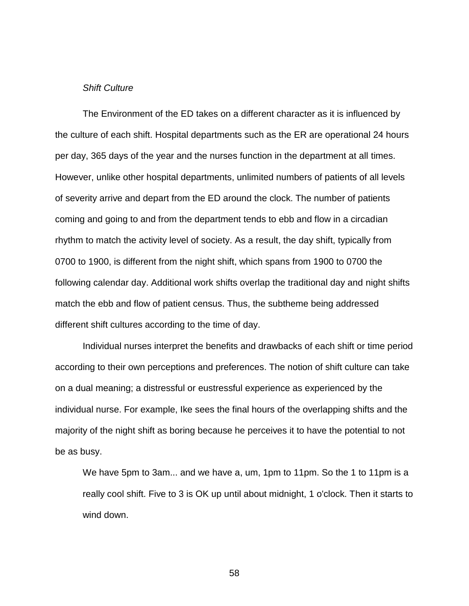### *Shift Culture*

The Environment of the ED takes on a different character as it is influenced by the culture of each shift. Hospital departments such as the ER are operational 24 hours per day, 365 days of the year and the nurses function in the department at all times. However, unlike other hospital departments, unlimited numbers of patients of all levels of severity arrive and depart from the ED around the clock. The number of patients coming and going to and from the department tends to ebb and flow in a circadian rhythm to match the activity level of society. As a result, the day shift, typically from 0700 to 1900, is different from the night shift, which spans from 1900 to 0700 the following calendar day. Additional work shifts overlap the traditional day and night shifts match the ebb and flow of patient census. Thus, the subtheme being addressed different shift cultures according to the time of day.

Individual nurses interpret the benefits and drawbacks of each shift or time period according to their own perceptions and preferences. The notion of shift culture can take on a dual meaning; a distressful or eustressful experience as experienced by the individual nurse. For example, Ike sees the final hours of the overlapping shifts and the majority of the night shift as boring because he perceives it to have the potential to not be as busy.

We have 5pm to 3am... and we have a, um, 1pm to 11pm. So the 1 to 11pm is a really cool shift. Five to 3 is OK up until about midnight, 1 o'clock. Then it starts to wind down.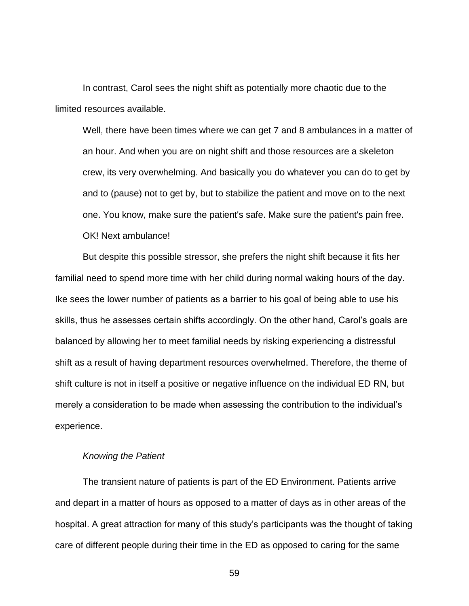In contrast, Carol sees the night shift as potentially more chaotic due to the limited resources available.

Well, there have been times where we can get 7 and 8 ambulances in a matter of an hour. And when you are on night shift and those resources are a skeleton crew, its very overwhelming. And basically you do whatever you can do to get by and to (pause) not to get by, but to stabilize the patient and move on to the next one. You know, make sure the patient's safe. Make sure the patient's pain free. OK! Next ambulance!

But despite this possible stressor, she prefers the night shift because it fits her familial need to spend more time with her child during normal waking hours of the day. Ike sees the lower number of patients as a barrier to his goal of being able to use his skills, thus he assesses certain shifts accordingly. On the other hand, Carol's goals are balanced by allowing her to meet familial needs by risking experiencing a distressful shift as a result of having department resources overwhelmed. Therefore, the theme of shift culture is not in itself a positive or negative influence on the individual ED RN, but merely a consideration to be made when assessing the contribution to the individual's experience.

#### *Knowing the Patient*

The transient nature of patients is part of the ED Environment. Patients arrive and depart in a matter of hours as opposed to a matter of days as in other areas of the hospital. A great attraction for many of this study's participants was the thought of taking care of different people during their time in the ED as opposed to caring for the same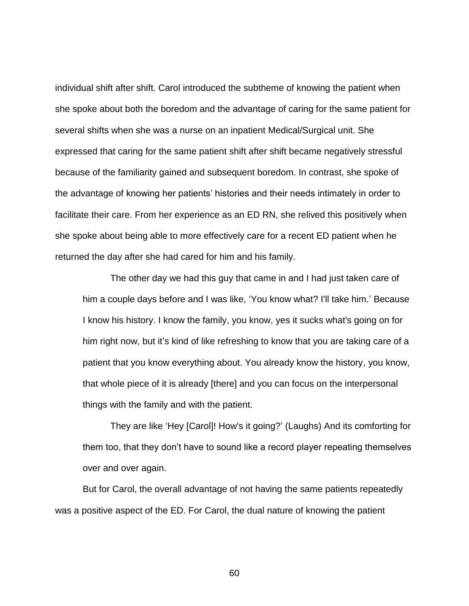individual shift after shift. Carol introduced the subtheme of knowing the patient when she spoke about both the boredom and the advantage of caring for the same patient for several shifts when she was a nurse on an inpatient Medical/Surgical unit. She expressed that caring for the same patient shift after shift became negatively stressful because of the familiarity gained and subsequent boredom. In contrast, she spoke of the advantage of knowing her patients' histories and their needs intimately in order to facilitate their care. From her experience as an ED RN, she relived this positively when she spoke about being able to more effectively care for a recent ED patient when he returned the day after she had cared for him and his family.

The other day we had this guy that came in and I had just taken care of him a couple days before and I was like, 'You know what? I'll take him.' Because I know his history. I know the family, you know, yes it sucks what's going on for him right now, but it's kind of like refreshing to know that you are taking care of a patient that you know everything about. You already know the history, you know, that whole piece of it is already [there] and you can focus on the interpersonal things with the family and with the patient.

They are like 'Hey [Carol]! How's it going?' (Laughs) And its comforting for them too, that they don't have to sound like a record player repeating themselves over and over again.

But for Carol, the overall advantage of not having the same patients repeatedly was a positive aspect of the ED. For Carol, the dual nature of knowing the patient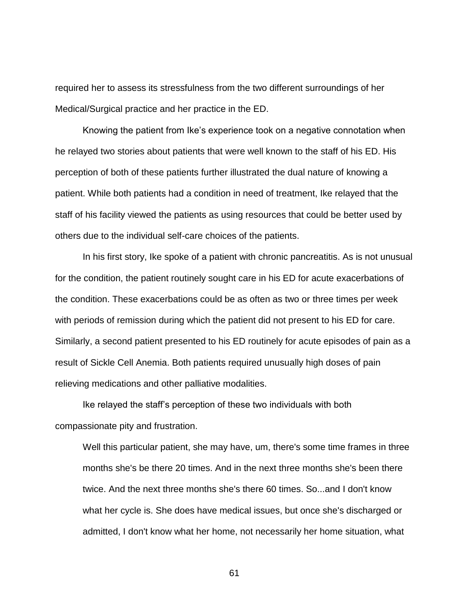required her to assess its stressfulness from the two different surroundings of her Medical/Surgical practice and her practice in the ED.

Knowing the patient from Ike's experience took on a negative connotation when he relayed two stories about patients that were well known to the staff of his ED. His perception of both of these patients further illustrated the dual nature of knowing a patient. While both patients had a condition in need of treatment, Ike relayed that the staff of his facility viewed the patients as using resources that could be better used by others due to the individual self-care choices of the patients.

In his first story, Ike spoke of a patient with chronic pancreatitis. As is not unusual for the condition, the patient routinely sought care in his ED for acute exacerbations of the condition. These exacerbations could be as often as two or three times per week with periods of remission during which the patient did not present to his ED for care. Similarly, a second patient presented to his ED routinely for acute episodes of pain as a result of Sickle Cell Anemia. Both patients required unusually high doses of pain relieving medications and other palliative modalities.

Ike relayed the staff's perception of these two individuals with both compassionate pity and frustration.

Well this particular patient, she may have, um, there's some time frames in three months she's be there 20 times. And in the next three months she's been there twice. And the next three months she's there 60 times. So...and I don't know what her cycle is. She does have medical issues, but once she's discharged or admitted, I don't know what her home, not necessarily her home situation, what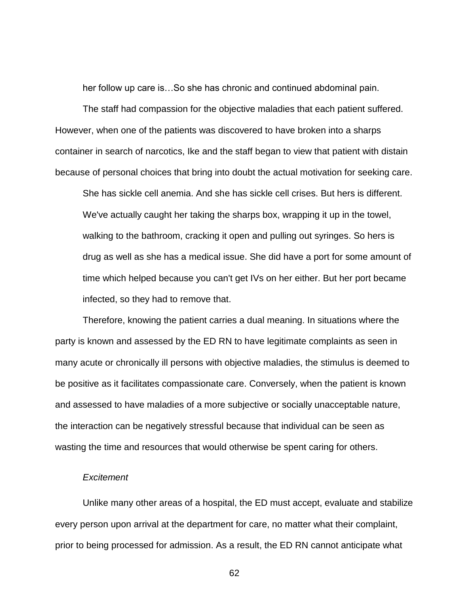her follow up care is…So she has chronic and continued abdominal pain.

The staff had compassion for the objective maladies that each patient suffered. However, when one of the patients was discovered to have broken into a sharps container in search of narcotics, Ike and the staff began to view that patient with distain because of personal choices that bring into doubt the actual motivation for seeking care.

She has sickle cell anemia. And she has sickle cell crises. But hers is different. We've actually caught her taking the sharps box, wrapping it up in the towel, walking to the bathroom, cracking it open and pulling out syringes. So hers is drug as well as she has a medical issue. She did have a port for some amount of time which helped because you can't get IVs on her either. But her port became infected, so they had to remove that.

Therefore, knowing the patient carries a dual meaning. In situations where the party is known and assessed by the ED RN to have legitimate complaints as seen in many acute or chronically ill persons with objective maladies, the stimulus is deemed to be positive as it facilitates compassionate care. Conversely, when the patient is known and assessed to have maladies of a more subjective or socially unacceptable nature, the interaction can be negatively stressful because that individual can be seen as wasting the time and resources that would otherwise be spent caring for others.

#### *Excitement*

Unlike many other areas of a hospital, the ED must accept, evaluate and stabilize every person upon arrival at the department for care, no matter what their complaint, prior to being processed for admission. As a result, the ED RN cannot anticipate what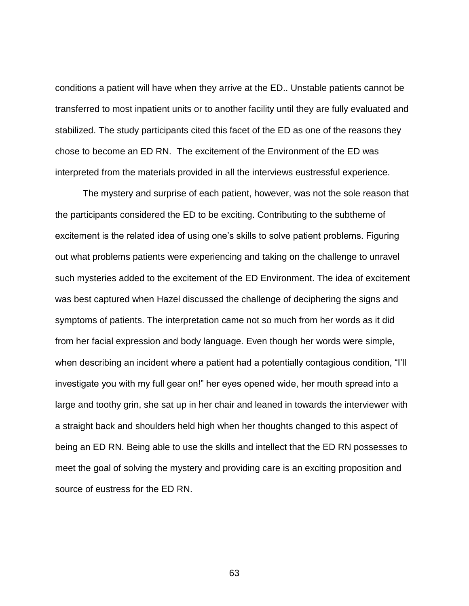conditions a patient will have when they arrive at the ED.. Unstable patients cannot be transferred to most inpatient units or to another facility until they are fully evaluated and stabilized. The study participants cited this facet of the ED as one of the reasons they chose to become an ED RN. The excitement of the Environment of the ED was interpreted from the materials provided in all the interviews eustressful experience.

The mystery and surprise of each patient, however, was not the sole reason that the participants considered the ED to be exciting. Contributing to the subtheme of excitement is the related idea of using one's skills to solve patient problems. Figuring out what problems patients were experiencing and taking on the challenge to unravel such mysteries added to the excitement of the ED Environment. The idea of excitement was best captured when Hazel discussed the challenge of deciphering the signs and symptoms of patients. The interpretation came not so much from her words as it did from her facial expression and body language. Even though her words were simple, when describing an incident where a patient had a potentially contagious condition, "I'll investigate you with my full gear on!" her eyes opened wide, her mouth spread into a large and toothy grin, she sat up in her chair and leaned in towards the interviewer with a straight back and shoulders held high when her thoughts changed to this aspect of being an ED RN. Being able to use the skills and intellect that the ED RN possesses to meet the goal of solving the mystery and providing care is an exciting proposition and source of eustress for the ED RN.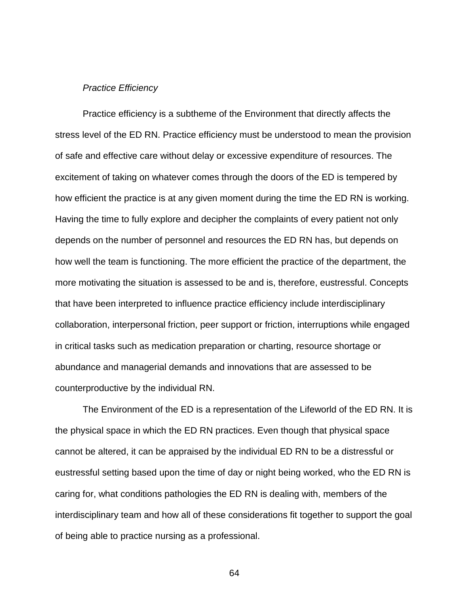#### *Practice Efficiency*

Practice efficiency is a subtheme of the Environment that directly affects the stress level of the ED RN. Practice efficiency must be understood to mean the provision of safe and effective care without delay or excessive expenditure of resources. The excitement of taking on whatever comes through the doors of the ED is tempered by how efficient the practice is at any given moment during the time the ED RN is working. Having the time to fully explore and decipher the complaints of every patient not only depends on the number of personnel and resources the ED RN has, but depends on how well the team is functioning. The more efficient the practice of the department, the more motivating the situation is assessed to be and is, therefore, eustressful. Concepts that have been interpreted to influence practice efficiency include interdisciplinary collaboration, interpersonal friction, peer support or friction, interruptions while engaged in critical tasks such as medication preparation or charting, resource shortage or abundance and managerial demands and innovations that are assessed to be counterproductive by the individual RN.

The Environment of the ED is a representation of the Lifeworld of the ED RN. It is the physical space in which the ED RN practices. Even though that physical space cannot be altered, it can be appraised by the individual ED RN to be a distressful or eustressful setting based upon the time of day or night being worked, who the ED RN is caring for, what conditions pathologies the ED RN is dealing with, members of the interdisciplinary team and how all of these considerations fit together to support the goal of being able to practice nursing as a professional.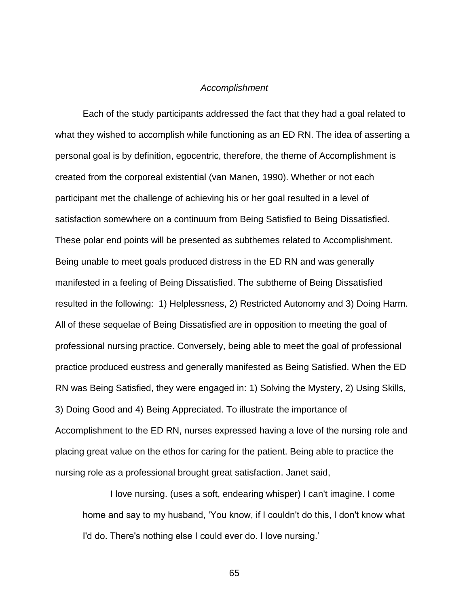#### *Accomplishment*

Each of the study participants addressed the fact that they had a goal related to what they wished to accomplish while functioning as an ED RN. The idea of asserting a personal goal is by definition, egocentric, therefore, the theme of Accomplishment is created from the corporeal existential (van Manen, 1990). Whether or not each participant met the challenge of achieving his or her goal resulted in a level of satisfaction somewhere on a continuum from Being Satisfied to Being Dissatisfied. These polar end points will be presented as subthemes related to Accomplishment. Being unable to meet goals produced distress in the ED RN and was generally manifested in a feeling of Being Dissatisfied. The subtheme of Being Dissatisfied resulted in the following: 1) Helplessness, 2) Restricted Autonomy and 3) Doing Harm. All of these sequelae of Being Dissatisfied are in opposition to meeting the goal of professional nursing practice. Conversely, being able to meet the goal of professional practice produced eustress and generally manifested as Being Satisfied. When the ED RN was Being Satisfied, they were engaged in: 1) Solving the Mystery, 2) Using Skills, 3) Doing Good and 4) Being Appreciated. To illustrate the importance of Accomplishment to the ED RN, nurses expressed having a love of the nursing role and placing great value on the ethos for caring for the patient. Being able to practice the nursing role as a professional brought great satisfaction. Janet said,

I love nursing. (uses a soft, endearing whisper) I can't imagine. I come home and say to my husband, 'You know, if I couldn't do this, I don't know what I'd do. There's nothing else I could ever do. I love nursing.'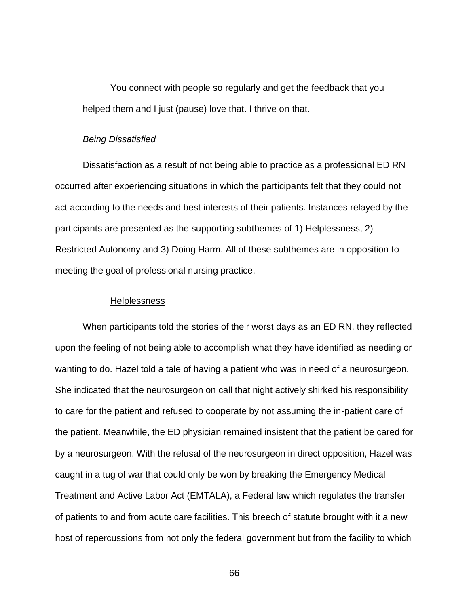You connect with people so regularly and get the feedback that you helped them and I just (pause) love that. I thrive on that.

## *Being Dissatisfied*

Dissatisfaction as a result of not being able to practice as a professional ED RN occurred after experiencing situations in which the participants felt that they could not act according to the needs and best interests of their patients. Instances relayed by the participants are presented as the supporting subthemes of 1) Helplessness, 2) Restricted Autonomy and 3) Doing Harm. All of these subthemes are in opposition to meeting the goal of professional nursing practice.

#### Helplessness

When participants told the stories of their worst days as an ED RN, they reflected upon the feeling of not being able to accomplish what they have identified as needing or wanting to do. Hazel told a tale of having a patient who was in need of a neurosurgeon. She indicated that the neurosurgeon on call that night actively shirked his responsibility to care for the patient and refused to cooperate by not assuming the in-patient care of the patient. Meanwhile, the ED physician remained insistent that the patient be cared for by a neurosurgeon. With the refusal of the neurosurgeon in direct opposition, Hazel was caught in a tug of war that could only be won by breaking the Emergency Medical Treatment and Active Labor Act (EMTALA), a Federal law which regulates the transfer of patients to and from acute care facilities. This breech of statute brought with it a new host of repercussions from not only the federal government but from the facility to which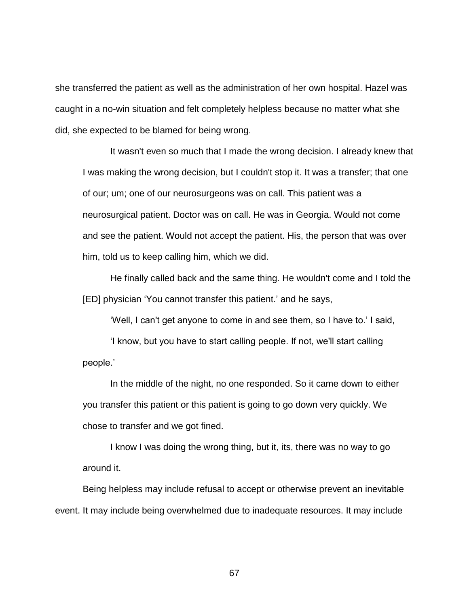she transferred the patient as well as the administration of her own hospital. Hazel was caught in a no-win situation and felt completely helpless because no matter what she did, she expected to be blamed for being wrong.

It wasn't even so much that I made the wrong decision. I already knew that I was making the wrong decision, but I couldn't stop it. It was a transfer; that one of our; um; one of our neurosurgeons was on call. This patient was a neurosurgical patient. Doctor was on call. He was in Georgia. Would not come and see the patient. Would not accept the patient. His, the person that was over him, told us to keep calling him, which we did.

He finally called back and the same thing. He wouldn't come and I told the [ED] physician 'You cannot transfer this patient.' and he says,

'Well, I can't get anyone to come in and see them, so I have to.' I said,

'I know, but you have to start calling people. If not, we'll start calling people.'

In the middle of the night, no one responded. So it came down to either you transfer this patient or this patient is going to go down very quickly. We chose to transfer and we got fined.

I know I was doing the wrong thing, but it, its, there was no way to go around it.

Being helpless may include refusal to accept or otherwise prevent an inevitable event. It may include being overwhelmed due to inadequate resources. It may include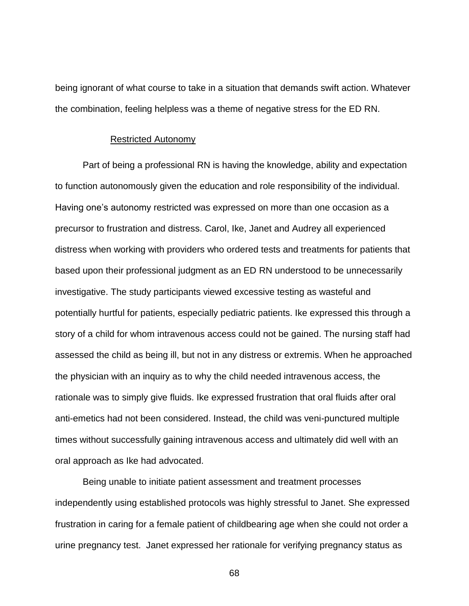being ignorant of what course to take in a situation that demands swift action. Whatever the combination, feeling helpless was a theme of negative stress for the ED RN.

#### Restricted Autonomy

Part of being a professional RN is having the knowledge, ability and expectation to function autonomously given the education and role responsibility of the individual. Having one's autonomy restricted was expressed on more than one occasion as a precursor to frustration and distress. Carol, Ike, Janet and Audrey all experienced distress when working with providers who ordered tests and treatments for patients that based upon their professional judgment as an ED RN understood to be unnecessarily investigative. The study participants viewed excessive testing as wasteful and potentially hurtful for patients, especially pediatric patients. Ike expressed this through a story of a child for whom intravenous access could not be gained. The nursing staff had assessed the child as being ill, but not in any distress or extremis. When he approached the physician with an inquiry as to why the child needed intravenous access, the rationale was to simply give fluids. Ike expressed frustration that oral fluids after oral anti-emetics had not been considered. Instead, the child was veni-punctured multiple times without successfully gaining intravenous access and ultimately did well with an oral approach as Ike had advocated.

Being unable to initiate patient assessment and treatment processes independently using established protocols was highly stressful to Janet. She expressed frustration in caring for a female patient of childbearing age when she could not order a urine pregnancy test. Janet expressed her rationale for verifying pregnancy status as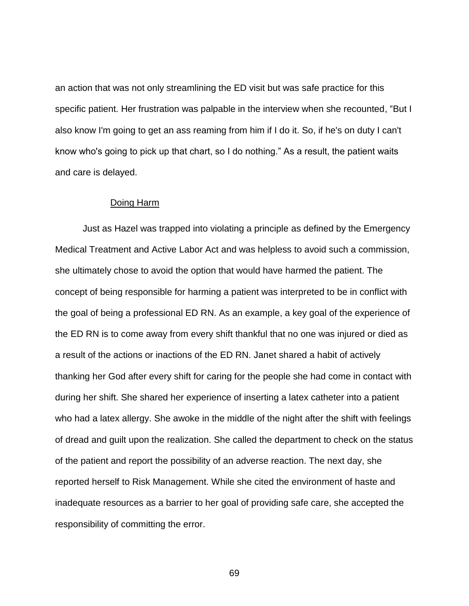an action that was not only streamlining the ED visit but was safe practice for this specific patient. Her frustration was palpable in the interview when she recounted, "But I also know I'm going to get an ass reaming from him if I do it. So, if he's on duty I can't know who's going to pick up that chart, so I do nothing." As a result, the patient waits and care is delayed.

# Doing Harm

Just as Hazel was trapped into violating a principle as defined by the Emergency Medical Treatment and Active Labor Act and was helpless to avoid such a commission, she ultimately chose to avoid the option that would have harmed the patient. The concept of being responsible for harming a patient was interpreted to be in conflict with the goal of being a professional ED RN. As an example, a key goal of the experience of the ED RN is to come away from every shift thankful that no one was injured or died as a result of the actions or inactions of the ED RN. Janet shared a habit of actively thanking her God after every shift for caring for the people she had come in contact with during her shift. She shared her experience of inserting a latex catheter into a patient who had a latex allergy. She awoke in the middle of the night after the shift with feelings of dread and guilt upon the realization. She called the department to check on the status of the patient and report the possibility of an adverse reaction. The next day, she reported herself to Risk Management. While she cited the environment of haste and inadequate resources as a barrier to her goal of providing safe care, she accepted the responsibility of committing the error.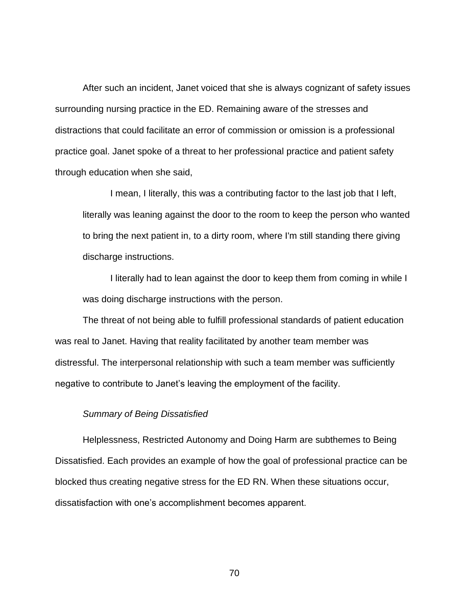After such an incident, Janet voiced that she is always cognizant of safety issues surrounding nursing practice in the ED. Remaining aware of the stresses and distractions that could facilitate an error of commission or omission is a professional practice goal. Janet spoke of a threat to her professional practice and patient safety through education when she said,

I mean, I literally, this was a contributing factor to the last job that I left, literally was leaning against the door to the room to keep the person who wanted to bring the next patient in, to a dirty room, where I'm still standing there giving discharge instructions.

I literally had to lean against the door to keep them from coming in while I was doing discharge instructions with the person.

The threat of not being able to fulfill professional standards of patient education was real to Janet. Having that reality facilitated by another team member was distressful. The interpersonal relationship with such a team member was sufficiently negative to contribute to Janet's leaving the employment of the facility.

#### *Summary of Being Dissatisfied*

Helplessness, Restricted Autonomy and Doing Harm are subthemes to Being Dissatisfied. Each provides an example of how the goal of professional practice can be blocked thus creating negative stress for the ED RN. When these situations occur, dissatisfaction with one's accomplishment becomes apparent.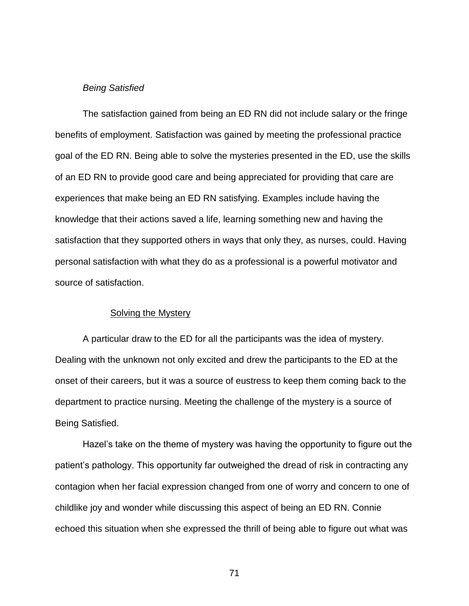## *Being Satisfied*

The satisfaction gained from being an ED RN did not include salary or the fringe benefits of employment. Satisfaction was gained by meeting the professional practice goal of the ED RN. Being able to solve the mysteries presented in the ED, use the skills of an ED RN to provide good care and being appreciated for providing that care are experiences that make being an ED RN satisfying. Examples include having the knowledge that their actions saved a life, learning something new and having the satisfaction that they supported others in ways that only they, as nurses, could. Having personal satisfaction with what they do as a professional is a powerful motivator and source of satisfaction.

## Solving the Mystery

A particular draw to the ED for all the participants was the idea of mystery. Dealing with the unknown not only excited and drew the participants to the ED at the onset of their careers, but it was a source of eustress to keep them coming back to the department to practice nursing. Meeting the challenge of the mystery is a source of Being Satisfied.

Hazel's take on the theme of mystery was having the opportunity to figure out the patient's pathology. This opportunity far outweighed the dread of risk in contracting any contagion when her facial expression changed from one of worry and concern to one of childlike joy and wonder while discussing this aspect of being an ED RN. Connie echoed this situation when she expressed the thrill of being able to figure out what was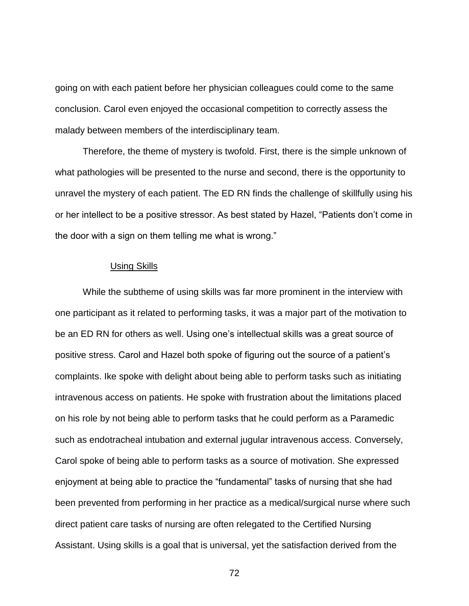going on with each patient before her physician colleagues could come to the same conclusion. Carol even enjoyed the occasional competition to correctly assess the malady between members of the interdisciplinary team.

Therefore, the theme of mystery is twofold. First, there is the simple unknown of what pathologies will be presented to the nurse and second, there is the opportunity to unravel the mystery of each patient. The ED RN finds the challenge of skillfully using his or her intellect to be a positive stressor. As best stated by Hazel, "Patients don't come in the door with a sign on them telling me what is wrong."

# Using Skills

While the subtheme of using skills was far more prominent in the interview with one participant as it related to performing tasks, it was a major part of the motivation to be an ED RN for others as well. Using one's intellectual skills was a great source of positive stress. Carol and Hazel both spoke of figuring out the source of a patient's complaints. Ike spoke with delight about being able to perform tasks such as initiating intravenous access on patients. He spoke with frustration about the limitations placed on his role by not being able to perform tasks that he could perform as a Paramedic such as endotracheal intubation and external jugular intravenous access. Conversely, Carol spoke of being able to perform tasks as a source of motivation. She expressed enjoyment at being able to practice the "fundamental" tasks of nursing that she had been prevented from performing in her practice as a medical/surgical nurse where such direct patient care tasks of nursing are often relegated to the Certified Nursing Assistant. Using skills is a goal that is universal, yet the satisfaction derived from the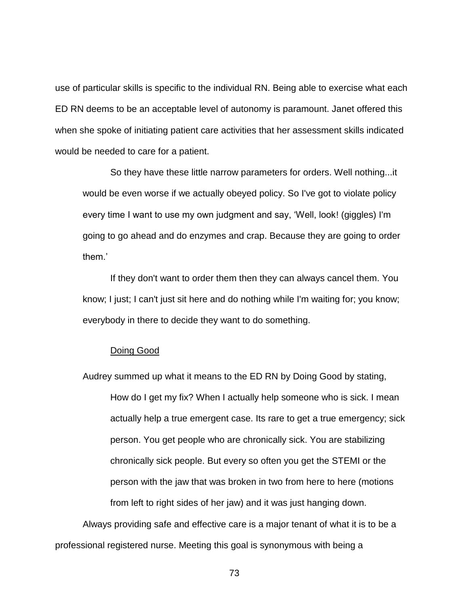use of particular skills is specific to the individual RN. Being able to exercise what each ED RN deems to be an acceptable level of autonomy is paramount. Janet offered this when she spoke of initiating patient care activities that her assessment skills indicated would be needed to care for a patient.

So they have these little narrow parameters for orders. Well nothing...it would be even worse if we actually obeyed policy. So I've got to violate policy every time I want to use my own judgment and say, 'Well, look! (giggles) I'm going to go ahead and do enzymes and crap. Because they are going to order them.'

If they don't want to order them then they can always cancel them. You know; I just; I can't just sit here and do nothing while I'm waiting for; you know; everybody in there to decide they want to do something.

## Doing Good

Audrey summed up what it means to the ED RN by Doing Good by stating, How do I get my fix? When I actually help someone who is sick. I mean actually help a true emergent case. Its rare to get a true emergency; sick person. You get people who are chronically sick. You are stabilizing chronically sick people. But every so often you get the STEMI or the person with the jaw that was broken in two from here to here (motions from left to right sides of her jaw) and it was just hanging down.

Always providing safe and effective care is a major tenant of what it is to be a professional registered nurse. Meeting this goal is synonymous with being a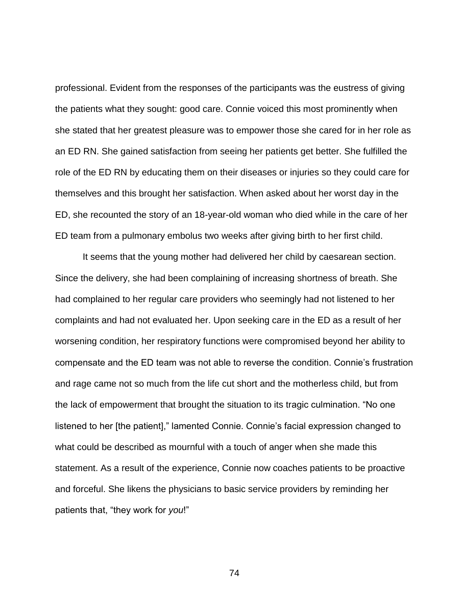professional. Evident from the responses of the participants was the eustress of giving the patients what they sought: good care. Connie voiced this most prominently when she stated that her greatest pleasure was to empower those she cared for in her role as an ED RN. She gained satisfaction from seeing her patients get better. She fulfilled the role of the ED RN by educating them on their diseases or injuries so they could care for themselves and this brought her satisfaction. When asked about her worst day in the ED, she recounted the story of an 18-year-old woman who died while in the care of her ED team from a pulmonary embolus two weeks after giving birth to her first child.

It seems that the young mother had delivered her child by caesarean section. Since the delivery, she had been complaining of increasing shortness of breath. She had complained to her regular care providers who seemingly had not listened to her complaints and had not evaluated her. Upon seeking care in the ED as a result of her worsening condition, her respiratory functions were compromised beyond her ability to compensate and the ED team was not able to reverse the condition. Connie's frustration and rage came not so much from the life cut short and the motherless child, but from the lack of empowerment that brought the situation to its tragic culmination. "No one listened to her [the patient]," lamented Connie. Connie's facial expression changed to what could be described as mournful with a touch of anger when she made this statement. As a result of the experience, Connie now coaches patients to be proactive and forceful. She likens the physicians to basic service providers by reminding her patients that, "they work for *you*!"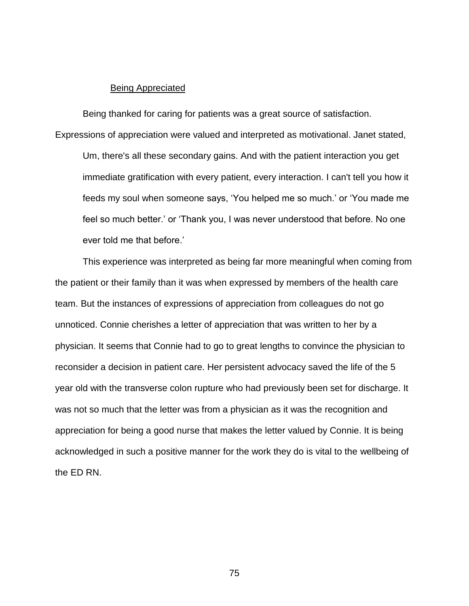# Being Appreciated

Being thanked for caring for patients was a great source of satisfaction. Expressions of appreciation were valued and interpreted as motivational. Janet stated, Um, there's all these secondary gains. And with the patient interaction you get immediate gratification with every patient, every interaction. I can't tell you how it feeds my soul when someone says, 'You helped me so much.' or 'You made me feel so much better.' or 'Thank you, I was never understood that before. No one ever told me that before.'

This experience was interpreted as being far more meaningful when coming from the patient or their family than it was when expressed by members of the health care team. But the instances of expressions of appreciation from colleagues do not go unnoticed. Connie cherishes a letter of appreciation that was written to her by a physician. It seems that Connie had to go to great lengths to convince the physician to reconsider a decision in patient care. Her persistent advocacy saved the life of the 5 year old with the transverse colon rupture who had previously been set for discharge. It was not so much that the letter was from a physician as it was the recognition and appreciation for being a good nurse that makes the letter valued by Connie. It is being acknowledged in such a positive manner for the work they do is vital to the wellbeing of the ED RN.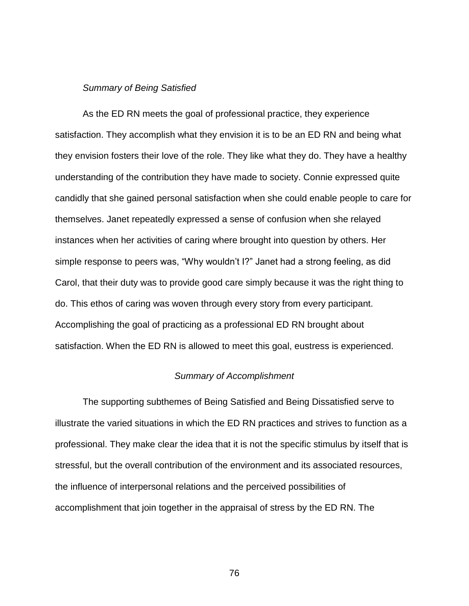# *Summary of Being Satisfied*

As the ED RN meets the goal of professional practice, they experience satisfaction. They accomplish what they envision it is to be an ED RN and being what they envision fosters their love of the role. They like what they do. They have a healthy understanding of the contribution they have made to society. Connie expressed quite candidly that she gained personal satisfaction when she could enable people to care for themselves. Janet repeatedly expressed a sense of confusion when she relayed instances when her activities of caring where brought into question by others. Her simple response to peers was, "Why wouldn't I?" Janet had a strong feeling, as did Carol, that their duty was to provide good care simply because it was the right thing to do. This ethos of caring was woven through every story from every participant. Accomplishing the goal of practicing as a professional ED RN brought about satisfaction. When the ED RN is allowed to meet this goal, eustress is experienced.

# *Summary of Accomplishment*

The supporting subthemes of Being Satisfied and Being Dissatisfied serve to illustrate the varied situations in which the ED RN practices and strives to function as a professional. They make clear the idea that it is not the specific stimulus by itself that is stressful, but the overall contribution of the environment and its associated resources, the influence of interpersonal relations and the perceived possibilities of accomplishment that join together in the appraisal of stress by the ED RN. The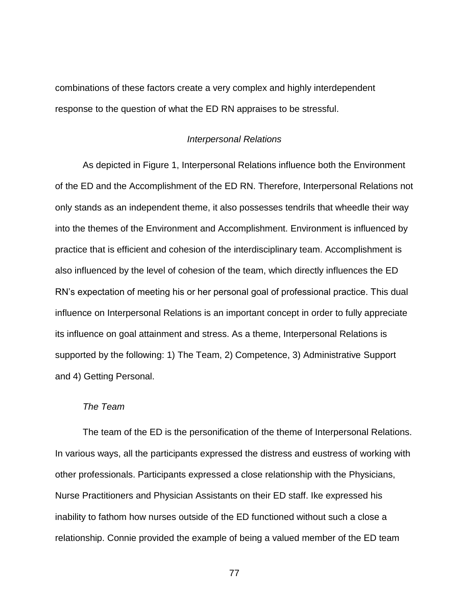combinations of these factors create a very complex and highly interdependent response to the question of what the ED RN appraises to be stressful.

## *Interpersonal Relations*

As depicted in Figure 1, Interpersonal Relations influence both the Environment of the ED and the Accomplishment of the ED RN. Therefore, Interpersonal Relations not only stands as an independent theme, it also possesses tendrils that wheedle their way into the themes of the Environment and Accomplishment. Environment is influenced by practice that is efficient and cohesion of the interdisciplinary team. Accomplishment is also influenced by the level of cohesion of the team, which directly influences the ED RN's expectation of meeting his or her personal goal of professional practice. This dual influence on Interpersonal Relations is an important concept in order to fully appreciate its influence on goal attainment and stress. As a theme, Interpersonal Relations is supported by the following: 1) The Team, 2) Competence, 3) Administrative Support and 4) Getting Personal.

# *The Team*

The team of the ED is the personification of the theme of Interpersonal Relations. In various ways, all the participants expressed the distress and eustress of working with other professionals. Participants expressed a close relationship with the Physicians, Nurse Practitioners and Physician Assistants on their ED staff. Ike expressed his inability to fathom how nurses outside of the ED functioned without such a close a relationship. Connie provided the example of being a valued member of the ED team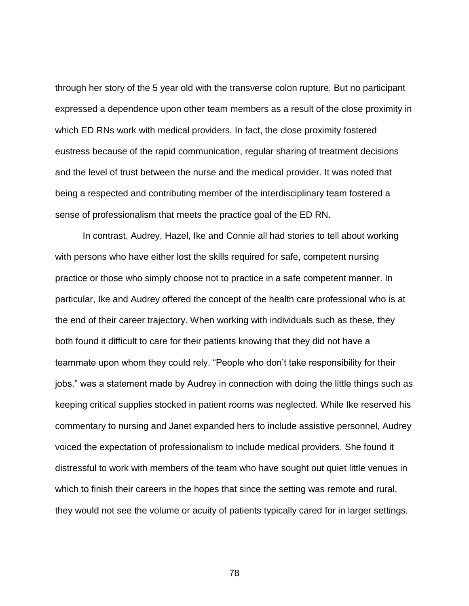through her story of the 5 year old with the transverse colon rupture. But no participant expressed a dependence upon other team members as a result of the close proximity in which ED RNs work with medical providers. In fact, the close proximity fostered eustress because of the rapid communication, regular sharing of treatment decisions and the level of trust between the nurse and the medical provider. It was noted that being a respected and contributing member of the interdisciplinary team fostered a sense of professionalism that meets the practice goal of the ED RN.

In contrast, Audrey, Hazel, Ike and Connie all had stories to tell about working with persons who have either lost the skills required for safe, competent nursing practice or those who simply choose not to practice in a safe competent manner. In particular, Ike and Audrey offered the concept of the health care professional who is at the end of their career trajectory. When working with individuals such as these, they both found it difficult to care for their patients knowing that they did not have a teammate upon whom they could rely. "People who don't take responsibility for their jobs." was a statement made by Audrey in connection with doing the little things such as keeping critical supplies stocked in patient rooms was neglected. While Ike reserved his commentary to nursing and Janet expanded hers to include assistive personnel, Audrey voiced the expectation of professionalism to include medical providers. She found it distressful to work with members of the team who have sought out quiet little venues in which to finish their careers in the hopes that since the setting was remote and rural, they would not see the volume or acuity of patients typically cared for in larger settings.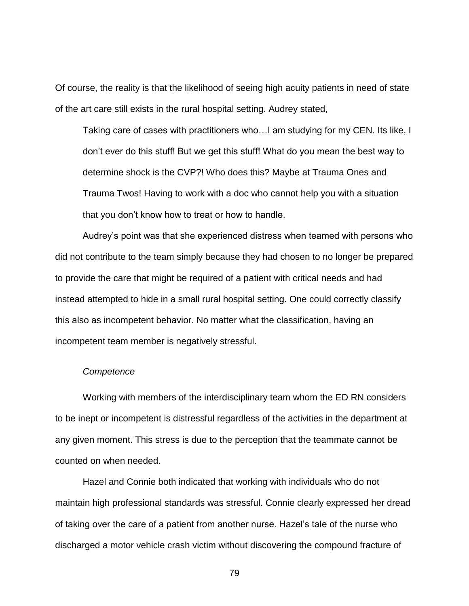Of course, the reality is that the likelihood of seeing high acuity patients in need of state of the art care still exists in the rural hospital setting. Audrey stated,

Taking care of cases with practitioners who…I am studying for my CEN. Its like, I don't ever do this stuff! But we get this stuff! What do you mean the best way to determine shock is the CVP?! Who does this? Maybe at Trauma Ones and Trauma Twos! Having to work with a doc who cannot help you with a situation that you don't know how to treat or how to handle.

Audrey's point was that she experienced distress when teamed with persons who did not contribute to the team simply because they had chosen to no longer be prepared to provide the care that might be required of a patient with critical needs and had instead attempted to hide in a small rural hospital setting. One could correctly classify this also as incompetent behavior. No matter what the classification, having an incompetent team member is negatively stressful.

## *Competence*

Working with members of the interdisciplinary team whom the ED RN considers to be inept or incompetent is distressful regardless of the activities in the department at any given moment. This stress is due to the perception that the teammate cannot be counted on when needed.

Hazel and Connie both indicated that working with individuals who do not maintain high professional standards was stressful. Connie clearly expressed her dread of taking over the care of a patient from another nurse. Hazel's tale of the nurse who discharged a motor vehicle crash victim without discovering the compound fracture of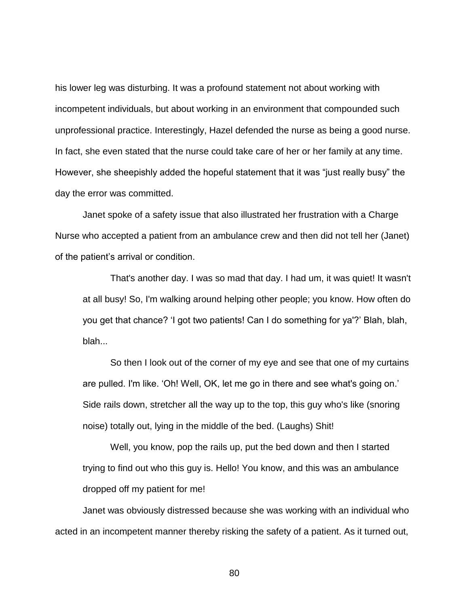his lower leg was disturbing. It was a profound statement not about working with incompetent individuals, but about working in an environment that compounded such unprofessional practice. Interestingly, Hazel defended the nurse as being a good nurse. In fact, she even stated that the nurse could take care of her or her family at any time. However, she sheepishly added the hopeful statement that it was "just really busy" the day the error was committed.

Janet spoke of a safety issue that also illustrated her frustration with a Charge Nurse who accepted a patient from an ambulance crew and then did not tell her (Janet) of the patient's arrival or condition.

That's another day. I was so mad that day. I had um, it was quiet! It wasn't at all busy! So, I'm walking around helping other people; you know. How often do you get that chance? 'I got two patients! Can I do something for ya'?' Blah, blah, blah...

So then I look out of the corner of my eye and see that one of my curtains are pulled. I'm like. 'Oh! Well, OK, let me go in there and see what's going on.' Side rails down, stretcher all the way up to the top, this guy who's like (snoring noise) totally out, lying in the middle of the bed. (Laughs) Shit!

Well, you know, pop the rails up, put the bed down and then I started trying to find out who this guy is. Hello! You know, and this was an ambulance dropped off my patient for me!

Janet was obviously distressed because she was working with an individual who acted in an incompetent manner thereby risking the safety of a patient. As it turned out,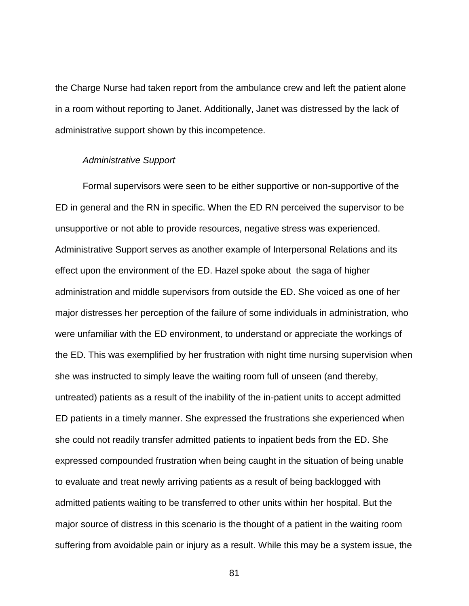the Charge Nurse had taken report from the ambulance crew and left the patient alone in a room without reporting to Janet. Additionally, Janet was distressed by the lack of administrative support shown by this incompetence.

## *Administrative Support*

Formal supervisors were seen to be either supportive or non-supportive of the ED in general and the RN in specific. When the ED RN perceived the supervisor to be unsupportive or not able to provide resources, negative stress was experienced. Administrative Support serves as another example of Interpersonal Relations and its effect upon the environment of the ED. Hazel spoke about the saga of higher administration and middle supervisors from outside the ED. She voiced as one of her major distresses her perception of the failure of some individuals in administration, who were unfamiliar with the ED environment, to understand or appreciate the workings of the ED. This was exemplified by her frustration with night time nursing supervision when she was instructed to simply leave the waiting room full of unseen (and thereby, untreated) patients as a result of the inability of the in-patient units to accept admitted ED patients in a timely manner. She expressed the frustrations she experienced when she could not readily transfer admitted patients to inpatient beds from the ED. She expressed compounded frustration when being caught in the situation of being unable to evaluate and treat newly arriving patients as a result of being backlogged with admitted patients waiting to be transferred to other units within her hospital. But the major source of distress in this scenario is the thought of a patient in the waiting room suffering from avoidable pain or injury as a result. While this may be a system issue, the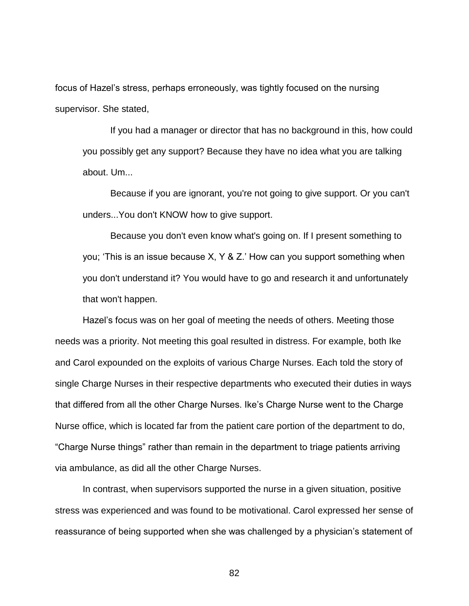focus of Hazel's stress, perhaps erroneously, was tightly focused on the nursing supervisor. She stated,

If you had a manager or director that has no background in this, how could you possibly get any support? Because they have no idea what you are talking about. Um...

Because if you are ignorant, you're not going to give support. Or you can't unders...You don't KNOW how to give support.

Because you don't even know what's going on. If I present something to you; 'This is an issue because X, Y & Z.' How can you support something when you don't understand it? You would have to go and research it and unfortunately that won't happen.

Hazel's focus was on her goal of meeting the needs of others. Meeting those needs was a priority. Not meeting this goal resulted in distress. For example, both Ike and Carol expounded on the exploits of various Charge Nurses. Each told the story of single Charge Nurses in their respective departments who executed their duties in ways that differed from all the other Charge Nurses. Ike's Charge Nurse went to the Charge Nurse office, which is located far from the patient care portion of the department to do, "Charge Nurse things" rather than remain in the department to triage patients arriving via ambulance, as did all the other Charge Nurses.

In contrast, when supervisors supported the nurse in a given situation, positive stress was experienced and was found to be motivational. Carol expressed her sense of reassurance of being supported when she was challenged by a physician's statement of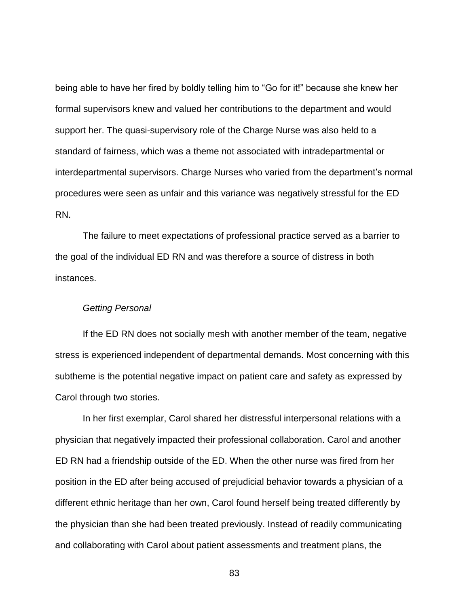being able to have her fired by boldly telling him to "Go for it!" because she knew her formal supervisors knew and valued her contributions to the department and would support her. The quasi-supervisory role of the Charge Nurse was also held to a standard of fairness, which was a theme not associated with intradepartmental or interdepartmental supervisors. Charge Nurses who varied from the department's normal procedures were seen as unfair and this variance was negatively stressful for the ED RN.

The failure to meet expectations of professional practice served as a barrier to the goal of the individual ED RN and was therefore a source of distress in both instances.

# *Getting Personal*

If the ED RN does not socially mesh with another member of the team, negative stress is experienced independent of departmental demands. Most concerning with this subtheme is the potential negative impact on patient care and safety as expressed by Carol through two stories.

In her first exemplar, Carol shared her distressful interpersonal relations with a physician that negatively impacted their professional collaboration. Carol and another ED RN had a friendship outside of the ED. When the other nurse was fired from her position in the ED after being accused of prejudicial behavior towards a physician of a different ethnic heritage than her own, Carol found herself being treated differently by the physician than she had been treated previously. Instead of readily communicating and collaborating with Carol about patient assessments and treatment plans, the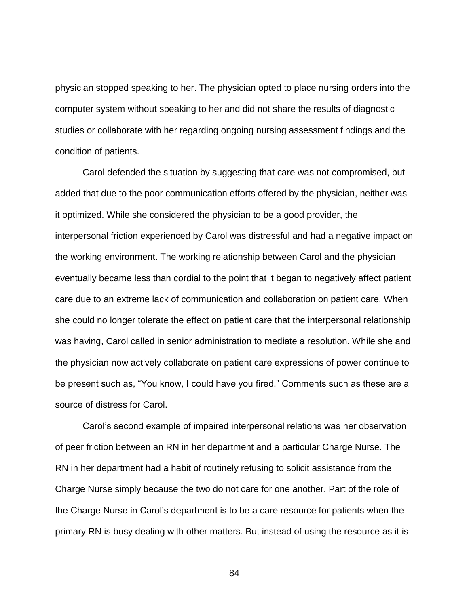physician stopped speaking to her. The physician opted to place nursing orders into the computer system without speaking to her and did not share the results of diagnostic studies or collaborate with her regarding ongoing nursing assessment findings and the condition of patients.

Carol defended the situation by suggesting that care was not compromised, but added that due to the poor communication efforts offered by the physician, neither was it optimized. While she considered the physician to be a good provider, the interpersonal friction experienced by Carol was distressful and had a negative impact on the working environment. The working relationship between Carol and the physician eventually became less than cordial to the point that it began to negatively affect patient care due to an extreme lack of communication and collaboration on patient care. When she could no longer tolerate the effect on patient care that the interpersonal relationship was having, Carol called in senior administration to mediate a resolution. While she and the physician now actively collaborate on patient care expressions of power continue to be present such as, "You know, I could have you fired." Comments such as these are a source of distress for Carol.

Carol's second example of impaired interpersonal relations was her observation of peer friction between an RN in her department and a particular Charge Nurse. The RN in her department had a habit of routinely refusing to solicit assistance from the Charge Nurse simply because the two do not care for one another. Part of the role of the Charge Nurse in Carol's department is to be a care resource for patients when the primary RN is busy dealing with other matters. But instead of using the resource as it is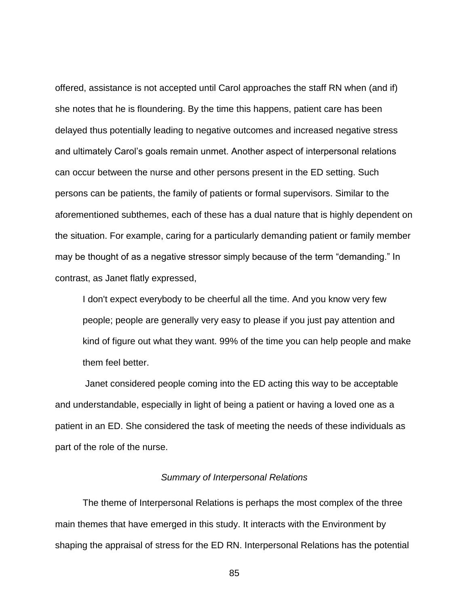offered, assistance is not accepted until Carol approaches the staff RN when (and if) she notes that he is floundering. By the time this happens, patient care has been delayed thus potentially leading to negative outcomes and increased negative stress and ultimately Carol's goals remain unmet. Another aspect of interpersonal relations can occur between the nurse and other persons present in the ED setting. Such persons can be patients, the family of patients or formal supervisors. Similar to the aforementioned subthemes, each of these has a dual nature that is highly dependent on the situation. For example, caring for a particularly demanding patient or family member may be thought of as a negative stressor simply because of the term "demanding." In contrast, as Janet flatly expressed,

I don't expect everybody to be cheerful all the time. And you know very few people; people are generally very easy to please if you just pay attention and kind of figure out what they want. 99% of the time you can help people and make them feel better.

Janet considered people coming into the ED acting this way to be acceptable and understandable, especially in light of being a patient or having a loved one as a patient in an ED. She considered the task of meeting the needs of these individuals as part of the role of the nurse.

## *Summary of Interpersonal Relations*

The theme of Interpersonal Relations is perhaps the most complex of the three main themes that have emerged in this study. It interacts with the Environment by shaping the appraisal of stress for the ED RN. Interpersonal Relations has the potential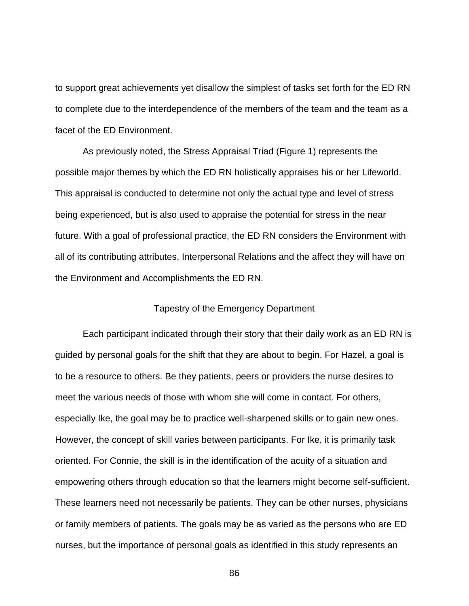to support great achievements yet disallow the simplest of tasks set forth for the ED RN to complete due to the interdependence of the members of the team and the team as a facet of the ED Environment.

As previously noted, the Stress Appraisal Triad (Figure 1) represents the possible major themes by which the ED RN holistically appraises his or her Lifeworld. This appraisal is conducted to determine not only the actual type and level of stress being experienced, but is also used to appraise the potential for stress in the near future. With a goal of professional practice, the ED RN considers the Environment with all of its contributing attributes, Interpersonal Relations and the affect they will have on the Environment and Accomplishments the ED RN.

## Tapestry of the Emergency Department

Each participant indicated through their story that their daily work as an ED RN is guided by personal goals for the shift that they are about to begin. For Hazel, a goal is to be a resource to others. Be they patients, peers or providers the nurse desires to meet the various needs of those with whom she will come in contact. For others, especially Ike, the goal may be to practice well-sharpened skills or to gain new ones. However, the concept of skill varies between participants. For Ike, it is primarily task oriented. For Connie, the skill is in the identification of the acuity of a situation and empowering others through education so that the learners might become self-sufficient. These learners need not necessarily be patients. They can be other nurses, physicians or family members of patients. The goals may be as varied as the persons who are ED nurses, but the importance of personal goals as identified in this study represents an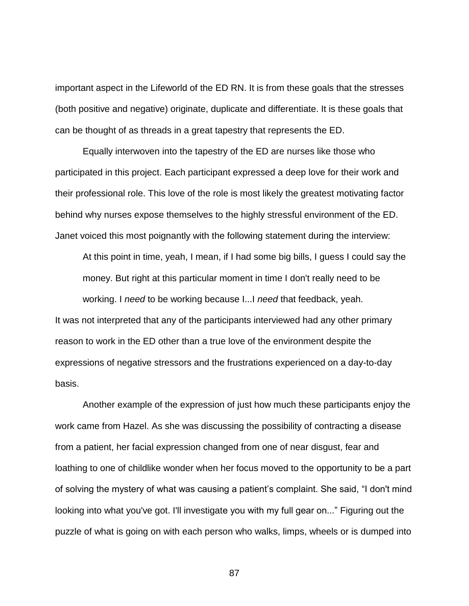important aspect in the Lifeworld of the ED RN. It is from these goals that the stresses (both positive and negative) originate, duplicate and differentiate. It is these goals that can be thought of as threads in a great tapestry that represents the ED.

Equally interwoven into the tapestry of the ED are nurses like those who participated in this project. Each participant expressed a deep love for their work and their professional role. This love of the role is most likely the greatest motivating factor behind why nurses expose themselves to the highly stressful environment of the ED. Janet voiced this most poignantly with the following statement during the interview:

At this point in time, yeah, I mean, if I had some big bills, I guess I could say the money. But right at this particular moment in time I don't really need to be working. I *need* to be working because I...I *need* that feedback, yeah.

It was not interpreted that any of the participants interviewed had any other primary reason to work in the ED other than a true love of the environment despite the expressions of negative stressors and the frustrations experienced on a day-to-day basis.

Another example of the expression of just how much these participants enjoy the work came from Hazel. As she was discussing the possibility of contracting a disease from a patient, her facial expression changed from one of near disgust, fear and loathing to one of childlike wonder when her focus moved to the opportunity to be a part of solving the mystery of what was causing a patient's complaint. She said, "I don't mind looking into what you've got. I'll investigate you with my full gear on..." Figuring out the puzzle of what is going on with each person who walks, limps, wheels or is dumped into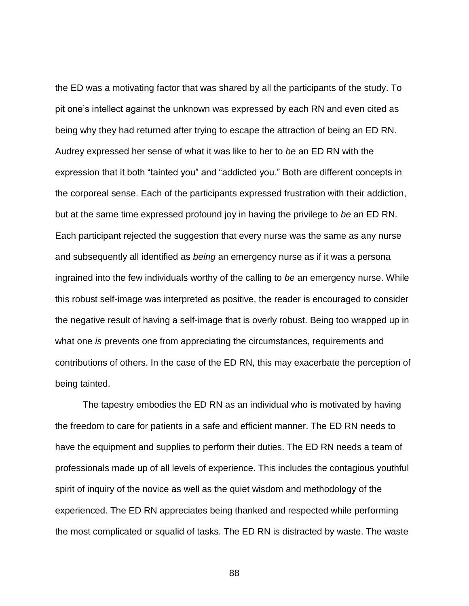the ED was a motivating factor that was shared by all the participants of the study. To pit one's intellect against the unknown was expressed by each RN and even cited as being why they had returned after trying to escape the attraction of being an ED RN. Audrey expressed her sense of what it was like to her to *be* an ED RN with the expression that it both "tainted you" and "addicted you." Both are different concepts in the corporeal sense. Each of the participants expressed frustration with their addiction, but at the same time expressed profound joy in having the privilege to *be* an ED RN. Each participant rejected the suggestion that every nurse was the same as any nurse and subsequently all identified as *being* an emergency nurse as if it was a persona ingrained into the few individuals worthy of the calling to *be* an emergency nurse. While this robust self-image was interpreted as positive, the reader is encouraged to consider the negative result of having a self-image that is overly robust. Being too wrapped up in what one *is* prevents one from appreciating the circumstances, requirements and contributions of others. In the case of the ED RN, this may exacerbate the perception of being tainted.

The tapestry embodies the ED RN as an individual who is motivated by having the freedom to care for patients in a safe and efficient manner. The ED RN needs to have the equipment and supplies to perform their duties. The ED RN needs a team of professionals made up of all levels of experience. This includes the contagious youthful spirit of inquiry of the novice as well as the quiet wisdom and methodology of the experienced. The ED RN appreciates being thanked and respected while performing the most complicated or squalid of tasks. The ED RN is distracted by waste. The waste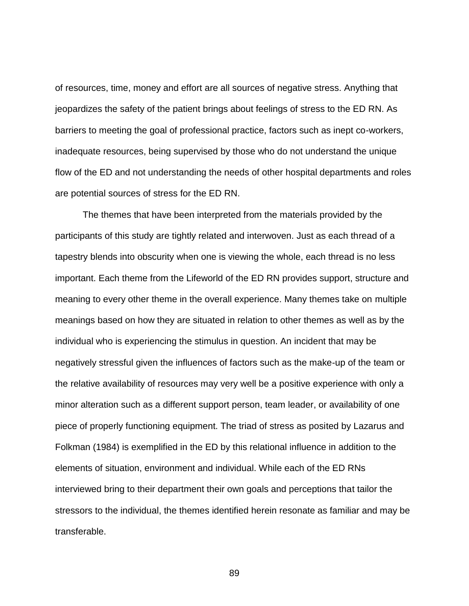of resources, time, money and effort are all sources of negative stress. Anything that jeopardizes the safety of the patient brings about feelings of stress to the ED RN. As barriers to meeting the goal of professional practice, factors such as inept co-workers, inadequate resources, being supervised by those who do not understand the unique flow of the ED and not understanding the needs of other hospital departments and roles are potential sources of stress for the ED RN.

The themes that have been interpreted from the materials provided by the participants of this study are tightly related and interwoven. Just as each thread of a tapestry blends into obscurity when one is viewing the whole, each thread is no less important. Each theme from the Lifeworld of the ED RN provides support, structure and meaning to every other theme in the overall experience. Many themes take on multiple meanings based on how they are situated in relation to other themes as well as by the individual who is experiencing the stimulus in question. An incident that may be negatively stressful given the influences of factors such as the make-up of the team or the relative availability of resources may very well be a positive experience with only a minor alteration such as a different support person, team leader, or availability of one piece of properly functioning equipment. The triad of stress as posited by Lazarus and Folkman (1984) is exemplified in the ED by this relational influence in addition to the elements of situation, environment and individual. While each of the ED RNs interviewed bring to their department their own goals and perceptions that tailor the stressors to the individual, the themes identified herein resonate as familiar and may be transferable.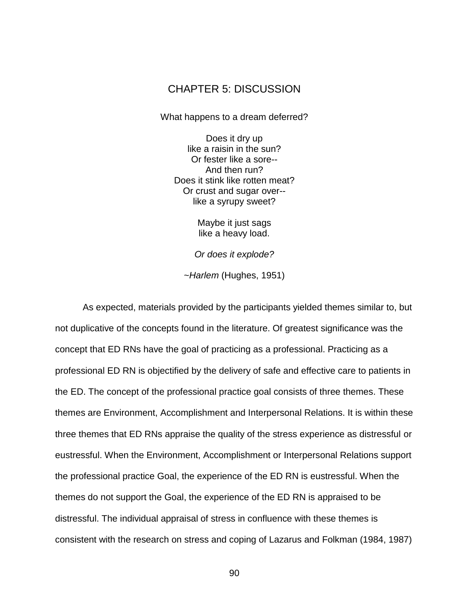# CHAPTER 5: DISCUSSION

What happens to a dream deferred?

Does it dry up like a raisin in the sun? Or fester like a sore-- And then run? Does it stink like rotten meat? Or crust and sugar over- like a syrupy sweet?

> Maybe it just sags like a heavy load.

*Or does it explode?*

~*Harlem* (Hughes, 1951)

As expected, materials provided by the participants yielded themes similar to, but not duplicative of the concepts found in the literature. Of greatest significance was the concept that ED RNs have the goal of practicing as a professional. Practicing as a professional ED RN is objectified by the delivery of safe and effective care to patients in the ED. The concept of the professional practice goal consists of three themes. These themes are Environment, Accomplishment and Interpersonal Relations. It is within these three themes that ED RNs appraise the quality of the stress experience as distressful or eustressful. When the Environment, Accomplishment or Interpersonal Relations support the professional practice Goal, the experience of the ED RN is eustressful. When the themes do not support the Goal, the experience of the ED RN is appraised to be distressful. The individual appraisal of stress in confluence with these themes is consistent with the research on stress and coping of Lazarus and Folkman (1984, 1987)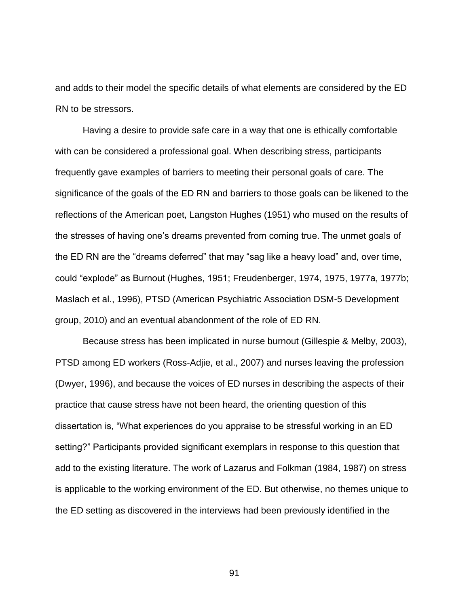and adds to their model the specific details of what elements are considered by the ED RN to be stressors.

Having a desire to provide safe care in a way that one is ethically comfortable with can be considered a professional goal. When describing stress, participants frequently gave examples of barriers to meeting their personal goals of care. The significance of the goals of the ED RN and barriers to those goals can be likened to the reflections of the American poet, Langston Hughes (1951) who mused on the results of the stresses of having one's dreams prevented from coming true. The unmet goals of the ED RN are the "dreams deferred" that may "sag like a heavy load" and, over time, could "explode" as Burnout (Hughes, 1951; Freudenberger, 1974, 1975, 1977a, 1977b; Maslach et al., 1996), PTSD (American Psychiatric Association DSM-5 Development group, 2010) and an eventual abandonment of the role of ED RN.

Because stress has been implicated in nurse burnout (Gillespie & Melby, 2003), PTSD among ED workers (Ross-Adjie, et al., 2007) and nurses leaving the profession (Dwyer, 1996), and because the voices of ED nurses in describing the aspects of their practice that cause stress have not been heard, the orienting question of this dissertation is, "What experiences do you appraise to be stressful working in an ED setting?" Participants provided significant exemplars in response to this question that add to the existing literature. The work of Lazarus and Folkman (1984, 1987) on stress is applicable to the working environment of the ED. But otherwise, no themes unique to the ED setting as discovered in the interviews had been previously identified in the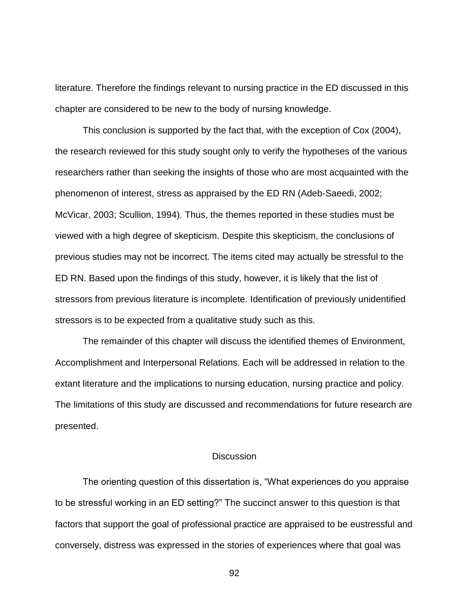literature. Therefore the findings relevant to nursing practice in the ED discussed in this chapter are considered to be new to the body of nursing knowledge.

This conclusion is supported by the fact that, with the exception of Cox (2004), the research reviewed for this study sought only to verify the hypotheses of the various researchers rather than seeking the insights of those who are most acquainted with the phenomenon of interest, stress as appraised by the ED RN (Adeb-Saeedi, 2002; McVicar, 2003; Scullion, 1994). Thus, the themes reported in these studies must be viewed with a high degree of skepticism. Despite this skepticism, the conclusions of previous studies may not be incorrect. The items cited may actually be stressful to the ED RN. Based upon the findings of this study, however, it is likely that the list of stressors from previous literature is incomplete. Identification of previously unidentified stressors is to be expected from a qualitative study such as this.

The remainder of this chapter will discuss the identified themes of Environment, Accomplishment and Interpersonal Relations. Each will be addressed in relation to the extant literature and the implications to nursing education, nursing practice and policy. The limitations of this study are discussed and recommendations for future research are presented.

# **Discussion**

The orienting question of this dissertation is, "What experiences do you appraise to be stressful working in an ED setting?" The succinct answer to this question is that factors that support the goal of professional practice are appraised to be eustressful and conversely, distress was expressed in the stories of experiences where that goal was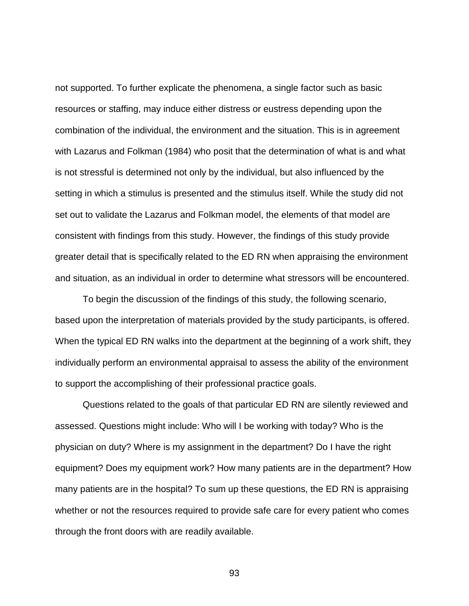not supported. To further explicate the phenomena, a single factor such as basic resources or staffing, may induce either distress or eustress depending upon the combination of the individual, the environment and the situation. This is in agreement with Lazarus and Folkman (1984) who posit that the determination of what is and what is not stressful is determined not only by the individual, but also influenced by the setting in which a stimulus is presented and the stimulus itself. While the study did not set out to validate the Lazarus and Folkman model, the elements of that model are consistent with findings from this study. However, the findings of this study provide greater detail that is specifically related to the ED RN when appraising the environment and situation, as an individual in order to determine what stressors will be encountered.

To begin the discussion of the findings of this study, the following scenario, based upon the interpretation of materials provided by the study participants, is offered. When the typical ED RN walks into the department at the beginning of a work shift, they individually perform an environmental appraisal to assess the ability of the environment to support the accomplishing of their professional practice goals.

Questions related to the goals of that particular ED RN are silently reviewed and assessed. Questions might include: Who will I be working with today? Who is the physician on duty? Where is my assignment in the department? Do I have the right equipment? Does my equipment work? How many patients are in the department? How many patients are in the hospital? To sum up these questions, the ED RN is appraising whether or not the resources required to provide safe care for every patient who comes through the front doors with are readily available.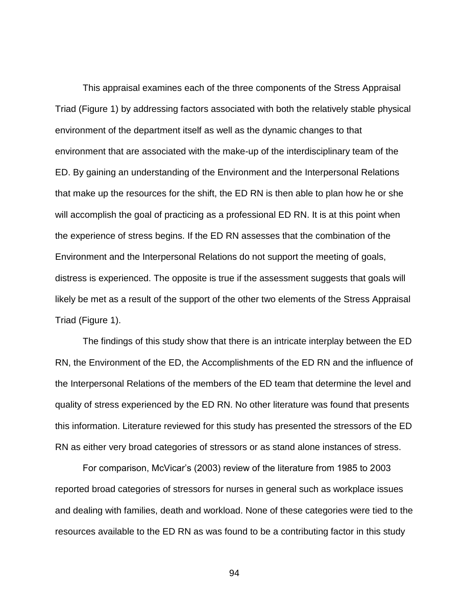This appraisal examines each of the three components of the Stress Appraisal Triad (Figure 1) by addressing factors associated with both the relatively stable physical environment of the department itself as well as the dynamic changes to that environment that are associated with the make-up of the interdisciplinary team of the ED. By gaining an understanding of the Environment and the Interpersonal Relations that make up the resources for the shift, the ED RN is then able to plan how he or she will accomplish the goal of practicing as a professional ED RN. It is at this point when the experience of stress begins. If the ED RN assesses that the combination of the Environment and the Interpersonal Relations do not support the meeting of goals, distress is experienced. The opposite is true if the assessment suggests that goals will likely be met as a result of the support of the other two elements of the Stress Appraisal Triad (Figure 1).

The findings of this study show that there is an intricate interplay between the ED RN, the Environment of the ED, the Accomplishments of the ED RN and the influence of the Interpersonal Relations of the members of the ED team that determine the level and quality of stress experienced by the ED RN. No other literature was found that presents this information. Literature reviewed for this study has presented the stressors of the ED RN as either very broad categories of stressors or as stand alone instances of stress.

For comparison, McVicar's (2003) review of the literature from 1985 to 2003 reported broad categories of stressors for nurses in general such as workplace issues and dealing with families, death and workload. None of these categories were tied to the resources available to the ED RN as was found to be a contributing factor in this study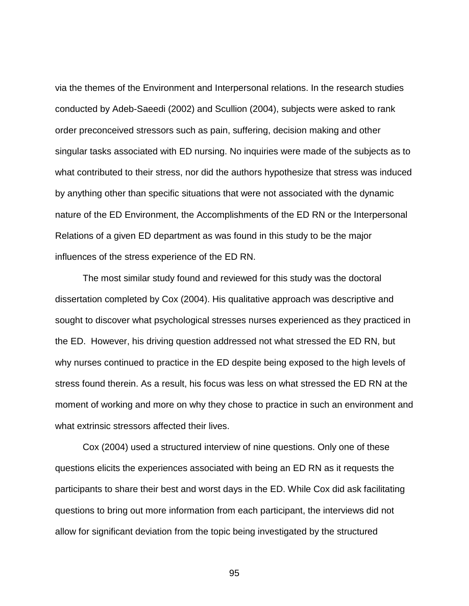via the themes of the Environment and Interpersonal relations. In the research studies conducted by Adeb-Saeedi (2002) and Scullion (2004), subjects were asked to rank order preconceived stressors such as pain, suffering, decision making and other singular tasks associated with ED nursing. No inquiries were made of the subjects as to what contributed to their stress, nor did the authors hypothesize that stress was induced by anything other than specific situations that were not associated with the dynamic nature of the ED Environment, the Accomplishments of the ED RN or the Interpersonal Relations of a given ED department as was found in this study to be the major influences of the stress experience of the ED RN.

The most similar study found and reviewed for this study was the doctoral dissertation completed by Cox (2004). His qualitative approach was descriptive and sought to discover what psychological stresses nurses experienced as they practiced in the ED. However, his driving question addressed not what stressed the ED RN, but why nurses continued to practice in the ED despite being exposed to the high levels of stress found therein. As a result, his focus was less on what stressed the ED RN at the moment of working and more on why they chose to practice in such an environment and what extrinsic stressors affected their lives.

Cox (2004) used a structured interview of nine questions. Only one of these questions elicits the experiences associated with being an ED RN as it requests the participants to share their best and worst days in the ED. While Cox did ask facilitating questions to bring out more information from each participant, the interviews did not allow for significant deviation from the topic being investigated by the structured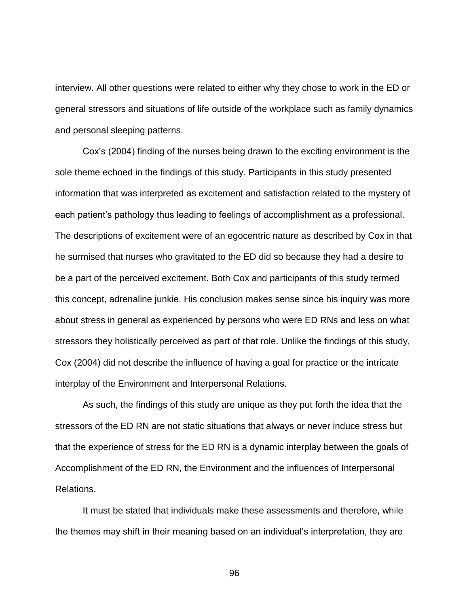interview. All other questions were related to either why they chose to work in the ED or general stressors and situations of life outside of the workplace such as family dynamics and personal sleeping patterns.

Cox's (2004) finding of the nurses being drawn to the exciting environment is the sole theme echoed in the findings of this study. Participants in this study presented information that was interpreted as excitement and satisfaction related to the mystery of each patient's pathology thus leading to feelings of accomplishment as a professional. The descriptions of excitement were of an egocentric nature as described by Cox in that he surmised that nurses who gravitated to the ED did so because they had a desire to be a part of the perceived excitement. Both Cox and participants of this study termed this concept, adrenaline junkie. His conclusion makes sense since his inquiry was more about stress in general as experienced by persons who were ED RNs and less on what stressors they holistically perceived as part of that role. Unlike the findings of this study, Cox (2004) did not describe the influence of having a goal for practice or the intricate interplay of the Environment and Interpersonal Relations.

As such, the findings of this study are unique as they put forth the idea that the stressors of the ED RN are not static situations that always or never induce stress but that the experience of stress for the ED RN is a dynamic interplay between the goals of Accomplishment of the ED RN, the Environment and the influences of Interpersonal Relations.

It must be stated that individuals make these assessments and therefore, while the themes may shift in their meaning based on an individual's interpretation, they are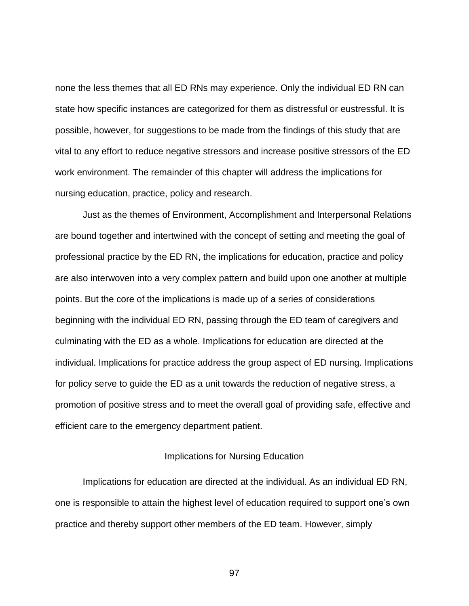none the less themes that all ED RNs may experience. Only the individual ED RN can state how specific instances are categorized for them as distressful or eustressful. It is possible, however, for suggestions to be made from the findings of this study that are vital to any effort to reduce negative stressors and increase positive stressors of the ED work environment. The remainder of this chapter will address the implications for nursing education, practice, policy and research.

Just as the themes of Environment, Accomplishment and Interpersonal Relations are bound together and intertwined with the concept of setting and meeting the goal of professional practice by the ED RN, the implications for education, practice and policy are also interwoven into a very complex pattern and build upon one another at multiple points. But the core of the implications is made up of a series of considerations beginning with the individual ED RN, passing through the ED team of caregivers and culminating with the ED as a whole. Implications for education are directed at the individual. Implications for practice address the group aspect of ED nursing. Implications for policy serve to guide the ED as a unit towards the reduction of negative stress, a promotion of positive stress and to meet the overall goal of providing safe, effective and efficient care to the emergency department patient.

# Implications for Nursing Education

Implications for education are directed at the individual. As an individual ED RN, one is responsible to attain the highest level of education required to support one's own practice and thereby support other members of the ED team. However, simply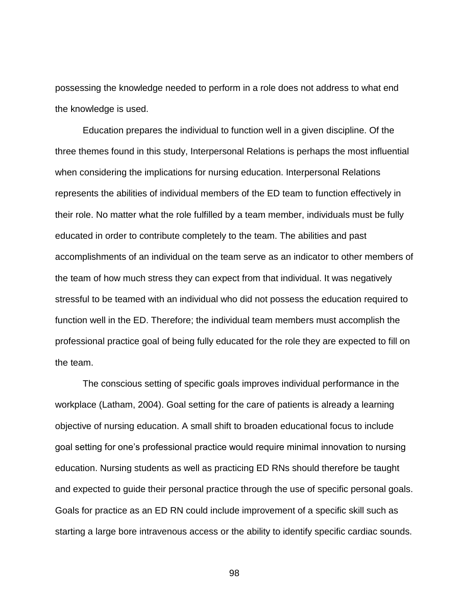possessing the knowledge needed to perform in a role does not address to what end the knowledge is used.

Education prepares the individual to function well in a given discipline. Of the three themes found in this study, Interpersonal Relations is perhaps the most influential when considering the implications for nursing education. Interpersonal Relations represents the abilities of individual members of the ED team to function effectively in their role. No matter what the role fulfilled by a team member, individuals must be fully educated in order to contribute completely to the team. The abilities and past accomplishments of an individual on the team serve as an indicator to other members of the team of how much stress they can expect from that individual. It was negatively stressful to be teamed with an individual who did not possess the education required to function well in the ED. Therefore; the individual team members must accomplish the professional practice goal of being fully educated for the role they are expected to fill on the team.

The conscious setting of specific goals improves individual performance in the workplace (Latham, 2004). Goal setting for the care of patients is already a learning objective of nursing education. A small shift to broaden educational focus to include goal setting for one's professional practice would require minimal innovation to nursing education. Nursing students as well as practicing ED RNs should therefore be taught and expected to guide their personal practice through the use of specific personal goals. Goals for practice as an ED RN could include improvement of a specific skill such as starting a large bore intravenous access or the ability to identify specific cardiac sounds.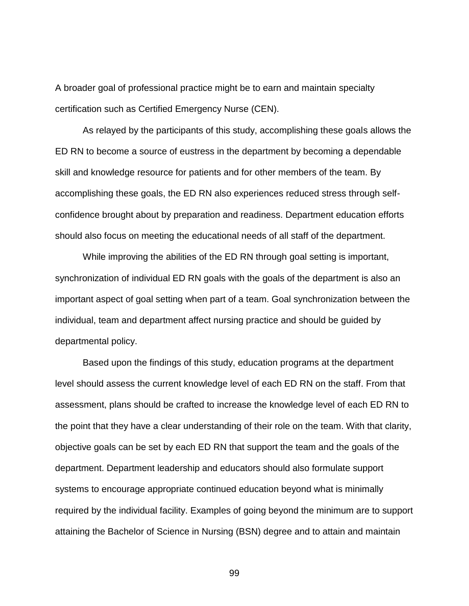A broader goal of professional practice might be to earn and maintain specialty certification such as Certified Emergency Nurse (CEN).

As relayed by the participants of this study, accomplishing these goals allows the ED RN to become a source of eustress in the department by becoming a dependable skill and knowledge resource for patients and for other members of the team. By accomplishing these goals, the ED RN also experiences reduced stress through selfconfidence brought about by preparation and readiness. Department education efforts should also focus on meeting the educational needs of all staff of the department.

While improving the abilities of the ED RN through goal setting is important, synchronization of individual ED RN goals with the goals of the department is also an important aspect of goal setting when part of a team. Goal synchronization between the individual, team and department affect nursing practice and should be guided by departmental policy.

Based upon the findings of this study, education programs at the department level should assess the current knowledge level of each ED RN on the staff. From that assessment, plans should be crafted to increase the knowledge level of each ED RN to the point that they have a clear understanding of their role on the team. With that clarity, objective goals can be set by each ED RN that support the team and the goals of the department. Department leadership and educators should also formulate support systems to encourage appropriate continued education beyond what is minimally required by the individual facility. Examples of going beyond the minimum are to support attaining the Bachelor of Science in Nursing (BSN) degree and to attain and maintain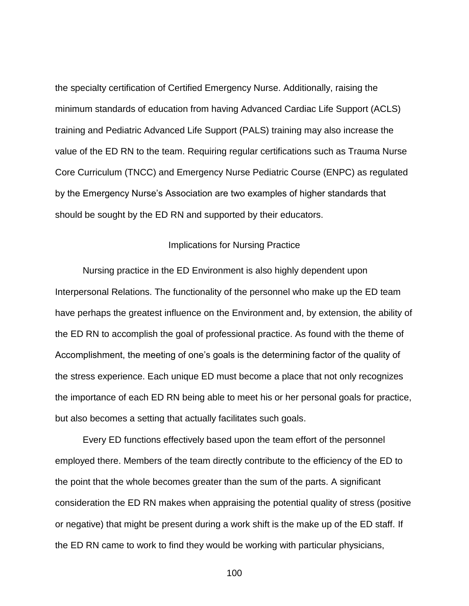the specialty certification of Certified Emergency Nurse. Additionally, raising the minimum standards of education from having Advanced Cardiac Life Support (ACLS) training and Pediatric Advanced Life Support (PALS) training may also increase the value of the ED RN to the team. Requiring regular certifications such as Trauma Nurse Core Curriculum (TNCC) and Emergency Nurse Pediatric Course (ENPC) as regulated by the Emergency Nurse's Association are two examples of higher standards that should be sought by the ED RN and supported by their educators.

#### Implications for Nursing Practice

Nursing practice in the ED Environment is also highly dependent upon Interpersonal Relations. The functionality of the personnel who make up the ED team have perhaps the greatest influence on the Environment and, by extension, the ability of the ED RN to accomplish the goal of professional practice. As found with the theme of Accomplishment, the meeting of one's goals is the determining factor of the quality of the stress experience. Each unique ED must become a place that not only recognizes the importance of each ED RN being able to meet his or her personal goals for practice, but also becomes a setting that actually facilitates such goals.

Every ED functions effectively based upon the team effort of the personnel employed there. Members of the team directly contribute to the efficiency of the ED to the point that the whole becomes greater than the sum of the parts. A significant consideration the ED RN makes when appraising the potential quality of stress (positive or negative) that might be present during a work shift is the make up of the ED staff. If the ED RN came to work to find they would be working with particular physicians,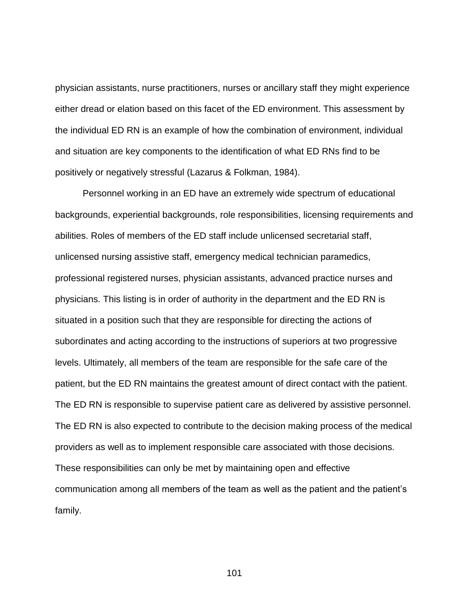physician assistants, nurse practitioners, nurses or ancillary staff they might experience either dread or elation based on this facet of the ED environment. This assessment by the individual ED RN is an example of how the combination of environment, individual and situation are key components to the identification of what ED RNs find to be positively or negatively stressful (Lazarus & Folkman, 1984).

Personnel working in an ED have an extremely wide spectrum of educational backgrounds, experiential backgrounds, role responsibilities, licensing requirements and abilities. Roles of members of the ED staff include unlicensed secretarial staff, unlicensed nursing assistive staff, emergency medical technician paramedics, professional registered nurses, physician assistants, advanced practice nurses and physicians. This listing is in order of authority in the department and the ED RN is situated in a position such that they are responsible for directing the actions of subordinates and acting according to the instructions of superiors at two progressive levels. Ultimately, all members of the team are responsible for the safe care of the patient, but the ED RN maintains the greatest amount of direct contact with the patient. The ED RN is responsible to supervise patient care as delivered by assistive personnel. The ED RN is also expected to contribute to the decision making process of the medical providers as well as to implement responsible care associated with those decisions. These responsibilities can only be met by maintaining open and effective communication among all members of the team as well as the patient and the patient's family.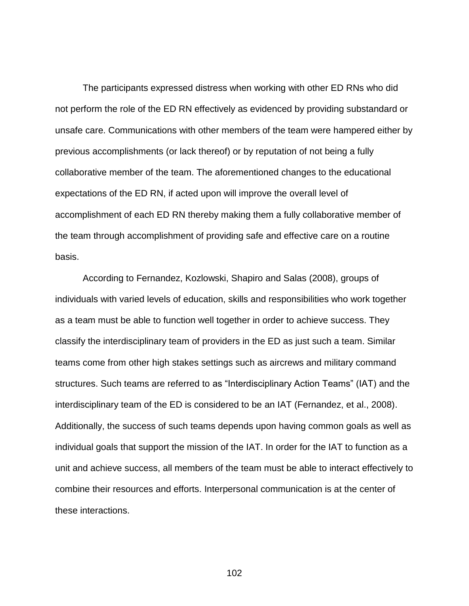The participants expressed distress when working with other ED RNs who did not perform the role of the ED RN effectively as evidenced by providing substandard or unsafe care. Communications with other members of the team were hampered either by previous accomplishments (or lack thereof) or by reputation of not being a fully collaborative member of the team. The aforementioned changes to the educational expectations of the ED RN, if acted upon will improve the overall level of accomplishment of each ED RN thereby making them a fully collaborative member of the team through accomplishment of providing safe and effective care on a routine basis.

According to Fernandez, Kozlowski, Shapiro and Salas (2008), groups of individuals with varied levels of education, skills and responsibilities who work together as a team must be able to function well together in order to achieve success. They classify the interdisciplinary team of providers in the ED as just such a team. Similar teams come from other high stakes settings such as aircrews and military command structures. Such teams are referred to as "Interdisciplinary Action Teams" (IAT) and the interdisciplinary team of the ED is considered to be an IAT (Fernandez, et al., 2008). Additionally, the success of such teams depends upon having common goals as well as individual goals that support the mission of the IAT. In order for the IAT to function as a unit and achieve success, all members of the team must be able to interact effectively to combine their resources and efforts. Interpersonal communication is at the center of these interactions.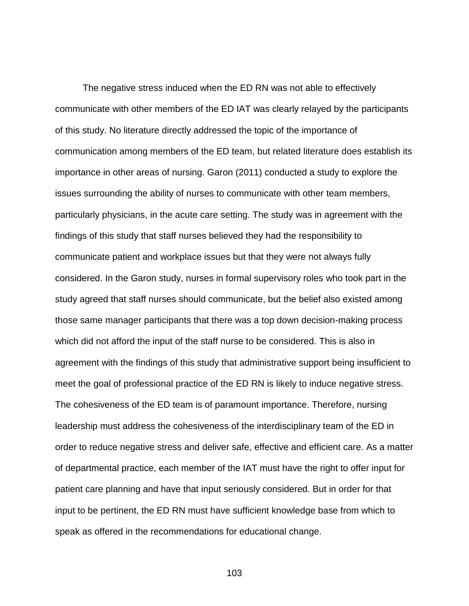The negative stress induced when the ED RN was not able to effectively communicate with other members of the ED IAT was clearly relayed by the participants of this study. No literature directly addressed the topic of the importance of communication among members of the ED team, but related literature does establish its importance in other areas of nursing. Garon (2011) conducted a study to explore the issues surrounding the ability of nurses to communicate with other team members, particularly physicians, in the acute care setting. The study was in agreement with the findings of this study that staff nurses believed they had the responsibility to communicate patient and workplace issues but that they were not always fully considered. In the Garon study, nurses in formal supervisory roles who took part in the study agreed that staff nurses should communicate, but the belief also existed among those same manager participants that there was a top down decision-making process which did not afford the input of the staff nurse to be considered. This is also in agreement with the findings of this study that administrative support being insufficient to meet the goal of professional practice of the ED RN is likely to induce negative stress. The cohesiveness of the ED team is of paramount importance. Therefore, nursing leadership must address the cohesiveness of the interdisciplinary team of the ED in order to reduce negative stress and deliver safe, effective and efficient care. As a matter of departmental practice, each member of the IAT must have the right to offer input for patient care planning and have that input seriously considered. But in order for that input to be pertinent, the ED RN must have sufficient knowledge base from which to speak as offered in the recommendations for educational change.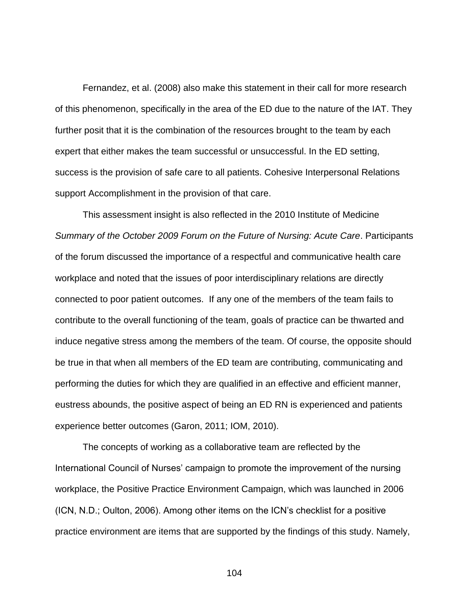Fernandez, et al. (2008) also make this statement in their call for more research of this phenomenon, specifically in the area of the ED due to the nature of the IAT. They further posit that it is the combination of the resources brought to the team by each expert that either makes the team successful or unsuccessful. In the ED setting, success is the provision of safe care to all patients. Cohesive Interpersonal Relations support Accomplishment in the provision of that care.

This assessment insight is also reflected in the 2010 Institute of Medicine *Summary of the October 2009 Forum on the Future of Nursing: Acute Care*. Participants of the forum discussed the importance of a respectful and communicative health care workplace and noted that the issues of poor interdisciplinary relations are directly connected to poor patient outcomes. If any one of the members of the team fails to contribute to the overall functioning of the team, goals of practice can be thwarted and induce negative stress among the members of the team. Of course, the opposite should be true in that when all members of the ED team are contributing, communicating and performing the duties for which they are qualified in an effective and efficient manner, eustress abounds, the positive aspect of being an ED RN is experienced and patients experience better outcomes (Garon, 2011; IOM, 2010).

The concepts of working as a collaborative team are reflected by the International Council of Nurses' campaign to promote the improvement of the nursing workplace, the Positive Practice Environment Campaign, which was launched in 2006 (ICN, N.D.; Oulton, 2006). Among other items on the ICN's checklist for a positive practice environment are items that are supported by the findings of this study. Namely,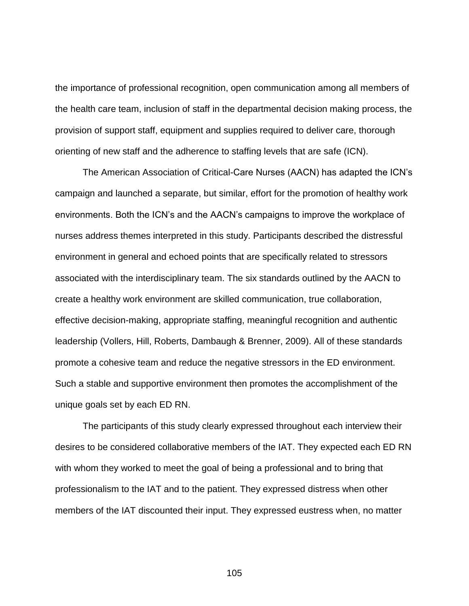the importance of professional recognition, open communication among all members of the health care team, inclusion of staff in the departmental decision making process, the provision of support staff, equipment and supplies required to deliver care, thorough orienting of new staff and the adherence to staffing levels that are safe (ICN).

The American Association of Critical-Care Nurses (AACN) has adapted the ICN's campaign and launched a separate, but similar, effort for the promotion of healthy work environments. Both the ICN's and the AACN's campaigns to improve the workplace of nurses address themes interpreted in this study. Participants described the distressful environment in general and echoed points that are specifically related to stressors associated with the interdisciplinary team. The six standards outlined by the AACN to create a healthy work environment are skilled communication, true collaboration, effective decision-making, appropriate staffing, meaningful recognition and authentic leadership (Vollers, Hill, Roberts, Dambaugh & Brenner, 2009). All of these standards promote a cohesive team and reduce the negative stressors in the ED environment. Such a stable and supportive environment then promotes the accomplishment of the unique goals set by each ED RN.

The participants of this study clearly expressed throughout each interview their desires to be considered collaborative members of the IAT. They expected each ED RN with whom they worked to meet the goal of being a professional and to bring that professionalism to the IAT and to the patient. They expressed distress when other members of the IAT discounted their input. They expressed eustress when, no matter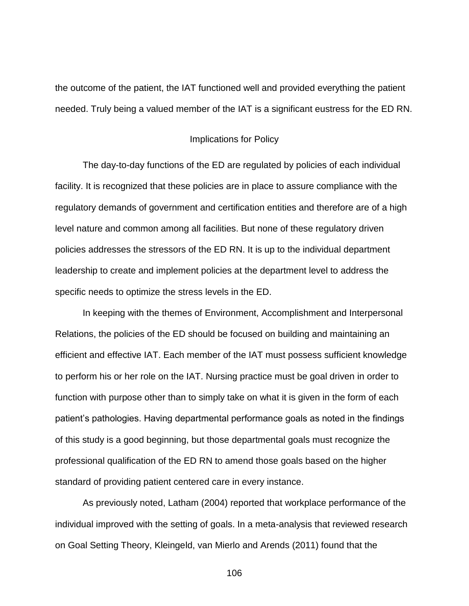the outcome of the patient, the IAT functioned well and provided everything the patient needed. Truly being a valued member of the IAT is a significant eustress for the ED RN.

#### Implications for Policy

The day-to-day functions of the ED are regulated by policies of each individual facility. It is recognized that these policies are in place to assure compliance with the regulatory demands of government and certification entities and therefore are of a high level nature and common among all facilities. But none of these regulatory driven policies addresses the stressors of the ED RN. It is up to the individual department leadership to create and implement policies at the department level to address the specific needs to optimize the stress levels in the ED.

In keeping with the themes of Environment, Accomplishment and Interpersonal Relations, the policies of the ED should be focused on building and maintaining an efficient and effective IAT. Each member of the IAT must possess sufficient knowledge to perform his or her role on the IAT. Nursing practice must be goal driven in order to function with purpose other than to simply take on what it is given in the form of each patient's pathologies. Having departmental performance goals as noted in the findings of this study is a good beginning, but those departmental goals must recognize the professional qualification of the ED RN to amend those goals based on the higher standard of providing patient centered care in every instance.

As previously noted, Latham (2004) reported that workplace performance of the individual improved with the setting of goals. In a meta-analysis that reviewed research on Goal Setting Theory, Kleingeld, van Mierlo and Arends (2011) found that the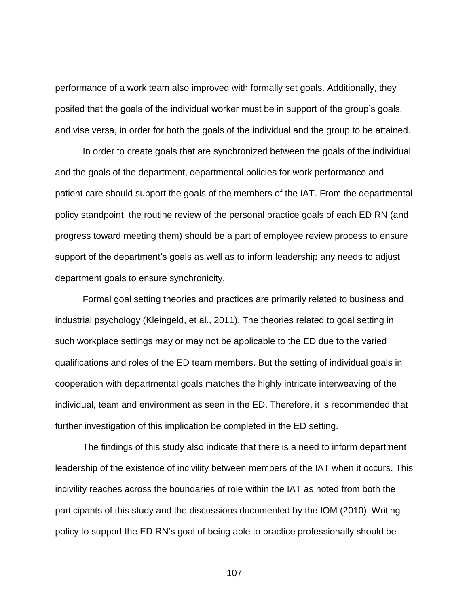performance of a work team also improved with formally set goals. Additionally, they posited that the goals of the individual worker must be in support of the group's goals, and vise versa, in order for both the goals of the individual and the group to be attained.

In order to create goals that are synchronized between the goals of the individual and the goals of the department, departmental policies for work performance and patient care should support the goals of the members of the IAT. From the departmental policy standpoint, the routine review of the personal practice goals of each ED RN (and progress toward meeting them) should be a part of employee review process to ensure support of the department's goals as well as to inform leadership any needs to adjust department goals to ensure synchronicity.

Formal goal setting theories and practices are primarily related to business and industrial psychology (Kleingeld, et al., 2011). The theories related to goal setting in such workplace settings may or may not be applicable to the ED due to the varied qualifications and roles of the ED team members. But the setting of individual goals in cooperation with departmental goals matches the highly intricate interweaving of the individual, team and environment as seen in the ED. Therefore, it is recommended that further investigation of this implication be completed in the ED setting.

The findings of this study also indicate that there is a need to inform department leadership of the existence of incivility between members of the IAT when it occurs. This incivility reaches across the boundaries of role within the IAT as noted from both the participants of this study and the discussions documented by the IOM (2010). Writing policy to support the ED RN's goal of being able to practice professionally should be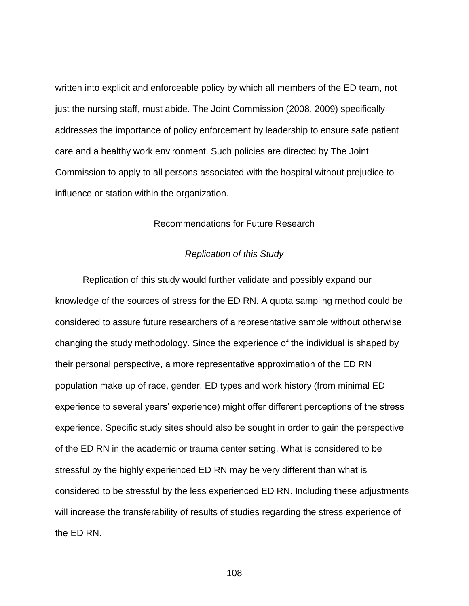written into explicit and enforceable policy by which all members of the ED team, not just the nursing staff, must abide. The Joint Commission (2008, 2009) specifically addresses the importance of policy enforcement by leadership to ensure safe patient care and a healthy work environment. Such policies are directed by The Joint Commission to apply to all persons associated with the hospital without prejudice to influence or station within the organization.

#### Recommendations for Future Research

#### *Replication of this Study*

Replication of this study would further validate and possibly expand our knowledge of the sources of stress for the ED RN. A quota sampling method could be considered to assure future researchers of a representative sample without otherwise changing the study methodology. Since the experience of the individual is shaped by their personal perspective, a more representative approximation of the ED RN population make up of race, gender, ED types and work history (from minimal ED experience to several years' experience) might offer different perceptions of the stress experience. Specific study sites should also be sought in order to gain the perspective of the ED RN in the academic or trauma center setting. What is considered to be stressful by the highly experienced ED RN may be very different than what is considered to be stressful by the less experienced ED RN. Including these adjustments will increase the transferability of results of studies regarding the stress experience of the ED RN.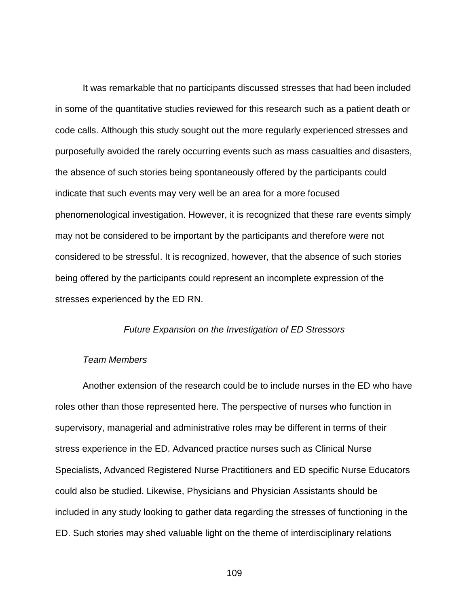It was remarkable that no participants discussed stresses that had been included in some of the quantitative studies reviewed for this research such as a patient death or code calls. Although this study sought out the more regularly experienced stresses and purposefully avoided the rarely occurring events such as mass casualties and disasters, the absence of such stories being spontaneously offered by the participants could indicate that such events may very well be an area for a more focused phenomenological investigation. However, it is recognized that these rare events simply may not be considered to be important by the participants and therefore were not considered to be stressful. It is recognized, however, that the absence of such stories being offered by the participants could represent an incomplete expression of the stresses experienced by the ED RN.

#### *Future Expansion on the Investigation of ED Stressors*

#### *Team Members*

Another extension of the research could be to include nurses in the ED who have roles other than those represented here. The perspective of nurses who function in supervisory, managerial and administrative roles may be different in terms of their stress experience in the ED. Advanced practice nurses such as Clinical Nurse Specialists, Advanced Registered Nurse Practitioners and ED specific Nurse Educators could also be studied. Likewise, Physicians and Physician Assistants should be included in any study looking to gather data regarding the stresses of functioning in the ED. Such stories may shed valuable light on the theme of interdisciplinary relations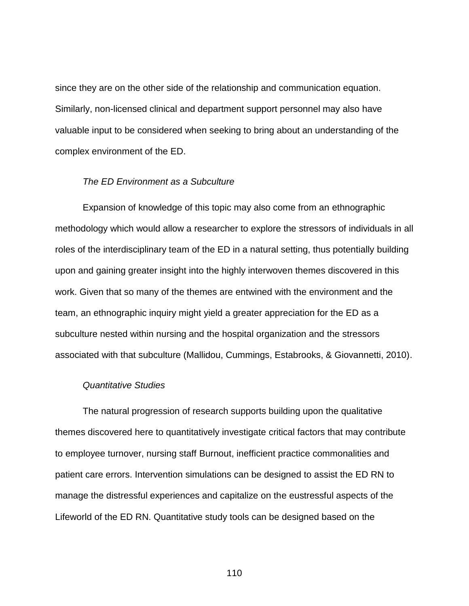since they are on the other side of the relationship and communication equation. Similarly, non-licensed clinical and department support personnel may also have valuable input to be considered when seeking to bring about an understanding of the complex environment of the ED.

#### *The ED Environment as a Subculture*

Expansion of knowledge of this topic may also come from an ethnographic methodology which would allow a researcher to explore the stressors of individuals in all roles of the interdisciplinary team of the ED in a natural setting, thus potentially building upon and gaining greater insight into the highly interwoven themes discovered in this work. Given that so many of the themes are entwined with the environment and the team, an ethnographic inquiry might yield a greater appreciation for the ED as a subculture nested within nursing and the hospital organization and the stressors associated with that subculture (Mallidou, Cummings, Estabrooks, & Giovannetti, 2010).

#### *Quantitative Studies*

The natural progression of research supports building upon the qualitative themes discovered here to quantitatively investigate critical factors that may contribute to employee turnover, nursing staff Burnout, inefficient practice commonalities and patient care errors. Intervention simulations can be designed to assist the ED RN to manage the distressful experiences and capitalize on the eustressful aspects of the Lifeworld of the ED RN. Quantitative study tools can be designed based on the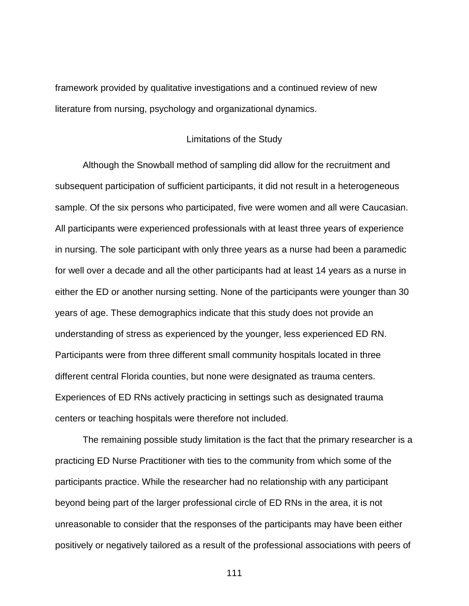framework provided by qualitative investigations and a continued review of new literature from nursing, psychology and organizational dynamics.

#### Limitations of the Study

Although the Snowball method of sampling did allow for the recruitment and subsequent participation of sufficient participants, it did not result in a heterogeneous sample. Of the six persons who participated, five were women and all were Caucasian. All participants were experienced professionals with at least three years of experience in nursing. The sole participant with only three years as a nurse had been a paramedic for well over a decade and all the other participants had at least 14 years as a nurse in either the ED or another nursing setting. None of the participants were younger than 30 years of age. These demographics indicate that this study does not provide an understanding of stress as experienced by the younger, less experienced ED RN. Participants were from three different small community hospitals located in three different central Florida counties, but none were designated as trauma centers. Experiences of ED RNs actively practicing in settings such as designated trauma centers or teaching hospitals were therefore not included.

The remaining possible study limitation is the fact that the primary researcher is a practicing ED Nurse Practitioner with ties to the community from which some of the participants practice. While the researcher had no relationship with any participant beyond being part of the larger professional circle of ED RNs in the area, it is not unreasonable to consider that the responses of the participants may have been either positively or negatively tailored as a result of the professional associations with peers of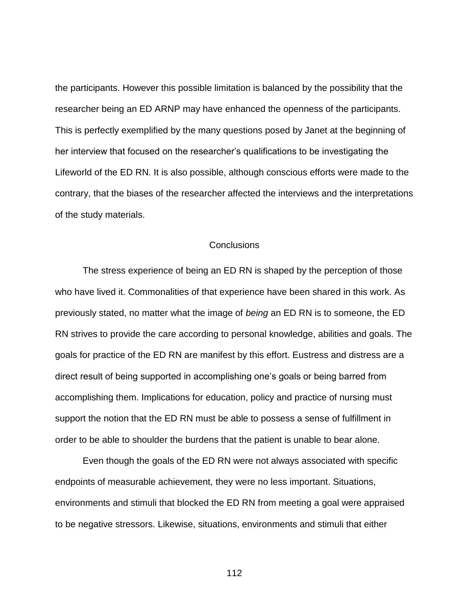the participants. However this possible limitation is balanced by the possibility that the researcher being an ED ARNP may have enhanced the openness of the participants. This is perfectly exemplified by the many questions posed by Janet at the beginning of her interview that focused on the researcher's qualifications to be investigating the Lifeworld of the ED RN. It is also possible, although conscious efforts were made to the contrary, that the biases of the researcher affected the interviews and the interpretations of the study materials.

#### **Conclusions**

The stress experience of being an ED RN is shaped by the perception of those who have lived it. Commonalities of that experience have been shared in this work. As previously stated, no matter what the image of *being* an ED RN is to someone, the ED RN strives to provide the care according to personal knowledge, abilities and goals. The goals for practice of the ED RN are manifest by this effort. Eustress and distress are a direct result of being supported in accomplishing one's goals or being barred from accomplishing them. Implications for education, policy and practice of nursing must support the notion that the ED RN must be able to possess a sense of fulfillment in order to be able to shoulder the burdens that the patient is unable to bear alone.

Even though the goals of the ED RN were not always associated with specific endpoints of measurable achievement, they were no less important. Situations, environments and stimuli that blocked the ED RN from meeting a goal were appraised to be negative stressors. Likewise, situations, environments and stimuli that either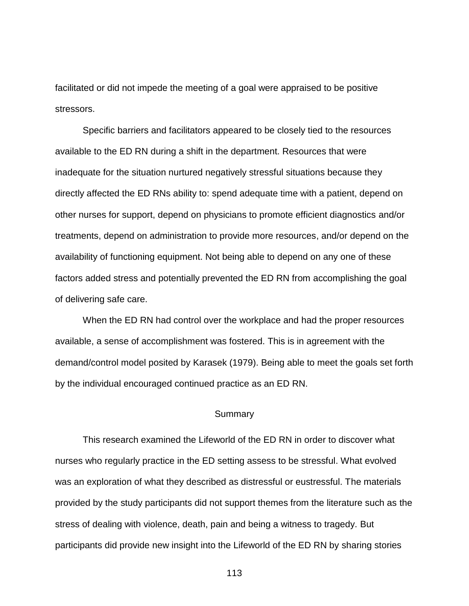facilitated or did not impede the meeting of a goal were appraised to be positive stressors.

Specific barriers and facilitators appeared to be closely tied to the resources available to the ED RN during a shift in the department. Resources that were inadequate for the situation nurtured negatively stressful situations because they directly affected the ED RNs ability to: spend adequate time with a patient, depend on other nurses for support, depend on physicians to promote efficient diagnostics and/or treatments, depend on administration to provide more resources, and/or depend on the availability of functioning equipment. Not being able to depend on any one of these factors added stress and potentially prevented the ED RN from accomplishing the goal of delivering safe care.

When the ED RN had control over the workplace and had the proper resources available, a sense of accomplishment was fostered. This is in agreement with the demand/control model posited by Karasek (1979). Being able to meet the goals set forth by the individual encouraged continued practice as an ED RN.

#### **Summary**

This research examined the Lifeworld of the ED RN in order to discover what nurses who regularly practice in the ED setting assess to be stressful. What evolved was an exploration of what they described as distressful or eustressful. The materials provided by the study participants did not support themes from the literature such as the stress of dealing with violence, death, pain and being a witness to tragedy. But participants did provide new insight into the Lifeworld of the ED RN by sharing stories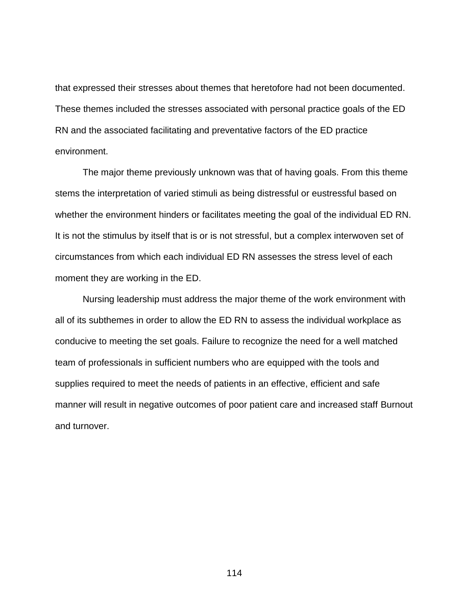that expressed their stresses about themes that heretofore had not been documented. These themes included the stresses associated with personal practice goals of the ED RN and the associated facilitating and preventative factors of the ED practice environment.

The major theme previously unknown was that of having goals. From this theme stems the interpretation of varied stimuli as being distressful or eustressful based on whether the environment hinders or facilitates meeting the goal of the individual ED RN. It is not the stimulus by itself that is or is not stressful, but a complex interwoven set of circumstances from which each individual ED RN assesses the stress level of each moment they are working in the ED.

Nursing leadership must address the major theme of the work environment with all of its subthemes in order to allow the ED RN to assess the individual workplace as conducive to meeting the set goals. Failure to recognize the need for a well matched team of professionals in sufficient numbers who are equipped with the tools and supplies required to meet the needs of patients in an effective, efficient and safe manner will result in negative outcomes of poor patient care and increased staff Burnout and turnover.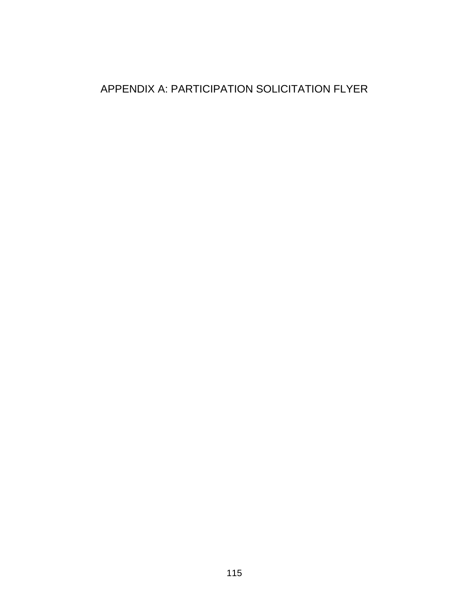## APPENDIX A: PARTICIPATION SOLICITATION FLYER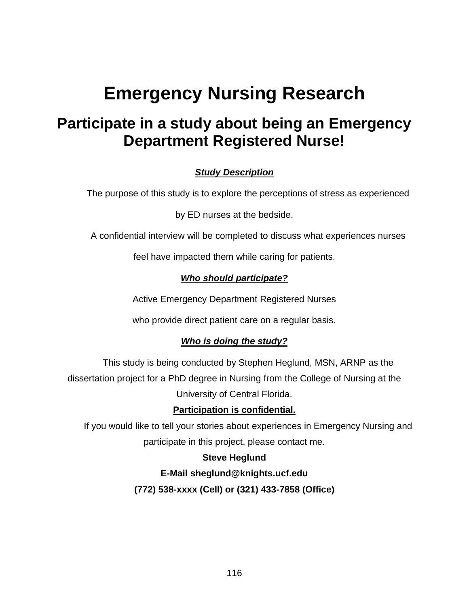# **Emergency Nursing Research**

## **Participate in a study about being an Emergency Department Registered Nurse!**

### *Study Description*

The purpose of this study is to explore the perceptions of stress as experienced

by ED nurses at the bedside.

A confidential interview will be completed to discuss what experiences nurses

feel have impacted them while caring for patients.

#### *Who should participate?*

Active Emergency Department Registered Nurses

who provide direct patient care on a regular basis.

#### *Who is doing the study?*

This study is being conducted by Stephen Heglund, MSN, ARNP as the dissertation project for a PhD degree in Nursing from the College of Nursing at the University of Central Florida.

#### **Participation is confidential.**

If you would like to tell your stories about experiences in Emergency Nursing and participate in this project, please contact me.

#### **Steve Heglund**

**E-Mail [sheglund@knights.ucf.edu](mailto:sheglund@knights.ucf.edu) (772) 538-xxxx (Cell) or (321) 433-7858 (Office)**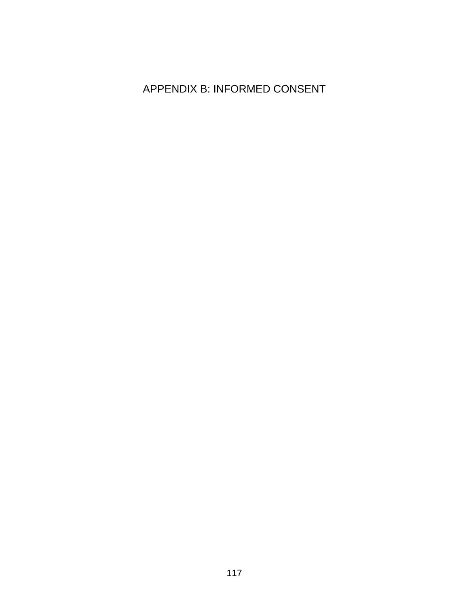## APPENDIX B: INFORMED CONSENT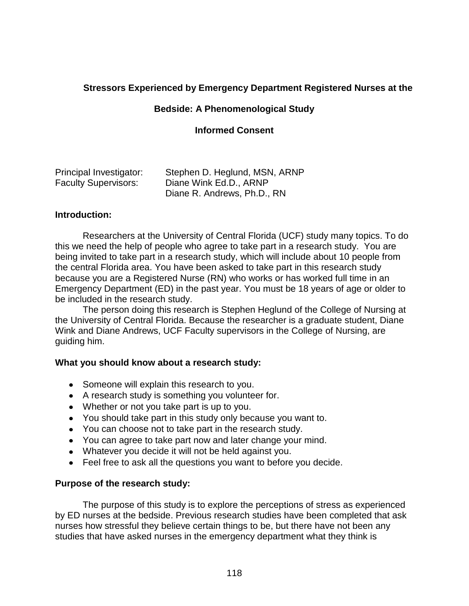#### **Stressors Experienced by Emergency Department Registered Nurses at the**

#### **Bedside: A Phenomenological Study**

#### **Informed Consent**

| Principal Investigator:     | Stephen D. Heglund, MSN, ARNP |
|-----------------------------|-------------------------------|
| <b>Faculty Supervisors:</b> | Diane Wink Ed.D., ARNP        |
|                             | Diane R. Andrews, Ph.D., RN   |

#### **Introduction:**

Researchers at the University of Central Florida (UCF) study many topics. To do this we need the help of people who agree to take part in a research study. You are being invited to take part in a research study, which will include about 10 people from the central Florida area. You have been asked to take part in this research study because you are a Registered Nurse (RN) who works or has worked full time in an Emergency Department (ED) in the past year. You must be 18 years of age or older to be included in the research study.

The person doing this research is Stephen Heglund of the College of Nursing at the University of Central Florida. Because the researcher is a graduate student, Diane Wink and Diane Andrews, UCF Faculty supervisors in the College of Nursing, are guiding him.

#### **What you should know about a research study:**

- Someone will explain this research to you.
- A research study is something you volunteer for.
- Whether or not you take part is up to you.
- You should take part in this study only because you want to.
- You can choose not to take part in the research study.
- You can agree to take part now and later change your mind.
- Whatever you decide it will not be held against you.
- Feel free to ask all the questions you want to before you decide.

#### **Purpose of the research study:**

The purpose of this study is to explore the perceptions of stress as experienced by ED nurses at the bedside. Previous research studies have been completed that ask nurses how stressful they believe certain things to be, but there have not been any studies that have asked nurses in the emergency department what they think is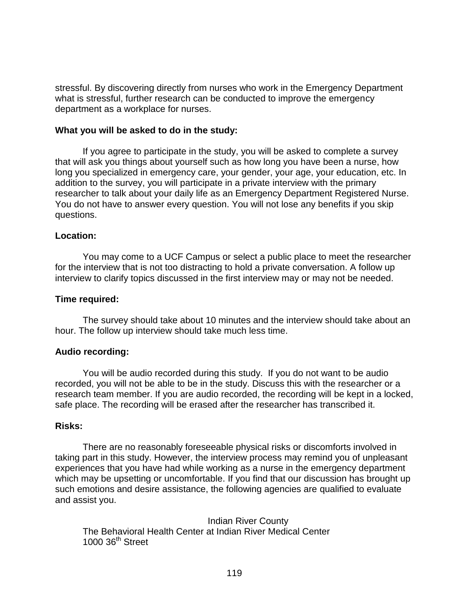stressful. By discovering directly from nurses who work in the Emergency Department what is stressful, further research can be conducted to improve the emergency department as a workplace for nurses.

#### **What you will be asked to do in the study:**

If you agree to participate in the study, you will be asked to complete a survey that will ask you things about yourself such as how long you have been a nurse, how long you specialized in emergency care, your gender, your age, your education, etc. In addition to the survey, you will participate in a private interview with the primary researcher to talk about your daily life as an Emergency Department Registered Nurse. You do not have to answer every question. You will not lose any benefits if you skip questions.

#### **Location:**

You may come to a UCF Campus or select a public place to meet the researcher for the interview that is not too distracting to hold a private conversation. A follow up interview to clarify topics discussed in the first interview may or may not be needed.

#### **Time required:**

The survey should take about 10 minutes and the interview should take about an hour. The follow up interview should take much less time.

#### **Audio recording:**

You will be audio recorded during this study. If you do not want to be audio recorded, you will not be able to be in the study. Discuss this with the researcher or a research team member. If you are audio recorded, the recording will be kept in a locked, safe place. The recording will be erased after the researcher has transcribed it.

#### **Risks:**

There are no reasonably foreseeable physical risks or discomforts involved in taking part in this study. However, the interview process may remind you of unpleasant experiences that you have had while working as a nurse in the emergency department which may be upsetting or uncomfortable. If you find that our discussion has brought up such emotions and desire assistance, the following agencies are qualified to evaluate and assist you.

Indian River County The Behavioral Health Center at Indian River Medical Center  $1000$  36<sup>th</sup> Street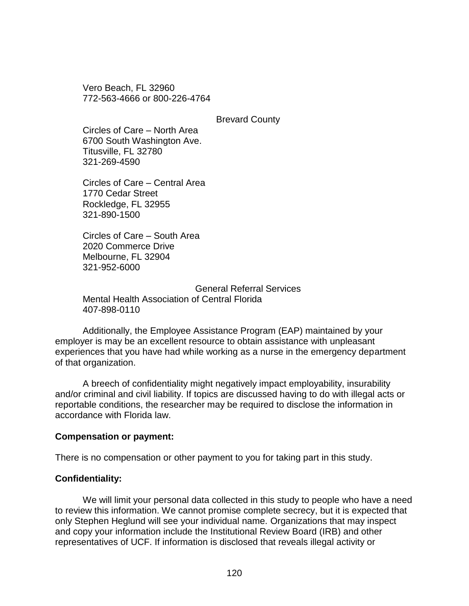Vero Beach, FL 32960 772-563-4666 or 800-226-4764

Brevard County

Circles of Care – North Area 6700 South Washington Ave. Titusville, FL 32780 321-269-4590

Circles of Care – Central Area 1770 Cedar Street Rockledge, FL 32955 321-890-1500

Circles of Care – South Area 2020 Commerce Drive Melbourne, FL 32904 321-952-6000

General Referral Services Mental Health Association of Central Florida 407-898-0110

Additionally, the Employee Assistance Program (EAP) maintained by your employer is may be an excellent resource to obtain assistance with unpleasant experiences that you have had while working as a nurse in the emergency department of that organization.

A breech of confidentiality might negatively impact employability, insurability and/or criminal and civil liability. If topics are discussed having to do with illegal acts or reportable conditions, the researcher may be required to disclose the information in accordance with Florida law.

#### **Compensation or payment:**

There is no compensation or other payment to you for taking part in this study.

#### **Confidentiality:**

We will limit your personal data collected in this study to people who have a need to review this information. We cannot promise complete secrecy, but it is expected that only Stephen Heglund will see your individual name. Organizations that may inspect and copy your information include the Institutional Review Board (IRB) and other representatives of UCF. If information is disclosed that reveals illegal activity or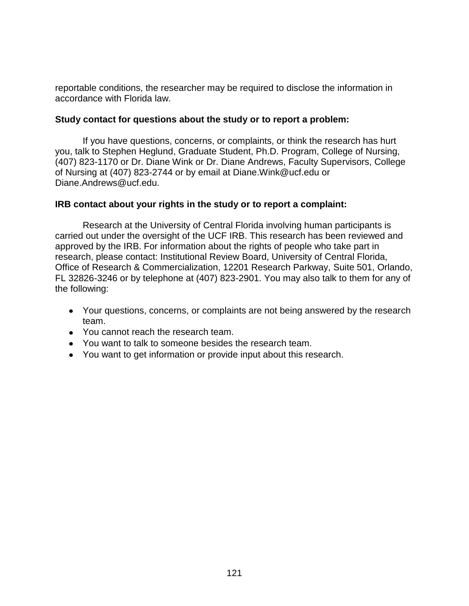reportable conditions, the researcher may be required to disclose the information in accordance with Florida law.

#### **Study contact for questions about the study or to report a problem:**

If you have questions, concerns, or complaints, or think the research has hurt you, talk to Stephen Heglund, Graduate Student, Ph.D. Program, College of Nursing, (407) 823-1170 or Dr. Diane Wink or Dr. Diane Andrews, Faculty Supervisors, College of Nursing at (407) 823-2744 or by email at Diane.Wink@ucf.edu or Diane.Andrews@ucf.edu.

#### **IRB contact about your rights in the study or to report a complaint:**

Research at the University of Central Florida involving human participants is carried out under the oversight of the UCF IRB. This research has been reviewed and approved by the IRB. For information about the rights of people who take part in research, please contact: Institutional Review Board, University of Central Florida, Office of Research & Commercialization, 12201 Research Parkway, Suite 501, Orlando, FL 32826-3246 or by telephone at (407) 823-2901. You may also talk to them for any of the following:

- Your questions, concerns, or complaints are not being answered by the research team.
- You cannot reach the research team.
- You want to talk to someone besides the research team.
- You want to get information or provide input about this research.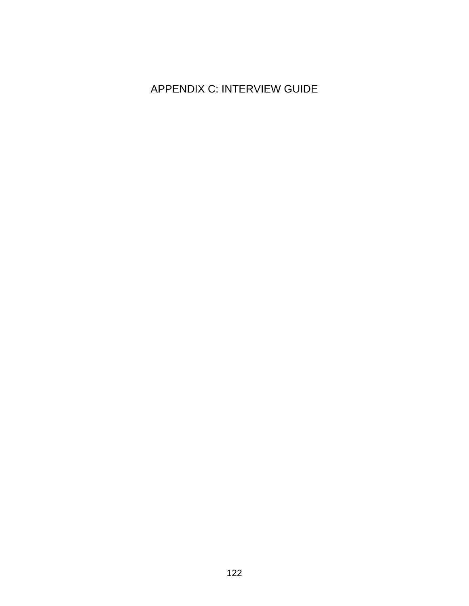## APPENDIX C: INTERVIEW GUIDE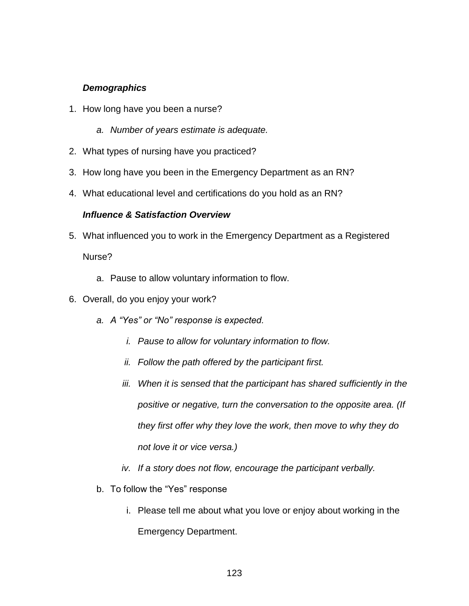#### *Demographics*

- 1. How long have you been a nurse?
	- *a. Number of years estimate is adequate.*
- 2. What types of nursing have you practiced?
- 3. How long have you been in the Emergency Department as an RN?
- 4. What educational level and certifications do you hold as an RN?

#### *Influence & Satisfaction Overview*

- 5. What influenced you to work in the Emergency Department as a Registered Nurse?
	- a. Pause to allow voluntary information to flow.
- 6. Overall, do you enjoy your work?
	- *a. A "Yes" or "No" response is expected.*
		- *i. Pause to allow for voluntary information to flow.*
		- *ii. Follow the path offered by the participant first.*
		- *iii. When it is sensed that the participant has shared sufficiently in the positive or negative, turn the conversation to the opposite area. (If they first offer why they love the work, then move to why they do not love it or vice versa.)*
		- *iv. If a story does not flow, encourage the participant verbally.*
	- b. To follow the "Yes" response
		- i. Please tell me about what you love or enjoy about working in the Emergency Department.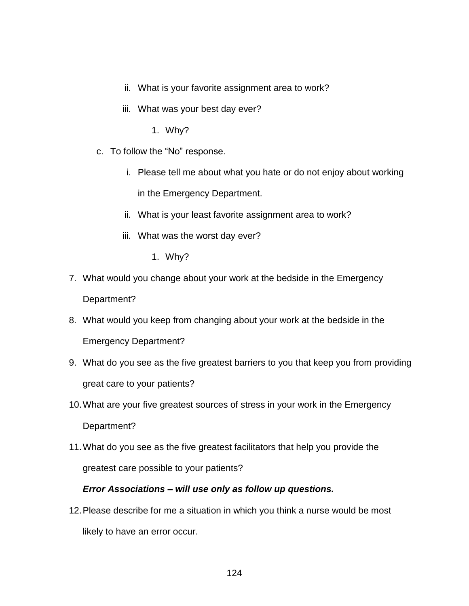- ii. What is your favorite assignment area to work?
- iii. What was your best day ever?
	- 1. Why?
- c. To follow the "No" response.
	- i. Please tell me about what you hate or do not enjoy about working in the Emergency Department.
	- ii. What is your least favorite assignment area to work?
	- iii. What was the worst day ever?
		- 1. Why?
- 7. What would you change about your work at the bedside in the Emergency Department?
- 8. What would you keep from changing about your work at the bedside in the Emergency Department?
- 9. What do you see as the five greatest barriers to you that keep you from providing great care to your patients?
- 10.What are your five greatest sources of stress in your work in the Emergency Department?
- 11.What do you see as the five greatest facilitators that help you provide the greatest care possible to your patients?

#### *Error Associations – will use only as follow up questions.*

12.Please describe for me a situation in which you think a nurse would be most likely to have an error occur.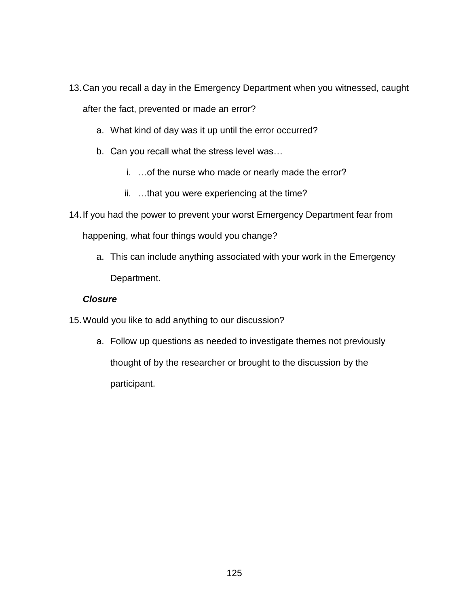- 13.Can you recall a day in the Emergency Department when you witnessed, caught after the fact, prevented or made an error?
	- a. What kind of day was it up until the error occurred?
	- b. Can you recall what the stress level was…
		- i. …of the nurse who made or nearly made the error?
		- ii. …that you were experiencing at the time?
- 14.If you had the power to prevent your worst Emergency Department fear from happening, what four things would you change?
	- a. This can include anything associated with your work in the Emergency Department.

#### *Closure*

- 15.Would you like to add anything to our discussion?
	- a. Follow up questions as needed to investigate themes not previously thought of by the researcher or brought to the discussion by the participant.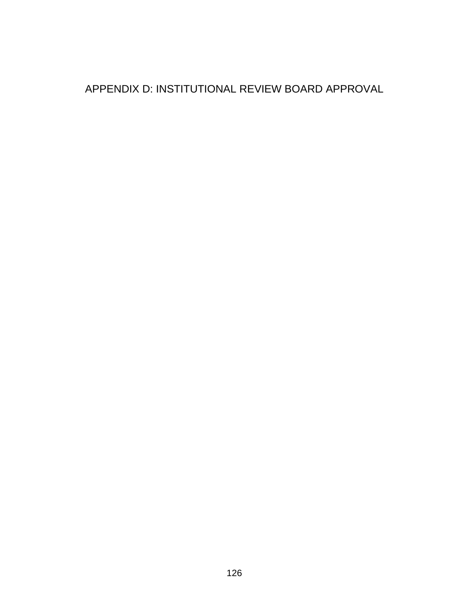## APPENDIX D: INSTITUTIONAL REVIEW BOARD APPROVAL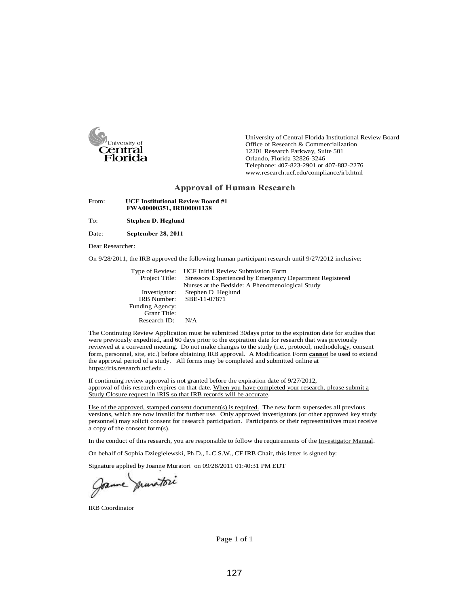

University of Central Florida Institutional Review Board Office of Research & Commercialization 12201 Research Parkway, Suite 501 Orlando, Florida 32826-3246 Telephone: 407-823-2901 or 407-882-2276 www.research.ucf.edu/compliance/irb.html

#### **Approval of Human Research**

From: **UCF Institutional Review Board #1 FWA00000351, IRB00001138**

To: **Stephen D. Heglund**

Date: **September 28, 2011**

Dear Researcher:

On 9/28/2011, the IRB approved the following human participant research until 9/27/2012 inclusive:

| Type of Review:    | <b>UCF Initial Review Submission Form</b>                |
|--------------------|----------------------------------------------------------|
| Project Title:     | Stressors Experienced by Emergency Department Registered |
|                    | Nurses at the Bedside: A Phenomenological Study          |
| Investigator:      | Stephen D Heglund                                        |
| <b>IRB</b> Number: | SBE-11-07871                                             |
| Funding Agency:    |                                                          |
| Grant Title:       |                                                          |
| Research $ID:$     | N/A                                                      |

The Continuing Review Application must be submitted 30days prior to the expiration date for studies that were previously expedited, and 60 days prior to the expiration date for research that was previously reviewed at a convened meeting. Do not make changes to the study (i.e., protocol, methodology, consent form, personnel, site, etc.) before obtaining IRB approval. A Modification Form **cannot** be used to extend the approval period of a study. All forms may be completed and submitted online at https://iris.research.ucf.edu .

If continuing review approval is not granted before the expiration date of 9/27/2012, approval of this research expires on that date. When you have completed your research, please submit a Study Closure request in iRIS so that IRB records will be accurate.

Use of the approved, stamped consent document(s) is required. The new form supersedes all previous versions, which are now invalid for further use. Only approved investigators (or other approved key study personnel) may solicit consent for research participation. Participants or their representatives must receive a copy of the consent form(s).

In the conduct of this research, you are responsible to follow the requirements of the Investigator Manual.

On behalf of Sophia Dziegielewski, Ph.D., L.C.S.W., CF IRB Chair, this letter is signed by:

Signature applied by Joanne Muratori on 09/28/2011 01:40:31 PM EDT

Jame munitori

IRB Coordinator

Page 1 of 1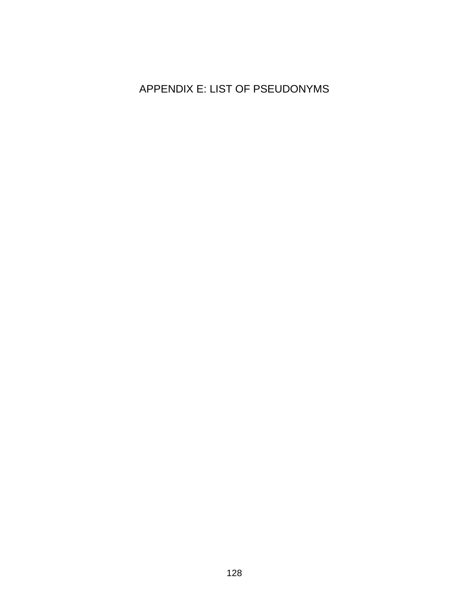## APPENDIX E: LIST OF PSEUDONYMS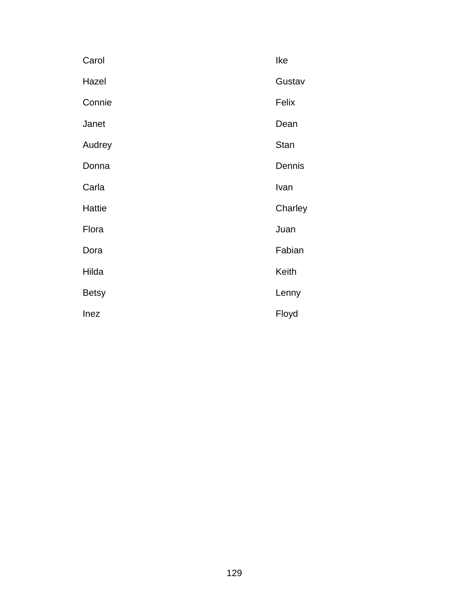| Carol        | Ike         |
|--------------|-------------|
| Hazel        | Gustav      |
| Connie       | Felix       |
| Janet        | Dean        |
| Audrey       | <b>Stan</b> |
| Donna        | Dennis      |
| Carla        | Ivan        |
| Hattie       | Charley     |
| Flora        | Juan        |
| Dora         | Fabian      |
| Hilda        | Keith       |
| <b>Betsy</b> | Lenny       |
| Inez         | Floyd       |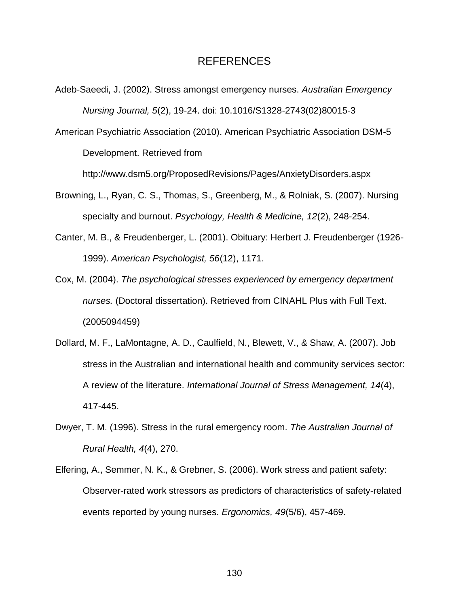#### REFERENCES

- Adeb-Saeedi, J. (2002). Stress amongst emergency nurses. *Australian Emergency Nursing Journal, 5*(2), 19-24. doi: 10.1016/S1328-2743(02)80015-3
- American Psychiatric Association (2010). American Psychiatric Association DSM-5 Development. Retrieved from

http://www.dsm5.org/ProposedRevisions/Pages/AnxietyDisorders.aspx

- Browning, L., Ryan, C. S., Thomas, S., Greenberg, M., & Rolniak, S. (2007). Nursing specialty and burnout. *Psychology, Health & Medicine, 12*(2), 248-254.
- Canter, M. B., & Freudenberger, L. (2001). Obituary: Herbert J. Freudenberger (1926- 1999). *American Psychologist, 56*(12), 1171.
- Cox, M. (2004). *The psychological stresses experienced by emergency department nurses.* (Doctoral dissertation). Retrieved from CINAHL Plus with Full Text. (2005094459)
- Dollard, M. F., LaMontagne, A. D., Caulfield, N., Blewett, V., & Shaw, A. (2007). Job stress in the Australian and international health and community services sector: A review of the literature. *International Journal of Stress Management, 14*(4), 417-445.
- Dwyer, T. M. (1996). Stress in the rural emergency room. *The Australian Journal of Rural Health, 4*(4), 270.
- Elfering, A., Semmer, N. K., & Grebner, S. (2006). Work stress and patient safety: Observer-rated work stressors as predictors of characteristics of safety-related events reported by young nurses. *Ergonomics, 49*(5/6), 457-469.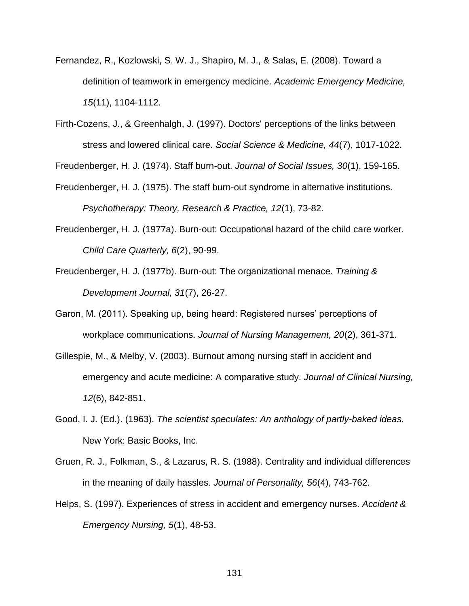- Fernandez, R., Kozlowski, S. W. J., Shapiro, M. J., & Salas, E. (2008). Toward a definition of teamwork in emergency medicine. *Academic Emergency Medicine, 15*(11), 1104-1112.
- Firth-Cozens, J., & Greenhalgh, J. (1997). Doctors' perceptions of the links between stress and lowered clinical care. *Social Science & Medicine, 44*(7), 1017-1022.

Freudenberger, H. J. (1974). Staff burn-out. *Journal of Social Issues, 30*(1), 159-165.

- Freudenberger, H. J. (1975). The staff burn-out syndrome in alternative institutions. *Psychotherapy: Theory, Research & Practice, 12*(1), 73-82.
- Freudenberger, H. J. (1977a). Burn-out: Occupational hazard of the child care worker. *Child Care Quarterly, 6*(2), 90-99.
- Freudenberger, H. J. (1977b). Burn-out: The organizational menace. *Training & Development Journal, 31*(7), 26-27.
- Garon, M. (2011). Speaking up, being heard: Registered nurses' perceptions of workplace communications. *Journal of Nursing Management, 20*(2), 361-371.
- Gillespie, M., & Melby, V. (2003). Burnout among nursing staff in accident and emergency and acute medicine: A comparative study. *Journal of Clinical Nursing, 12*(6), 842-851.
- Good, I. J. (Ed.). (1963). *The scientist speculates: An anthology of partly-baked ideas.*  New York: Basic Books, Inc.
- Gruen, R. J., Folkman, S., & Lazarus, R. S. (1988). Centrality and individual differences in the meaning of daily hassles. *Journal of Personality, 56*(4), 743-762.
- Helps, S. (1997). Experiences of stress in accident and emergency nurses. *Accident & Emergency Nursing, 5*(1), 48-53.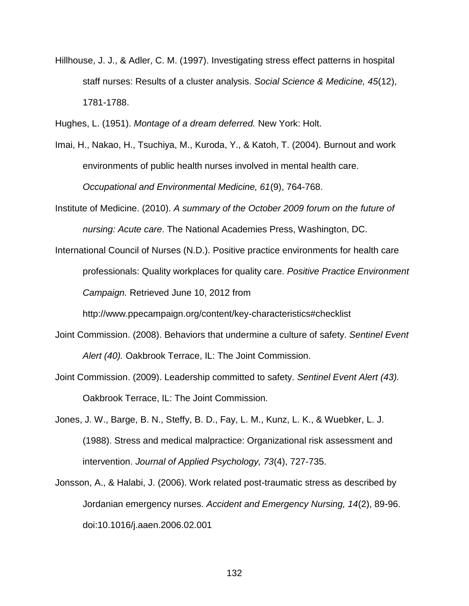Hillhouse, J. J., & Adler, C. M. (1997). Investigating stress effect patterns in hospital staff nurses: Results of a cluster analysis. *Social Science & Medicine, 45*(12), 1781-1788.

Hughes, L. (1951). *Montage of a dream deferred.* New York: Holt.

Imai, H., Nakao, H., Tsuchiya, M., Kuroda, Y., & Katoh, T. (2004). Burnout and work environments of public health nurses involved in mental health care. *Occupational and Environmental Medicine, 61*(9), 764-768.

Institute of Medicine. (2010). *A summary of the October 2009 forum on the future of nursing: Acute care*. The National Academies Press, Washington, DC.

International Council of Nurses (N.D.). Positive practice environments for health care professionals: Quality workplaces for quality care. *Positive Practice Environment Campaign.* Retrieved June 10, 2012 from

http://www.ppecampaign.org/content/key-characteristics#checklist

- Joint Commission. (2008). Behaviors that undermine a culture of safety. *Sentinel Event Alert (40).* Oakbrook Terrace, IL: The Joint Commission.
- Joint Commission. (2009). Leadership committed to safety. *Sentinel Event Alert (43).*  Oakbrook Terrace, IL: The Joint Commission.
- Jones, J. W., Barge, B. N., Steffy, B. D., Fay, L. M., Kunz, L. K., & Wuebker, L. J. (1988). Stress and medical malpractice: Organizational risk assessment and intervention. *Journal of Applied Psychology, 73*(4), 727-735.
- Jonsson, A., & Halabi, J. (2006). Work related post-traumatic stress as described by Jordanian emergency nurses. *Accident and Emergency Nursing, 14*(2), 89-96. doi:10.1016/j.aaen.2006.02.001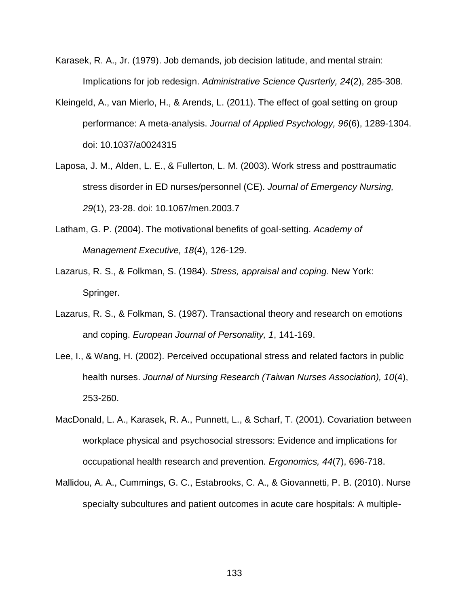- Karasek, R. A., Jr. (1979). Job demands, job decision latitude, and mental strain: Implications for job redesign. *Administrative Science Qusrterly, 24*(2), 285-308.
- Kleingeld, A., van Mierlo, H., & Arends, L. (2011). The effect of goal setting on group performance: A meta-analysis. *Journal of Applied Psychology, 96*(6), 1289-1304. doi: 10.1037/a0024315
- Laposa, J. M., Alden, L. E., & Fullerton, L. M. (2003). Work stress and posttraumatic stress disorder in ED nurses/personnel (CE). *Journal of Emergency Nursing, 29*(1), 23-28. doi: 10.1067/men.2003.7
- Latham, G. P. (2004). The motivational benefits of goal-setting. *Academy of Management Executive, 18*(4), 126-129.
- Lazarus, R. S., & Folkman, S. (1984). *Stress, appraisal and coping*. New York: Springer.
- Lazarus, R. S., & Folkman, S. (1987). Transactional theory and research on emotions and coping. *European Journal of Personality, 1*, 141-169.
- Lee, I., & Wang, H. (2002). Perceived occupational stress and related factors in public health nurses. *Journal of Nursing Research (Taiwan Nurses Association), 10*(4), 253-260.
- MacDonald, L. A., Karasek, R. A., Punnett, L., & Scharf, T. (2001). Covariation between workplace physical and psychosocial stressors: Evidence and implications for occupational health research and prevention. *Ergonomics, 44*(7), 696-718.
- Mallidou, A. A., Cummings, G. C., Estabrooks, C. A., & Giovannetti, P. B. (2010). Nurse specialty subcultures and patient outcomes in acute care hospitals: A multiple-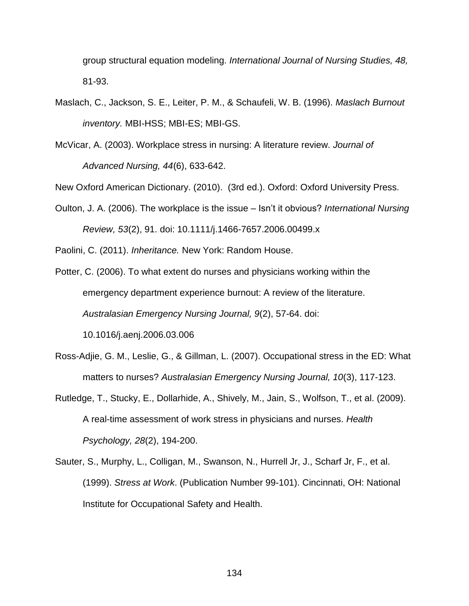group structural equation modeling. *International Journal of Nursing Studies, 48,*  81-93.

- Maslach, C., Jackson, S. E., Leiter, P. M., & Schaufeli, W. B. (1996). *Maslach Burnout inventory.* MBI-HSS; MBI-ES; MBI-GS.
- McVicar, A. (2003). Workplace stress in nursing: A literature review. *Journal of Advanced Nursing, 44*(6), 633-642.

New Oxford American Dictionary. (2010). (3rd ed.). Oxford: Oxford University Press.

Oulton, J. A. (2006). The workplace is the issue – Isn't it obvious? *International Nursing Review, 53*(2), 91. doi: 10.1111/j.1466-7657.2006.00499.x

Paolini, C. (2011). *Inheritance.* New York: Random House.

- Potter, C. (2006). To what extent do nurses and physicians working within the emergency department experience burnout: A review of the literature. *Australasian Emergency Nursing Journal, 9*(2), 57-64. doi: 10.1016/j.aenj.2006.03.006
- Ross-Adjie, G. M., Leslie, G., & Gillman, L. (2007). Occupational stress in the ED: What matters to nurses? *Australasian Emergency Nursing Journal, 10*(3), 117-123.
- Rutledge, T., Stucky, E., Dollarhide, A., Shively, M., Jain, S., Wolfson, T., et al. (2009). A real-time assessment of work stress in physicians and nurses. *Health Psychology, 28*(2), 194-200.
- Sauter, S., Murphy, L., Colligan, M., Swanson, N., Hurrell Jr, J., Scharf Jr, F., et al. (1999). *Stress at Work*. (Publication Number 99-101). Cincinnati, OH: National Institute for Occupational Safety and Health.